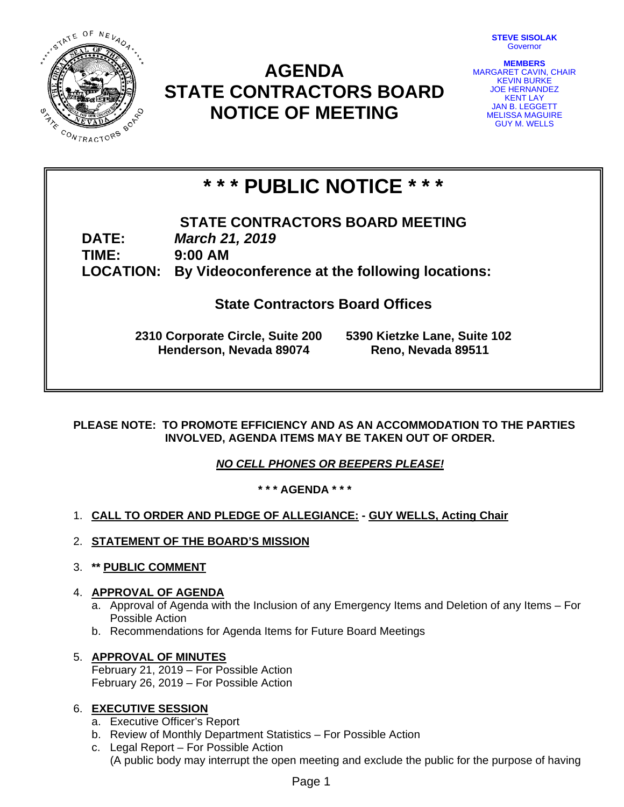STATE OF NEVADA **POP** CONTRACTORS

# **AGENDA STATE CONTRACTORS BOARD NOTICE OF MEETING**

**STEVE SISOLAK Governor** 

**MEMBERS**  MARGARET CAVIN, CHAIR KEVIN BURKE JOE HERNANDEZ KENT LAY JAN B. LEGGETT MELISSA MAGUIRE GUY M. WELLS

# **\* \* \* PUBLIC NOTICE \* \* \***

# **STATE CONTRACTORS BOARD MEETING DATE:** *March 21, 2019*  **TIME: 9:00 AM LOCATION: By Videoconference at the following locations:**

**State Contractors Board Offices** 

**2310 Corporate Circle, Suite 200 5390 Kietzke Lane, Suite 102 Henderson, Nevada 89074 Reno, Nevada 89511**

**PLEASE NOTE: TO PROMOTE EFFICIENCY AND AS AN ACCOMMODATION TO THE PARTIES INVOLVED, AGENDA ITEMS MAY BE TAKEN OUT OF ORDER.** 

*NO CELL PHONES OR BEEPERS PLEASE!* 

**\* \* \* AGENDA \* \* \***

- 1. **CALL TO ORDER AND PLEDGE OF ALLEGIANCE: GUY WELLS, Acting Chair**
- 2. **STATEMENT OF THE BOARD'S MISSION**
- 3. **\*\* PUBLIC COMMENT**

# 4. **APPROVAL OF AGENDA**

- a. Approval of Agenda with the Inclusion of any Emergency Items and Deletion of any Items For Possible Action
- b. Recommendations for Agenda Items for Future Board Meetings

# 5. **APPROVAL OF MINUTES**

February 21, 2019 – For Possible Action February 26, 2019 – For Possible Action

# 6. **EXECUTIVE SESSION**

- a. Executive Officer's Report
- b. Review of Monthly Department Statistics For Possible Action
- c. Legal Report For Possible Action (A public body may interrupt the open meeting and exclude the public for the purpose of having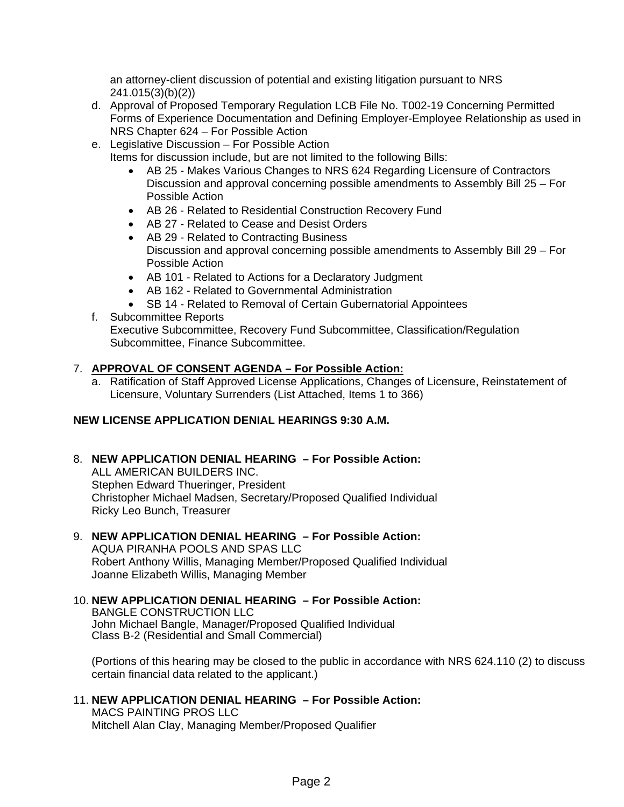an attorney-client discussion of potential and existing litigation pursuant to NRS 241.015(3)(b)(2))

- d. Approval of Proposed Temporary Regulation LCB File No. T002-19 Concerning Permitted Forms of Experience Documentation and Defining Employer-Employee Relationship as used in NRS Chapter 624 – For Possible Action
- e. Legislative Discussion For Possible Action Items for discussion include, but are not limited to the following Bills:
	- AB 25 Makes Various Changes to NRS 624 Regarding Licensure of Contractors Discussion and approval concerning possible amendments to Assembly Bill 25 – For Possible Action
	- AB 26 Related to Residential Construction Recovery Fund
	- AB 27 Related to Cease and Desist Orders
	- AB 29 Related to Contracting Business Discussion and approval concerning possible amendments to Assembly Bill 29 – For Possible Action
	- AB 101 Related to Actions for a Declaratory Judgment
	- AB 162 Related to Governmental Administration
	- SB 14 Related to Removal of Certain Gubernatorial Appointees
- f. Subcommittee Reports Executive Subcommittee, Recovery Fund Subcommittee, Classification/Regulation Subcommittee, Finance Subcommittee.

# 7. **APPROVAL OF CONSENT AGENDA – For Possible Action:**

a. Ratification of Staff Approved License Applications, Changes of Licensure, Reinstatement of Licensure, Voluntary Surrenders (List Attached, Items 1 to 366)

# **NEW LICENSE APPLICATION DENIAL HEARINGS 9:30 A.M.**

- 8. **NEW APPLICATION DENIAL HEARING For Possible Action:** ALL AMERICAN BUILDERS INC. Stephen Edward Thueringer, President Christopher Michael Madsen, Secretary/Proposed Qualified Individual Ricky Leo Bunch, Treasurer
- 9. **NEW APPLICATION DENIAL HEARING For Possible Action:**  AQUA PIRANHA POOLS AND SPAS LLC Robert Anthony Willis, Managing Member/Proposed Qualified Individual Joanne Elizabeth Willis, Managing Member

## 10. **NEW APPLICATION DENIAL HEARING – For Possible Action:** BANGLE CONSTRUCTION LLC John Michael Bangle, Manager/Proposed Qualified Individual Class B-2 (Residential and Small Commercial)

(Portions of this hearing may be closed to the public in accordance with NRS 624.110 (2) to discuss certain financial data related to the applicant.)

# 11. **NEW APPLICATION DENIAL HEARING – For Possible Action:**

MACS PAINTING PROS LLC Mitchell Alan Clay, Managing Member/Proposed Qualifier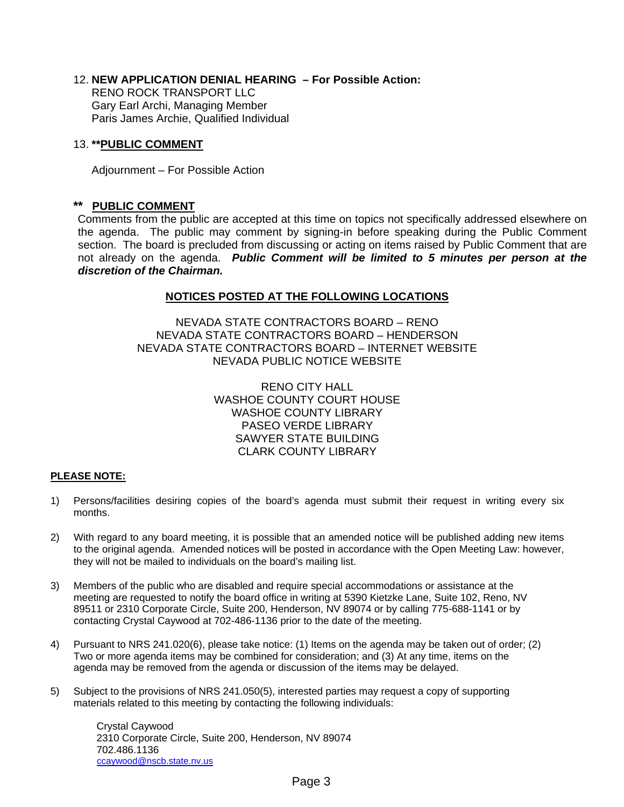# 12. **NEW APPLICATION DENIAL HEARING – For Possible Action:**

RENO ROCK TRANSPORT LLC Gary Earl Archi, Managing Member Paris James Archie, Qualified Individual

# 13. **\*\*PUBLIC COMMENT**

Adjournment – For Possible Action

# **\*\* PUBLIC COMMENT**

Comments from the public are accepted at this time on topics not specifically addressed elsewhere on the agenda. The public may comment by signing-in before speaking during the Public Comment section. The board is precluded from discussing or acting on items raised by Public Comment that are not already on the agenda. *Public Comment will be limited to 5 minutes per person at the discretion of the Chairman.* 

# **NOTICES POSTED AT THE FOLLOWING LOCATIONS**

NEVADA STATE CONTRACTORS BOARD – RENO NEVADA STATE CONTRACTORS BOARD – HENDERSON NEVADA STATE CONTRACTORS BOARD – INTERNET WEBSITE NEVADA PUBLIC NOTICE WEBSITE

> RENO CITY HALL WASHOE COUNTY COURT HOUSE WASHOE COUNTY LIBRARY PASEO VERDE LIBRARY SAWYER STATE BUILDING CLARK COUNTY LIBRARY

# **PLEASE NOTE:**

- 1) Persons/facilities desiring copies of the board's agenda must submit their request in writing every six months.
- 2) With regard to any board meeting, it is possible that an amended notice will be published adding new items to the original agenda. Amended notices will be posted in accordance with the Open Meeting Law: however, they will not be mailed to individuals on the board's mailing list.
- 3) Members of the public who are disabled and require special accommodations or assistance at the meeting are requested to notify the board office in writing at 5390 Kietzke Lane, Suite 102, Reno, NV 89511 or 2310 Corporate Circle, Suite 200, Henderson, NV 89074 or by calling 775-688-1141 or by contacting Crystal Caywood at 702-486-1136 prior to the date of the meeting.
- 4) Pursuant to NRS 241.020(6), please take notice: (1) Items on the agenda may be taken out of order; (2) Two or more agenda items may be combined for consideration; and (3) At any time, items on the agenda may be removed from the agenda or discussion of the items may be delayed.
- 5) Subject to the provisions of NRS 241.050(5), interested parties may request a copy of supporting materials related to this meeting by contacting the following individuals:

Crystal Caywood 2310 Corporate Circle, Suite 200, Henderson, NV 89074 702.486.1136 ccaywood@nscb.state.nv.us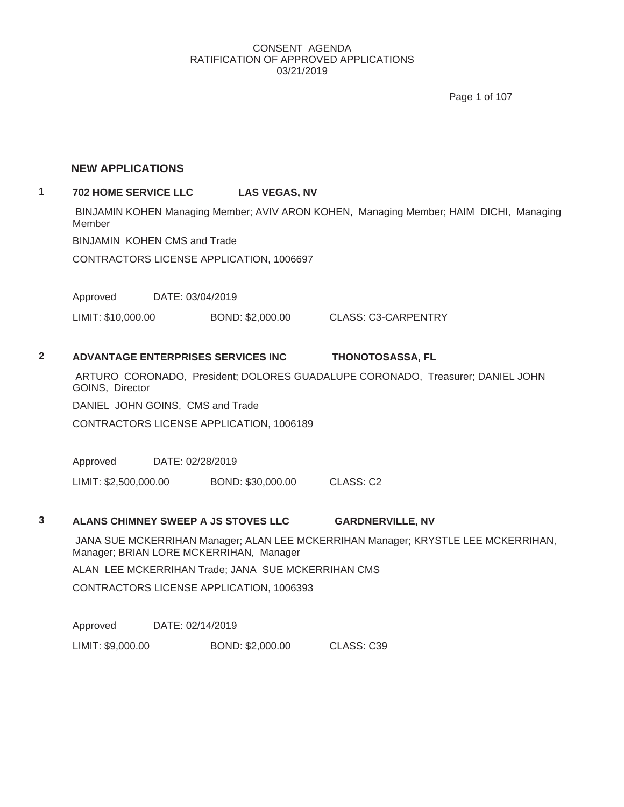Page 1 of 107

## **NEW APPLICATIONS**

# **1 702 HOME SERVICE LLC LAS VEGAS, NV**

BINJAMIN KOHEN Managing Member; AVIV ARON KOHEN, Managing Member; HAIM DICHI, Managing Member

BINJAMIN KOHEN CMS and Trade

CONTRACTORS LICENSE APPLICATION, 1006697

Approved DATE: 03/04/2019

LIMIT: \$10,000.00 BOND: \$2,000.00 CLASS: C3-CARPENTRY

## **2 ADVANTAGE ENTERPRISES SERVICES INC THONOTOSASSA, FL**

ARTURO CORONADO, President; DOLORES GUADALUPE CORONADO, Treasurer; DANIEL JOHN GOINS, Director

DANIEL JOHN GOINS, CMS and Trade

CONTRACTORS LICENSE APPLICATION, 1006189

Approved DATE: 02/28/2019

LIMIT: \$2,500,000.00 BOND: \$30,000.00 CLASS: C2

# **3 ALANS CHIMNEY SWEEP A JS STOVES LLC GARDNERVILLE, NV**

JANA SUE MCKERRIHAN Manager; ALAN LEE MCKERRIHAN Manager; KRYSTLE LEE MCKERRIHAN, Manager; BRIAN LORE MCKERRIHAN, Manager

ALAN LEE MCKERRIHAN Trade; JANA SUE MCKERRIHAN CMS

CONTRACTORS LICENSE APPLICATION, 1006393

Approved DATE: 02/14/2019

LIMIT: \$9,000.00 BOND: \$2,000.00 CLASS: C39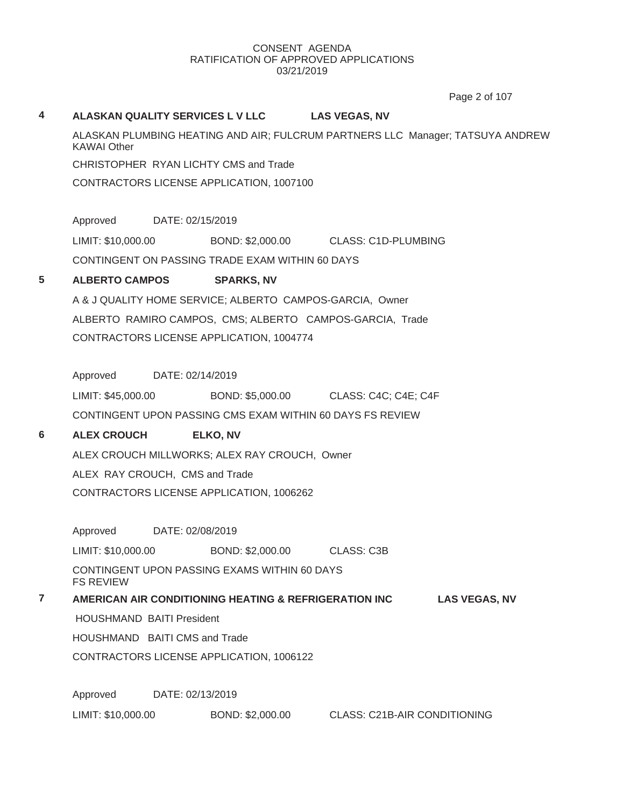# **4 ALASKAN QUALITY SERVICES L V LLC LAS VEGAS, NV** ALASKAN PLUMBING HEATING AND AIR; FULCRUM PARTNERS LLC Manager; TATSUYA ANDREW KAWAI Other CHRISTOPHER RYAN LICHTY CMS and Trade CONTRACTORS LICENSE APPLICATION, 1007100 Approved DATE: 02/15/2019 LIMIT: \$10,000.00 BOND: \$2,000.00 CLASS: C1D-PLUMBING CONTINGENT ON PASSING TRADE EXAM WITHIN 60 DAYS **5 ALBERTO CAMPOS SPARKS, NV** A & J QUALITY HOME SERVICE; ALBERTO CAMPOS-GARCIA, Owner ALBERTO RAMIRO CAMPOS, CMS; ALBERTO CAMPOS-GARCIA, Trade CONTRACTORS LICENSE APPLICATION, 1004774 Approved DATE: 02/14/2019 LIMIT: \$45,000.00 BOND: \$5,000.00 CLASS: C4C; C4E; C4F CONTINGENT UPON PASSING CMS EXAM WITHIN 60 DAYS FS REVIEW **6 ALEX CROUCH ELKO, NV** ALEX CROUCH MILLWORKS; ALEX RAY CROUCH, Owner ALEX RAY CROUCH, CMS and Trade CONTRACTORS LICENSE APPLICATION, 1006262 Approved DATE: 02/08/2019 LIMIT: \$10,000.00 BOND: \$2,000.00 CLASS: C3B CONTINGENT UPON PASSING EXAMS WITHIN 60 DAYS FS REVIEW **7 AMERICAN AIR CONDITIONING HEATING & REFRIGERATION INC LAS VEGAS, NV** HOUSHMAND BAITI President HOUSHMAND BAITI CMS and Trade CONTRACTORS LICENSE APPLICATION, 1006122 Approved DATE: 02/13/2019 LIMIT: \$10,000.00 BOND: \$2,000.00 CLASS: C21B-AIR CONDITIONING Page 2 of 107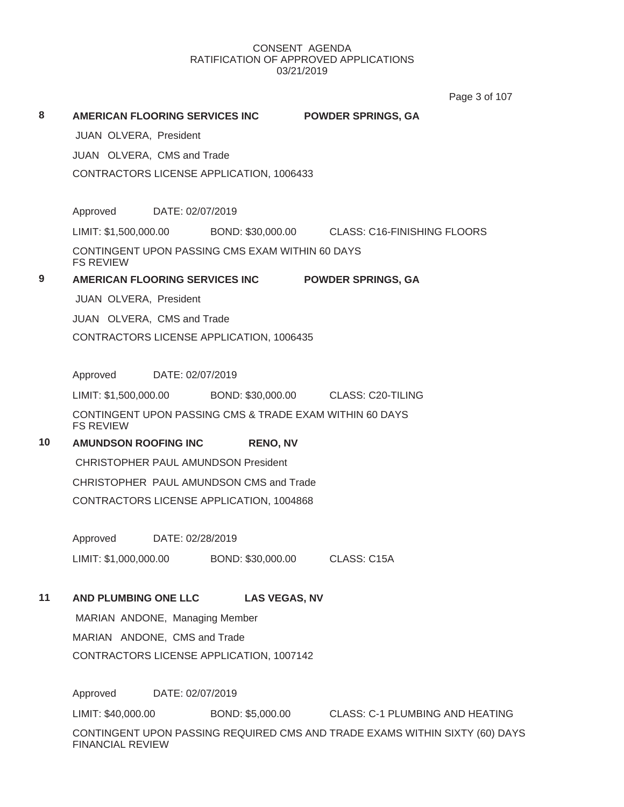Page 3 of 107

| 8  | <b>AMERICAN FLOORING SERVICES INC</b><br><b>POWDER SPRINGS, GA</b>                                     |  |  |  |  |
|----|--------------------------------------------------------------------------------------------------------|--|--|--|--|
|    | JUAN OLVERA, President                                                                                 |  |  |  |  |
|    | JUAN OLVERA, CMS and Trade                                                                             |  |  |  |  |
|    | CONTRACTORS LICENSE APPLICATION, 1006433                                                               |  |  |  |  |
|    |                                                                                                        |  |  |  |  |
|    | Approved<br>DATE: 02/07/2019                                                                           |  |  |  |  |
|    | LIMIT: \$1,500,000.00 BOND: \$30,000.00 CLASS: C16-FINISHING FLOORS                                    |  |  |  |  |
|    | CONTINGENT UPON PASSING CMS EXAM WITHIN 60 DAYS<br><b>FS REVIEW</b>                                    |  |  |  |  |
| 9  | AMERICAN FLOORING SERVICES INC<br><b>POWDER SPRINGS, GA</b>                                            |  |  |  |  |
|    | JUAN OLVERA, President                                                                                 |  |  |  |  |
|    | JUAN OLVERA, CMS and Trade                                                                             |  |  |  |  |
|    | CONTRACTORS LICENSE APPLICATION, 1006435                                                               |  |  |  |  |
|    | Approved<br>DATE: 02/07/2019                                                                           |  |  |  |  |
|    | LIMIT: \$1,500,000.00 BOND: \$30,000.00 CLASS: C20-TILING                                              |  |  |  |  |
|    | CONTINGENT UPON PASSING CMS & TRADE EXAM WITHIN 60 DAYS                                                |  |  |  |  |
|    | <b>FS REVIEW</b>                                                                                       |  |  |  |  |
| 10 | <b>AMUNDSON ROOFING INC</b><br><b>RENO, NV</b>                                                         |  |  |  |  |
|    | <b>CHRISTOPHER PAUL AMUNDSON President</b>                                                             |  |  |  |  |
|    | CHRISTOPHER PAUL AMUNDSON CMS and Trade                                                                |  |  |  |  |
|    | CONTRACTORS LICENSE APPLICATION, 1004868                                                               |  |  |  |  |
|    | Approved<br>DATE: 02/28/2019                                                                           |  |  |  |  |
|    | LIMIT: \$1,000,000.00 BOND: \$30,000.00 CLASS: C15A                                                    |  |  |  |  |
| 11 | AND PLUMBING ONE LLC<br><b>LAS VEGAS, NV</b>                                                           |  |  |  |  |
|    | MARIAN ANDONE, Managing Member                                                                         |  |  |  |  |
|    | MARIAN ANDONE, CMS and Trade                                                                           |  |  |  |  |
|    | CONTRACTORS LICENSE APPLICATION, 1007142                                                               |  |  |  |  |
|    |                                                                                                        |  |  |  |  |
|    | Approved<br>DATE: 02/07/2019                                                                           |  |  |  |  |
|    | LIMIT: \$40,000.00<br>BOND: \$5,000.00 CLASS: C-1 PLUMBING AND HEATING                                 |  |  |  |  |
|    | CONTINGENT UPON PASSING REQUIRED CMS AND TRADE EXAMS WITHIN SIXTY (60) DAYS<br><b>FINANCIAL REVIEW</b> |  |  |  |  |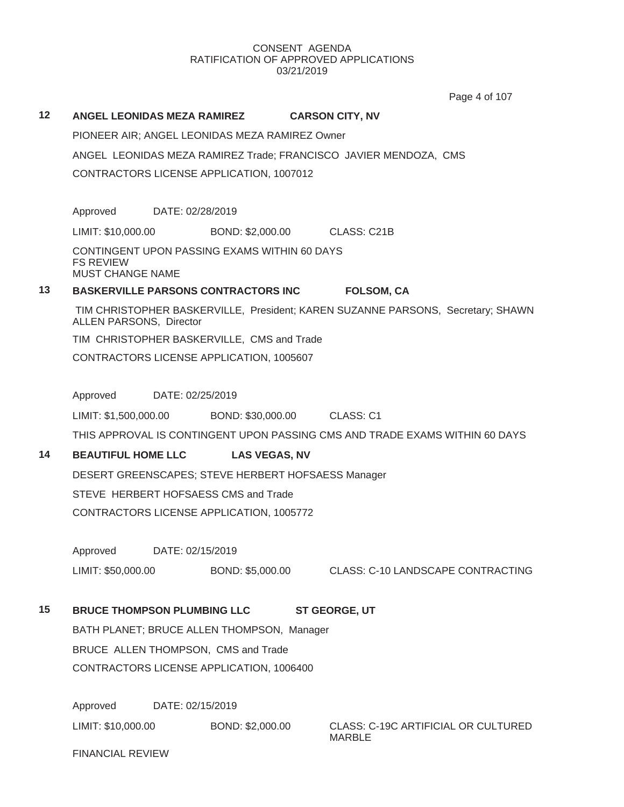Page 4 of 107

| 12 | ANGEL LEONIDAS MEZA RAMIREZ<br><b>CARSON CITY, NV</b> |                  |                                              |                                                                                 |  |
|----|-------------------------------------------------------|------------------|----------------------------------------------|---------------------------------------------------------------------------------|--|
|    | PIONEER AIR; ANGEL LEONIDAS MEZA RAMIREZ Owner        |                  |                                              |                                                                                 |  |
|    |                                                       |                  |                                              | ANGEL LEONIDAS MEZA RAMIREZ Trade; FRANCISCO JAVIER MENDOZA, CMS                |  |
|    |                                                       |                  | CONTRACTORS LICENSE APPLICATION, 1007012     |                                                                                 |  |
|    |                                                       |                  |                                              |                                                                                 |  |
|    | Approved                                              | DATE: 02/28/2019 |                                              |                                                                                 |  |
|    | LIMIT: \$10,000.00                                    |                  | BOND: \$2,000.00 CLASS: C21B                 |                                                                                 |  |
|    | <b>FS REVIEW</b><br>MUST CHANGE NAME                  |                  | CONTINGENT UPON PASSING EXAMS WITHIN 60 DAYS |                                                                                 |  |
| 13 |                                                       |                  | <b>BASKERVILLE PARSONS CONTRACTORS INC</b>   | <b>FOLSOM, CA</b>                                                               |  |
|    | ALLEN PARSONS, Director                               |                  |                                              | TIM CHRISTOPHER BASKERVILLE, President; KAREN SUZANNE PARSONS, Secretary; SHAWN |  |
|    |                                                       |                  | TIM CHRISTOPHER BASKERVILLE, CMS and Trade   |                                                                                 |  |
|    |                                                       |                  | CONTRACTORS LICENSE APPLICATION, 1005607     |                                                                                 |  |
|    |                                                       |                  |                                              |                                                                                 |  |
|    | Approved                                              | DATE: 02/25/2019 |                                              |                                                                                 |  |
|    | LIMIT: \$1,500,000.00                                 |                  | BOND: \$30,000.00 CLASS: C1                  |                                                                                 |  |
|    |                                                       |                  |                                              | THIS APPROVAL IS CONTINGENT UPON PASSING CMS AND TRADE EXAMS WITHIN 60 DAYS     |  |
| 14 | <b>BEAUTIFUL HOME LLC</b>                             |                  | <b>LAS VEGAS, NV</b>                         |                                                                                 |  |
|    | DESERT GREENSCAPES; STEVE HERBERT HOFSAESS Manager    |                  |                                              |                                                                                 |  |
|    | STEVE HERBERT HOFSAESS CMS and Trade                  |                  |                                              |                                                                                 |  |
|    |                                                       |                  | CONTRACTORS LICENSE APPLICATION, 1005772     |                                                                                 |  |
|    |                                                       |                  |                                              |                                                                                 |  |
|    | Approved                                              | DATE: 02/15/2019 |                                              |                                                                                 |  |
|    | LIMIT: \$50,000.00                                    |                  | BOND: \$5,000.00                             | CLASS: C-10 LANDSCAPE CONTRACTING                                               |  |
|    |                                                       |                  |                                              |                                                                                 |  |
| 15 | <b>BRUCE THOMPSON PLUMBING LLC</b>                    |                  |                                              | ST GEORGE, UT                                                                   |  |
|    |                                                       |                  | BATH PLANET; BRUCE ALLEN THOMPSON, Manager   |                                                                                 |  |
|    |                                                       |                  | BRUCE ALLEN THOMPSON, CMS and Trade          |                                                                                 |  |
|    |                                                       |                  | CONTRACTORS LICENSE APPLICATION, 1006400     |                                                                                 |  |
|    |                                                       |                  |                                              |                                                                                 |  |

Approved DATE: 02/15/2019 LIMIT: \$10,000.00 BOND: \$2,000.00 CLASS: C-19C ARTIFICIAL OR CULTURED

MARBLE

FINANCIAL REVIEW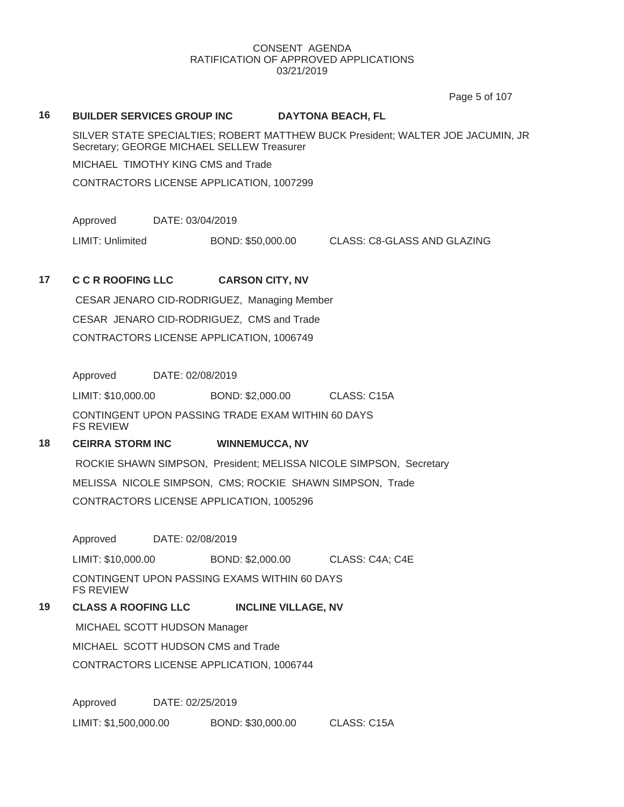Page 5 of 107

### **16 BUILDER SERVICES GROUP INC DAYTONA BEACH, FL**

SILVER STATE SPECIALTIES; ROBERT MATTHEW BUCK President; WALTER JOE JACUMIN, JR Secretary; GEORGE MICHAEL SELLEW Treasurer

MICHAEL TIMOTHY KING CMS and Trade

CONTRACTORS LICENSE APPLICATION, 1007299

Approved DATE: 03/04/2019

LIMIT: Unlimited BOND: \$50,000.00 CLASS: C8-GLASS AND GLAZING

# **17 C C R ROOFING LLC CARSON CITY, NV**

CESAR JENARO CID-RODRIGUEZ, Managing Member CESAR JENARO CID-RODRIGUEZ, CMS and Trade CONTRACTORS LICENSE APPLICATION, 1006749

Approved DATE: 02/08/2019

LIMIT: \$10,000.00 BOND: \$2,000.00 CLASS: C15A

CONTINGENT UPON PASSING TRADE EXAM WITHIN 60 DAYS FS REVIEW

# **18 CEIRRA STORM INC WINNEMUCCA, NV**

ROCKIE SHAWN SIMPSON, President; MELISSA NICOLE SIMPSON, Secretary MELISSA NICOLE SIMPSON, CMS; ROCKIE SHAWN SIMPSON, Trade CONTRACTORS LICENSE APPLICATION, 1005296

Approved DATE: 02/08/2019 LIMIT: \$10,000.00 BOND: \$2,000.00 CLASS: C4A; C4E CONTINGENT UPON PASSING EXAMS WITHIN 60 DAYS FS REVIEW

# **19 CLASS A ROOFING LLC INCLINE VILLAGE, NV**

MICHAEL SCOTT HUDSON Manager MICHAEL SCOTT HUDSON CMS and Trade CONTRACTORS LICENSE APPLICATION, 1006744

Approved DATE: 02/25/2019

LIMIT: \$1,500,000.00 BOND: \$30,000.00 CLASS: C15A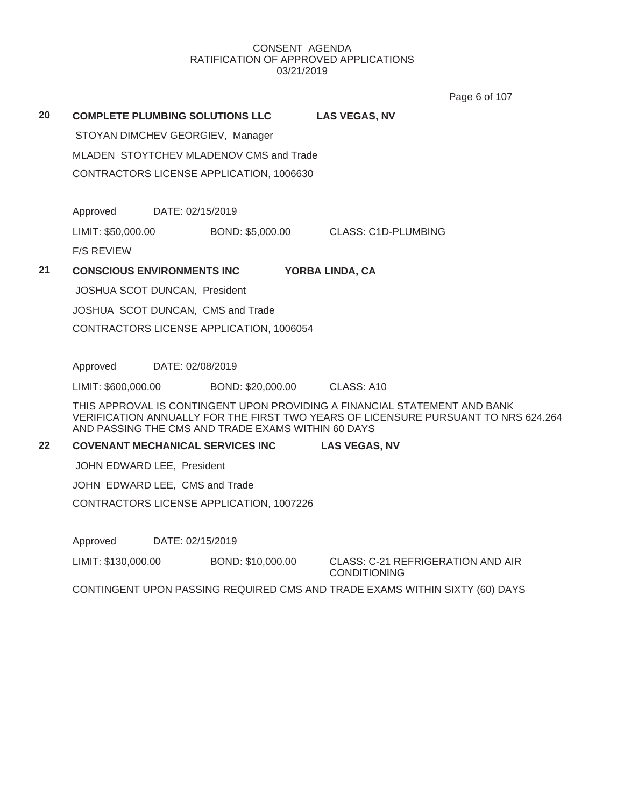Page 6 of 107

**20 COMPLETE PLUMBING SOLUTIONS LLC LAS VEGAS, NV** STOYAN DIMCHEV GEORGIEV, Manager MLADEN STOYTCHEV MLADENOV CMS and Trade CONTRACTORS LICENSE APPLICATION, 1006630 Approved DATE: 02/15/2019 LIMIT: \$50,000.00 BOND: \$5,000.00 CLASS: C1D-PLUMBING F/S REVIEW **21 CONSCIOUS ENVIRONMENTS INC YORBA LINDA, CA** JOSHUA SCOT DUNCAN, President JOSHUA SCOT DUNCAN, CMS and Trade CONTRACTORS LICENSE APPLICATION, 1006054 Approved DATE: 02/08/2019 LIMIT: \$600,000.00 BOND: \$20,000.00 CLASS: A10 THIS APPROVAL IS CONTINGENT UPON PROVIDING A FINANCIAL STATEMENT AND BANK VERIFICATION ANNUALLY FOR THE FIRST TWO YEARS OF LICENSURE PURSUANT TO NRS 624.264 AND PASSING THE CMS AND TRADE EXAMS WITHIN 60 DAYS **22 COVENANT MECHANICAL SERVICES INC LAS VEGAS, NV** JOHN EDWARD LEE, President JOHN EDWARD LEE, CMS and Trade CONTRACTORS LICENSE APPLICATION, 1007226 Approved DATE: 02/15/2019 LIMIT: \$130,000.00 BOND: \$10,000.00 CLASS: C-21 REFRIGERATION AND AIR CONDITIONING CONTINGENT UPON PASSING REQUIRED CMS AND TRADE EXAMS WITHIN SIXTY (60) DAYS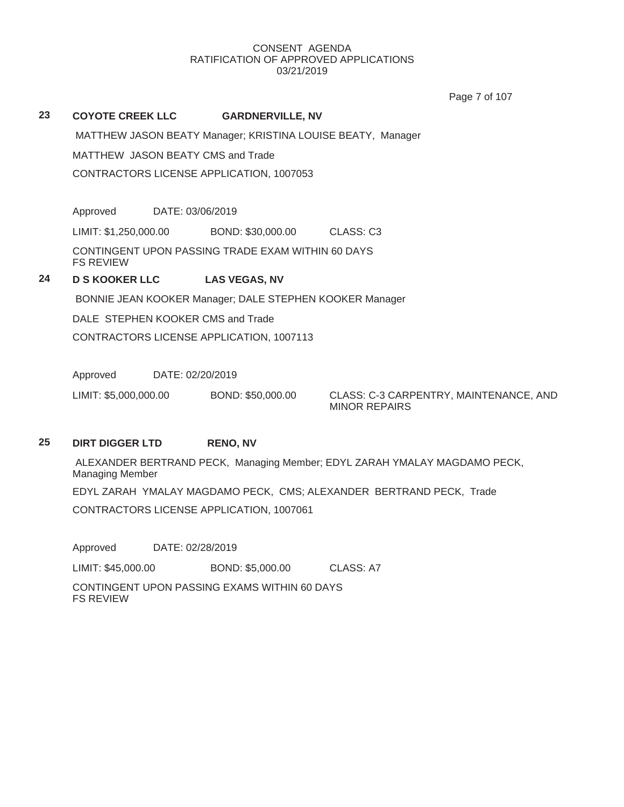Page 7 of 107

# **23 COYOTE CREEK LLC GARDNERVILLE, NV**

MATTHEW JASON BEATY Manager; KRISTINA LOUISE BEATY, Manager

MATTHEW JASON BEATY CMS and Trade

CONTRACTORS LICENSE APPLICATION, 1007053

Approved DATE: 03/06/2019

LIMIT: \$1,250,000.00 BOND: \$30,000.00 CLASS: C3

CONTINGENT UPON PASSING TRADE EXAM WITHIN 60 DAYS FS REVIEW

# **24 D S KOOKER LLC LAS VEGAS, NV**

BONNIE JEAN KOOKER Manager; DALE STEPHEN KOOKER Manager

DALE STEPHEN KOOKER CMS and Trade

CONTRACTORS LICENSE APPLICATION, 1007113

Approved DATE: 02/20/2019

LIMIT: \$5,000,000.00 BOND: \$50,000.00 CLASS: C-3 CARPENTRY, MAINTENANCE, AND MINOR REPAIRS

# **25 DIRT DIGGER LTD RENO, NV**

ALEXANDER BERTRAND PECK, Managing Member; EDYL ZARAH YMALAY MAGDAMO PECK, Managing Member

EDYL ZARAH YMALAY MAGDAMO PECK, CMS; ALEXANDER BERTRAND PECK, Trade

CONTRACTORS LICENSE APPLICATION, 1007061

Approved DATE: 02/28/2019

LIMIT: \$45,000.00 BOND: \$5,000.00 CLASS: A7

CONTINGENT UPON PASSING EXAMS WITHIN 60 DAYS FS REVIEW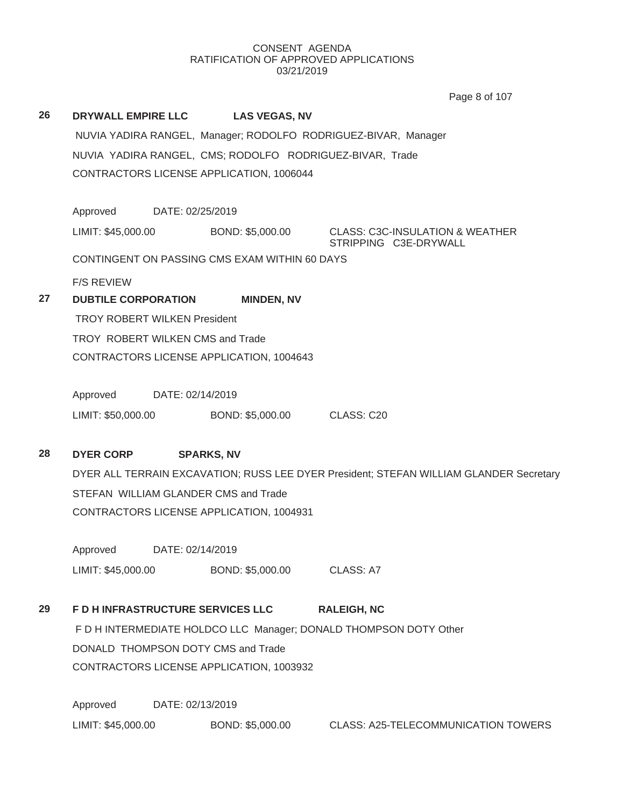**26 DRYWALL EMPIRE LLC LAS VEGAS, NV** NUVIA YADIRA RANGEL, Manager; RODOLFO RODRIGUEZ-BIVAR, Manager NUVIA YADIRA RANGEL, CMS; RODOLFO RODRIGUEZ-BIVAR, Trade CONTRACTORS LICENSE APPLICATION, 1006044 Approved DATE: 02/25/2019 LIMIT: \$45,000.00 BOND: \$5,000.00 CLASS: C3C-INSULATION & WEATHER STRIPPING C3E-DRYWALL CONTINGENT ON PASSING CMS EXAM WITHIN 60 DAYS F/S REVIEW **27 DUBTILE CORPORATION MINDEN, NV** TROY ROBERT WILKEN President TROY ROBERT WILKEN CMS and Trade CONTRACTORS LICENSE APPLICATION, 1004643 Approved DATE: 02/14/2019 LIMIT: \$50,000.00 BOND: \$5,000.00 CLASS: C20 **28 DYER CORP SPARKS, NV** DYER ALL TERRAIN EXCAVATION; RUSS LEE DYER President; STEFAN WILLIAM GLANDER Secretary Page 8 of 107

STEFAN WILLIAM GLANDER CMS and Trade

CONTRACTORS LICENSE APPLICATION, 1004931

Approved DATE: 02/14/2019

LIMIT: \$45,000.00 BOND: \$5,000.00 CLASS: A7

# **29 F D H INFRASTRUCTURE SERVICES LLC RALEIGH, NC**

F D H INTERMEDIATE HOLDCO LLC Manager; DONALD THOMPSON DOTY Other DONALD THOMPSON DOTY CMS and Trade CONTRACTORS LICENSE APPLICATION, 1003932

Approved DATE: 02/13/2019 LIMIT: \$45,000.00 BOND: \$5,000.00 CLASS: A25-TELECOMMUNICATION TOWERS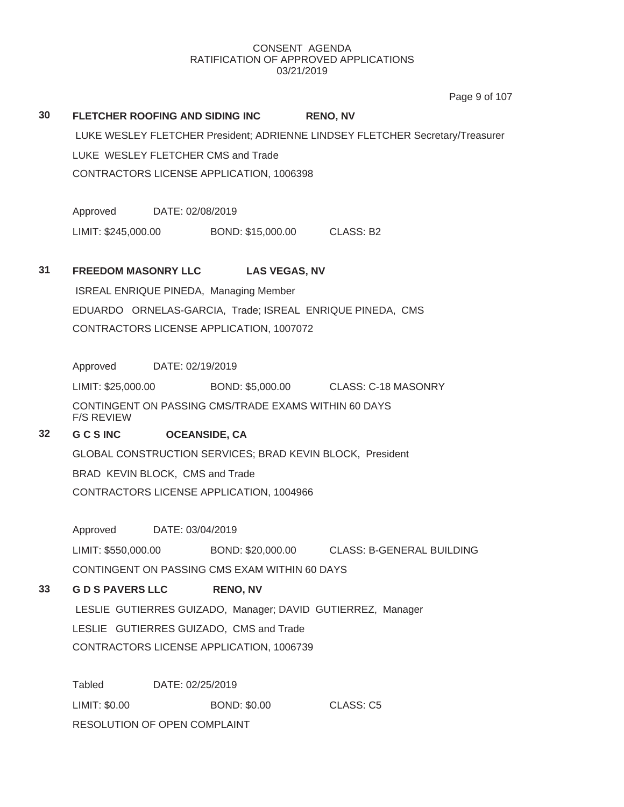Page 9 of 107

**30 FLETCHER ROOFING AND SIDING INC RENO, NV** LUKE WESLEY FLETCHER President; ADRIENNE LINDSEY FLETCHER Secretary/Treasurer LUKE WESLEY FLETCHER CMS and Trade CONTRACTORS LICENSE APPLICATION, 1006398 Approved DATE: 02/08/2019 LIMIT: \$245,000.00 BOND: \$15,000.00 CLASS: B2 **31 FREEDOM MASONRY LLC LAS VEGAS, NV** ISREAL ENRIQUE PINEDA, Managing Member EDUARDO ORNELAS-GARCIA, Trade; ISREAL ENRIQUE PINEDA, CMS CONTRACTORS LICENSE APPLICATION, 1007072 Approved DATE: 02/19/2019 LIMIT: \$25,000.00 BOND: \$5,000.00 CLASS: C-18 MASONRY CONTINGENT ON PASSING CMS/TRADE EXAMS WITHIN 60 DAYS F/S REVIEW **32 G C S INC OCEANSIDE, CA** GLOBAL CONSTRUCTION SERVICES; BRAD KEVIN BLOCK, President BRAD KEVIN BLOCK, CMS and Trade CONTRACTORS LICENSE APPLICATION, 1004966 Approved DATE: 03/04/2019 LIMIT: \$550,000.00 BOND: \$20,000.00 CLASS: B-GENERAL BUILDING CONTINGENT ON PASSING CMS EXAM WITHIN 60 DAYS **33 G D S PAVERS LLC RENO, NV** LESLIE GUTIERRES GUIZADO, Manager; DAVID GUTIERREZ, Manager LESLIE GUTIERRES GUIZADO, CMS and Trade CONTRACTORS LICENSE APPLICATION, 1006739 Tabled DATE: 02/25/2019 LIMIT: \$0.00 BOND: \$0.00 CLASS: C5 RESOLUTION OF OPEN COMPLAINT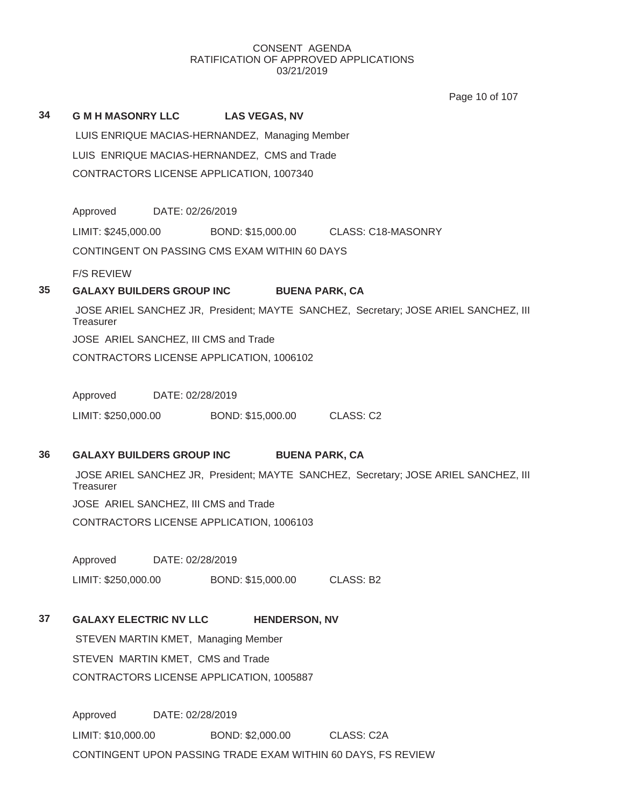Page 10 of 107

# LUIS ENRIQUE MACIAS-HERNANDEZ, Managing Member LUIS ENRIQUE MACIAS-HERNANDEZ, CMS and Trade CONTRACTORS LICENSE APPLICATION, 1007340 Approved DATE: 02/26/2019 LIMIT: \$245,000.00 BOND: \$15,000.00 CLASS: C18-MASONRY CONTINGENT ON PASSING CMS EXAM WITHIN 60 DAYS F/S REVIEW **35 GALAXY BUILDERS GROUP INC BUENA PARK, CA** JOSE ARIEL SANCHEZ JR, President; MAYTE SANCHEZ, Secretary; JOSE ARIEL SANCHEZ, III **Treasurer** JOSE ARIEL SANCHEZ, III CMS and Trade CONTRACTORS LICENSE APPLICATION, 1006102 Approved DATE: 02/28/2019 LIMIT: \$250,000.00 BOND: \$15,000.00 CLASS: C2 **36 GALAXY BUILDERS GROUP INC BUENA PARK, CA** JOSE ARIEL SANCHEZ JR, President; MAYTE SANCHEZ, Secretary; JOSE ARIEL SANCHEZ, III **Treasurer** JOSE ARIEL SANCHEZ, III CMS and Trade CONTRACTORS LICENSE APPLICATION, 1006103 Approved DATE: 02/28/2019 LIMIT: \$250,000.00 BOND: \$15,000.00 CLASS: B2 **37 GALAXY ELECTRIC NV LLC HENDERSON, NV** STEVEN MARTIN KMET, Managing Member

STEVEN MARTIN KMET, CMS and Trade CONTRACTORS LICENSE APPLICATION, 1005887

**34 G M H MASONRY LLC LAS VEGAS, NV**

Approved DATE: 02/28/2019 LIMIT: \$10,000.00 BOND: \$2,000.00 CLASS: C2A CONTINGENT UPON PASSING TRADE EXAM WITHIN 60 DAYS, FS REVIEW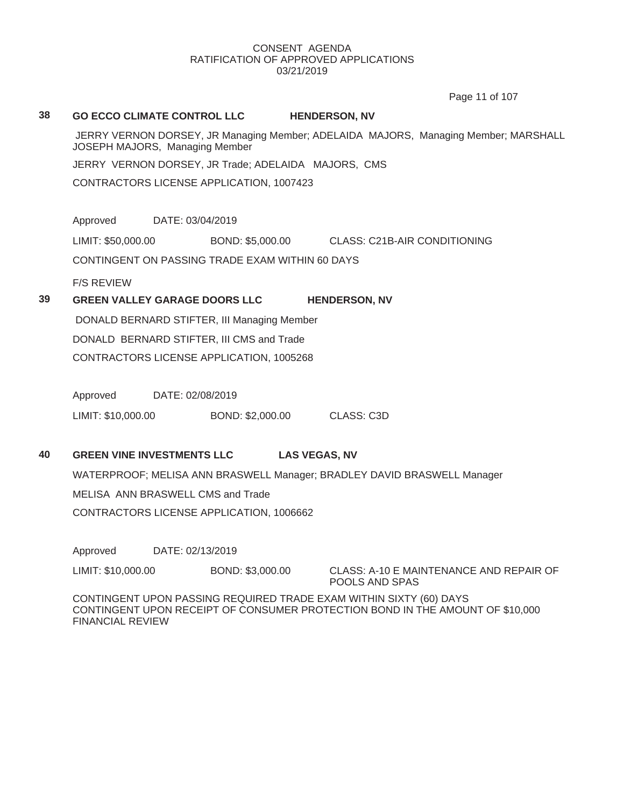Page 11 of 107

#### **38 GO ECCO CLIMATE CONTROL LLC HENDERSON, NV**

JERRY VERNON DORSEY, JR Managing Member; ADELAIDA MAJORS, Managing Member; MARSHALL JOSEPH MAJORS, Managing Member

JERRY VERNON DORSEY, JR Trade; ADELAIDA MAJORS, CMS

CONTRACTORS LICENSE APPLICATION, 1007423

Approved DATE: 03/04/2019

LIMIT: \$50,000.00 BOND: \$5,000.00 CLASS: C21B-AIR CONDITIONING

CONTINGENT ON PASSING TRADE EXAM WITHIN 60 DAYS

F/S REVIEW

# **39 GREEN VALLEY GARAGE DOORS LLC HENDERSON, NV**

DONALD BERNARD STIFTER, III Managing Member DONALD BERNARD STIFTER, III CMS and Trade CONTRACTORS LICENSE APPLICATION, 1005268

Approved DATE: 02/08/2019 LIMIT: \$10,000.00 BOND: \$2,000.00 CLASS: C3D

# **40 GREEN VINE INVESTMENTS LLC LAS VEGAS, NV**

WATERPROOF; MELISA ANN BRASWELL Manager; BRADLEY DAVID BRASWELL Manager

MELISA ANN BRASWELL CMS and Trade

CONTRACTORS LICENSE APPLICATION, 1006662

Approved DATE: 02/13/2019

LIMIT: \$10,000.00 BOND: \$3,000.00 CLASS: A-10 E MAINTENANCE AND REPAIR OF POOLS AND SPAS

CONTINGENT UPON PASSING REQUIRED TRADE EXAM WITHIN SIXTY (60) DAYS CONTINGENT UPON RECEIPT OF CONSUMER PROTECTION BOND IN THE AMOUNT OF \$10,000 FINANCIAL REVIEW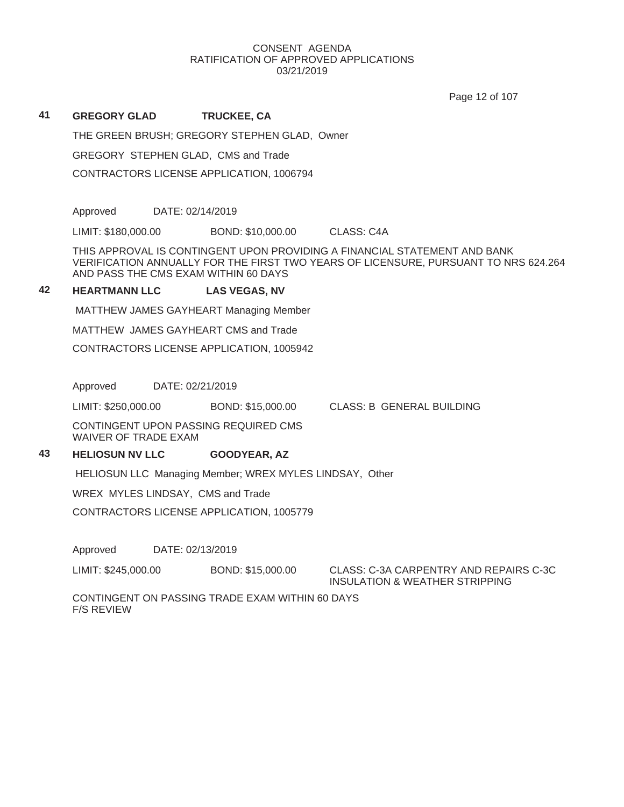Page 12 of 107

## **41 GREGORY GLAD TRUCKEE, CA**

THE GREEN BRUSH; GREGORY STEPHEN GLAD, Owner

GREGORY STEPHEN GLAD, CMS and Trade

CONTRACTORS LICENSE APPLICATION, 1006794

Approved DATE: 02/14/2019

LIMIT: \$180,000.00 BOND: \$10,000.00 CLASS: C4A

THIS APPROVAL IS CONTINGENT UPON PROVIDING A FINANCIAL STATEMENT AND BANK VERIFICATION ANNUALLY FOR THE FIRST TWO YEARS OF LICENSURE, PURSUANT TO NRS 624.264 AND PASS THE CMS EXAM WITHIN 60 DAYS

## **42 HEARTMANN LLC LAS VEGAS, NV**

MATTHEW JAMES GAYHEART Managing Member

MATTHEW JAMES GAYHEART CMS and Trade

CONTRACTORS LICENSE APPLICATION, 1005942

Approved DATE: 02/21/2019

LIMIT: \$250,000.00 BOND: \$15,000.00 CLASS: B GENERAL BUILDING

CONTINGENT UPON PASSING REQUIRED CMS WAIVER OF TRADE EXAM

# **43 HELIOSUN NV LLC GOODYEAR, AZ**

HELIOSUN LLC Managing Member; WREX MYLES LINDSAY, Other

WREX MYLES LINDSAY, CMS and Trade

CONTRACTORS LICENSE APPLICATION, 1005779

Approved DATE: 02/13/2019

LIMIT: \$245,000.00 BOND: \$15,000.00 CLASS: C-3A CARPENTRY AND REPAIRS C-3C INSULATION & WEATHER STRIPPING

CONTINGENT ON PASSING TRADE EXAM WITHIN 60 DAYS F/S REVIEW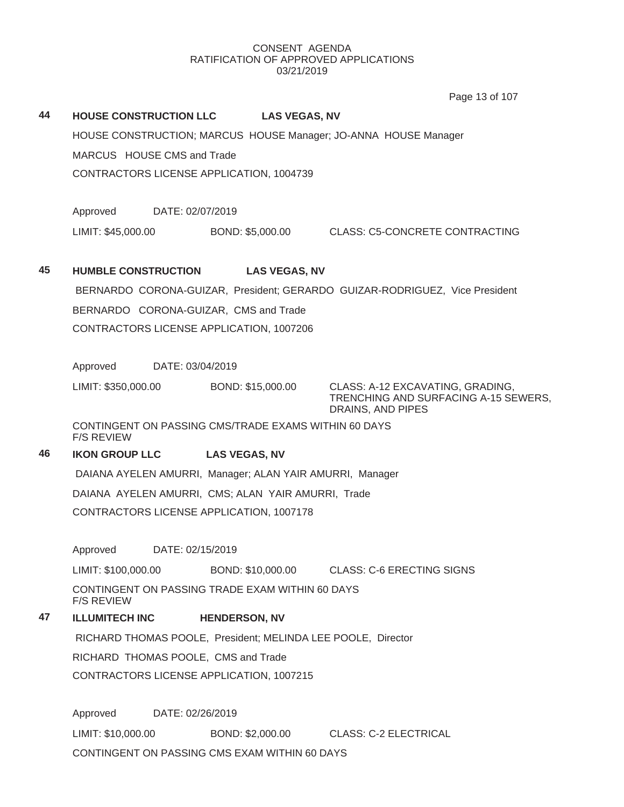Page 13 of 107

## **44 HOUSE CONSTRUCTION LLC LAS VEGAS, NV**

HOUSE CONSTRUCTION; MARCUS HOUSE Manager; JO-ANNA HOUSE Manager

MARCUS HOUSE CMS and Trade

CONTRACTORS LICENSE APPLICATION, 1004739

Approved DATE: 02/07/2019

LIMIT: \$45,000.00 BOND: \$5,000.00 CLASS: C5-CONCRETE CONTRACTING

# **45 HUMBLE CONSTRUCTION LAS VEGAS, NV**

BERNARDO CORONA-GUIZAR, President; GERARDO GUIZAR-RODRIGUEZ, Vice President BERNARDO CORONA-GUIZAR, CMS and Trade CONTRACTORS LICENSE APPLICATION, 1007206

Approved DATE: 03/04/2019

LIMIT: \$350,000.00 BOND: \$15,000.00 CLASS: A-12 EXCAVATING, GRADING,

TRENCHING AND SURFACING A-15 SEWERS, DRAINS, AND PIPES

CONTINGENT ON PASSING CMS/TRADE EXAMS WITHIN 60 DAYS F/S REVIEW

# **46 IKON GROUP LLC LAS VEGAS, NV**

DAIANA AYELEN AMURRI, Manager; ALAN YAIR AMURRI, Manager DAIANA AYELEN AMURRI, CMS; ALAN YAIR AMURRI, Trade CONTRACTORS LICENSE APPLICATION, 1007178

Approved DATE: 02/15/2019

LIMIT: \$100,000.00 BOND: \$10,000.00 CLASS: C-6 ERECTING SIGNS

CONTINGENT ON PASSING TRADE EXAM WITHIN 60 DAYS F/S REVIEW

# **47 ILLUMITECH INC HENDERSON, NV**

RICHARD THOMAS POOLE, President; MELINDA LEE POOLE, Director

RICHARD THOMAS POOLE, CMS and Trade

CONTRACTORS LICENSE APPLICATION, 1007215

Approved DATE: 02/26/2019 LIMIT: \$10,000.00 BOND: \$2,000.00 CLASS: C-2 ELECTRICAL CONTINGENT ON PASSING CMS EXAM WITHIN 60 DAYS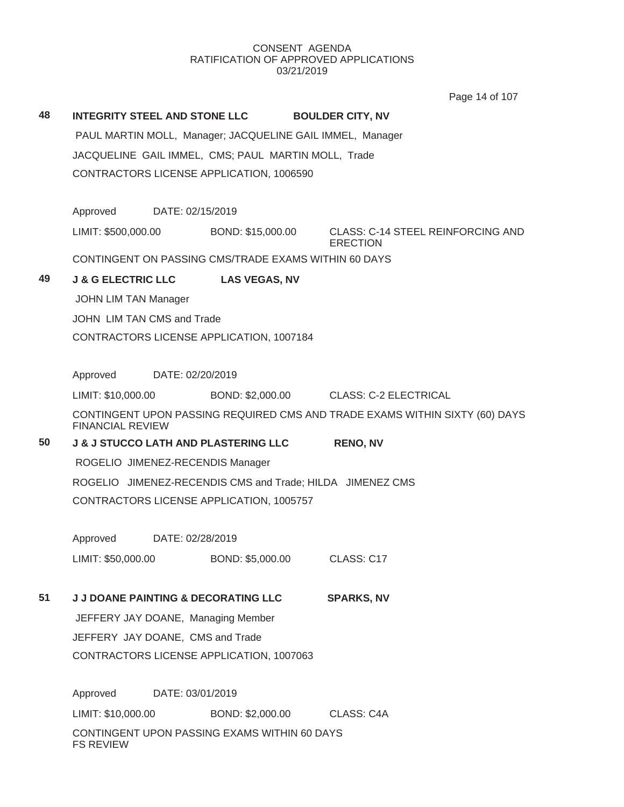|    |                                                                  |                      | Page 14 of 107                                                              |  |  |
|----|------------------------------------------------------------------|----------------------|-----------------------------------------------------------------------------|--|--|
| 48 | INTEGRITY STEEL AND STONE LLC                                    |                      | <b>BOULDER CITY, NV</b>                                                     |  |  |
|    | PAUL MARTIN MOLL, Manager; JACQUELINE GAIL IMMEL, Manager        |                      |                                                                             |  |  |
|    | JACQUELINE GAIL IMMEL, CMS; PAUL MARTIN MOLL, Trade              |                      |                                                                             |  |  |
|    | CONTRACTORS LICENSE APPLICATION, 1006590                         |                      |                                                                             |  |  |
|    |                                                                  |                      |                                                                             |  |  |
|    | Approved<br>DATE: 02/15/2019                                     |                      |                                                                             |  |  |
|    | LIMIT: \$500,000.00                                              | BOND: \$15,000.00    | CLASS: C-14 STEEL REINFORCING AND<br><b>ERECTION</b>                        |  |  |
|    | CONTINGENT ON PASSING CMS/TRADE EXAMS WITHIN 60 DAYS             |                      |                                                                             |  |  |
| 49 | <b>J &amp; G ELECTRIC LLC</b>                                    | <b>LAS VEGAS, NV</b> |                                                                             |  |  |
|    | <b>JOHN LIM TAN Manager</b>                                      |                      |                                                                             |  |  |
|    | JOHN LIM TAN CMS and Trade                                       |                      |                                                                             |  |  |
|    | CONTRACTORS LICENSE APPLICATION, 1007184                         |                      |                                                                             |  |  |
|    |                                                                  |                      |                                                                             |  |  |
|    | Approved<br>DATE: 02/20/2019                                     |                      |                                                                             |  |  |
|    | LIMIT: \$10,000.00                                               | BOND: \$2,000.00     | CLASS: C-2 ELECTRICAL                                                       |  |  |
|    | <b>FINANCIAL REVIEW</b>                                          |                      | CONTINGENT UPON PASSING REQUIRED CMS AND TRADE EXAMS WITHIN SIXTY (60) DAYS |  |  |
| 50 | <b>J &amp; J STUCCO LATH AND PLASTERING LLC</b>                  |                      | <b>RENO, NV</b>                                                             |  |  |
|    | ROGELIO JIMENEZ-RECENDIS Manager                                 |                      |                                                                             |  |  |
|    | ROGELIO JIMENEZ-RECENDIS CMS and Trade; HILDA JIMENEZ CMS        |                      |                                                                             |  |  |
|    | CONTRACTORS LICENSE APPLICATION, 1005757                         |                      |                                                                             |  |  |
|    | Approved<br>DATE: 02/28/2019                                     |                      |                                                                             |  |  |
|    |                                                                  |                      |                                                                             |  |  |
|    | LIMIT: \$50,000.00                                               | BOND: \$5,000.00     | CLASS: C17                                                                  |  |  |
| 51 | <b>J J DOANE PAINTING &amp; DECORATING LLC</b>                   |                      | <b>SPARKS, NV</b>                                                           |  |  |
|    | JEFFERY JAY DOANE, Managing Member                               |                      |                                                                             |  |  |
|    | JEFFERY JAY DOANE, CMS and Trade                                 |                      |                                                                             |  |  |
|    | CONTRACTORS LICENSE APPLICATION, 1007063                         |                      |                                                                             |  |  |
|    |                                                                  |                      |                                                                             |  |  |
|    | Approved<br>DATE: 03/01/2019                                     |                      |                                                                             |  |  |
|    | LIMIT: \$10,000.00                                               | BOND: \$2,000.00     | CLASS: C4A                                                                  |  |  |
|    | CONTINGENT UPON PASSING EXAMS WITHIN 60 DAYS<br><b>FS REVIEW</b> |                      |                                                                             |  |  |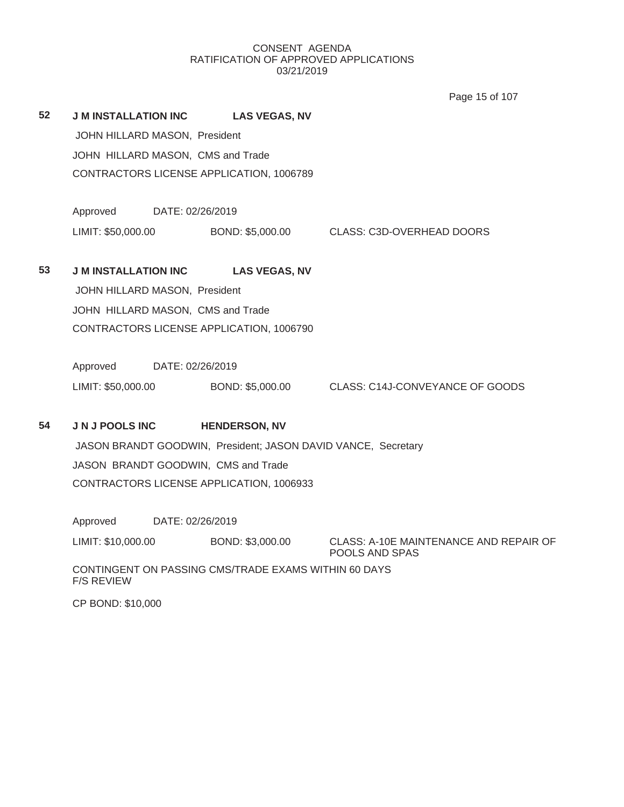Page 15 of 107

**52 J M INSTALLATION INC LAS VEGAS, NV** JOHN HILLARD MASON, President JOHN HILLARD MASON, CMS and Trade CONTRACTORS LICENSE APPLICATION, 1006789 Approved DATE: 02/26/2019 LIMIT: \$50,000.00 BOND: \$5,000.00 CLASS: C3D-OVERHEAD DOORS **53 J M INSTALLATION INC LAS VEGAS, NV** JOHN HILLARD MASON, President JOHN HILLARD MASON, CMS and Trade CONTRACTORS LICENSE APPLICATION, 1006790 Approved DATE: 02/26/2019 LIMIT: \$50,000.00 BOND: \$5,000.00 CLASS: C14J-CONVEYANCE OF GOODS **54 J N J POOLS INC HENDERSON, NV** JASON BRANDT GOODWIN, President; JASON DAVID VANCE, Secretary JASON BRANDT GOODWIN, CMS and Trade CONTRACTORS LICENSE APPLICATION, 1006933 Approved DATE: 02/26/2019 LIMIT: \$10,000.00 BOND: \$3,000.00 CLASS: A-10E MAINTENANCE AND REPAIR OF POOLS AND SPAS CONTINGENT ON PASSING CMS/TRADE EXAMS WITHIN 60 DAYS F/S REVIEW CP BOND: \$10,000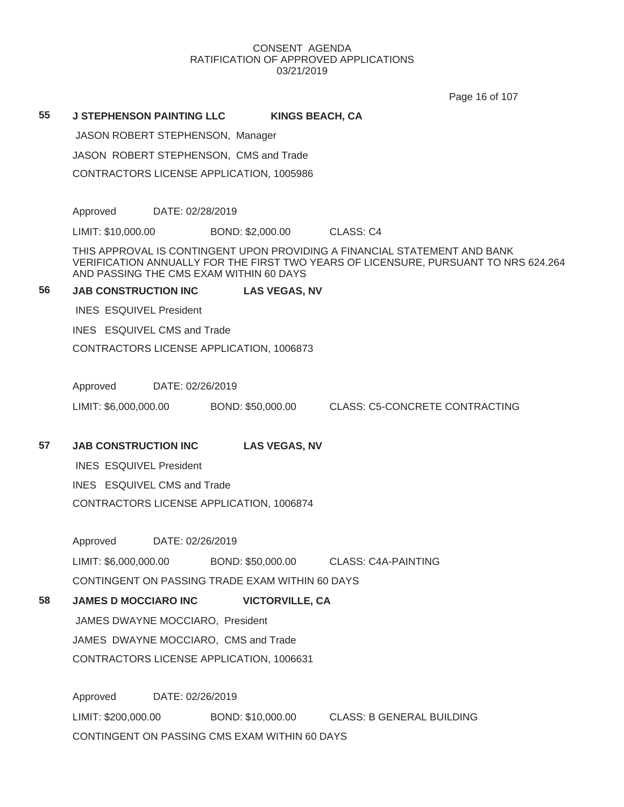Page 16 of 107

### **55 J STEPHENSON PAINTING LLC KINGS BEACH, CA**

JASON ROBERT STEPHENSON, Manager

JASON ROBERT STEPHENSON, CMS and Trade

CONTRACTORS LICENSE APPLICATION, 1005986

Approved DATE: 02/28/2019

LIMIT: \$10,000.00 BOND: \$2,000.00 CLASS: C4

THIS APPROVAL IS CONTINGENT UPON PROVIDING A FINANCIAL STATEMENT AND BANK VERIFICATION ANNUALLY FOR THE FIRST TWO YEARS OF LICENSURE, PURSUANT TO NRS 624.264 AND PASSING THE CMS EXAM WITHIN 60 DAYS

#### **56 JAB CONSTRUCTION INC LAS VEGAS, NV**

INES ESQUIVEL President

INES ESQUIVEL CMS and Trade

CONTRACTORS LICENSE APPLICATION, 1006873

Approved DATE: 02/26/2019

LIMIT: \$6,000,000.00 BOND: \$50,000.00 CLASS: C5-CONCRETE CONTRACTING

**57 JAB CONSTRUCTION INC LAS VEGAS, NV**

INES ESQUIVEL President INES ESQUIVEL CMS and Trade

CONTRACTORS LICENSE APPLICATION, 1006874

Approved DATE: 02/26/2019

LIMIT: \$6,000,000.00 BOND: \$50,000.00 CLASS: C4A-PAINTING CONTINGENT ON PASSING TRADE EXAM WITHIN 60 DAYS

**58 JAMES D MOCCIARO INC VICTORVILLE, CA**

JAMES DWAYNE MOCCIARO, President JAMES DWAYNE MOCCIARO, CMS and Trade CONTRACTORS LICENSE APPLICATION, 1006631

Approved DATE: 02/26/2019 LIMIT: \$200,000.00 BOND: \$10,000.00 CLASS: B GENERAL BUILDING CONTINGENT ON PASSING CMS EXAM WITHIN 60 DAYS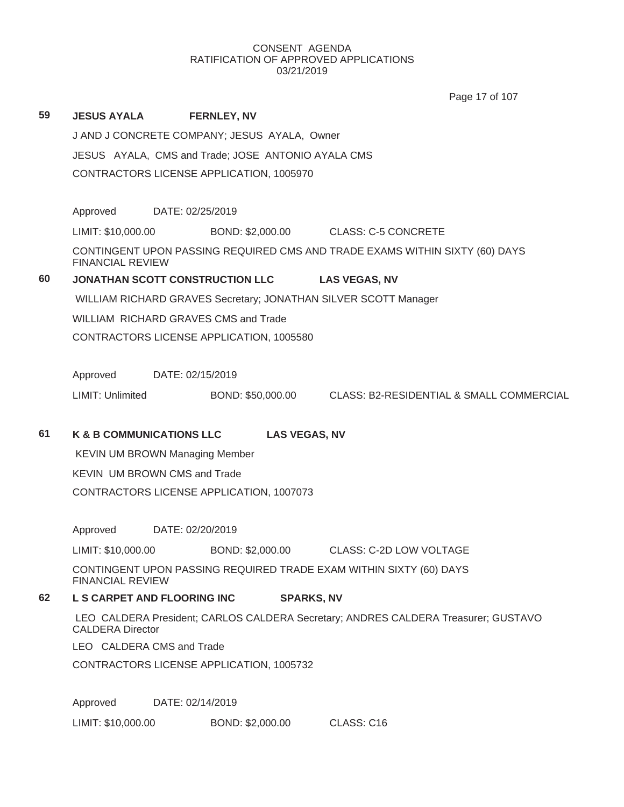Page 17 of 107

| 59 | <b>JESUS AYALA</b>                     |                  | <b>FERNLEY, NV</b>                                 |                                                                             |
|----|----------------------------------------|------------------|----------------------------------------------------|-----------------------------------------------------------------------------|
|    |                                        |                  | J AND J CONCRETE COMPANY; JESUS AYALA, Owner       |                                                                             |
|    |                                        |                  | JESUS AYALA, CMS and Trade; JOSE ANTONIO AYALA CMS |                                                                             |
|    |                                        |                  | CONTRACTORS LICENSE APPLICATION, 1005970           |                                                                             |
|    |                                        |                  |                                                    |                                                                             |
|    | Approved                               | DATE: 02/25/2019 |                                                    |                                                                             |
|    | LIMIT: \$10,000.00                     |                  |                                                    | BOND: \$2,000.00 CLASS: C-5 CONCRETE                                        |
|    | <b>FINANCIAL REVIEW</b>                |                  |                                                    | CONTINGENT UPON PASSING REQUIRED CMS AND TRADE EXAMS WITHIN SIXTY (60) DAYS |
| 60 | <b>JONATHAN SCOTT CONSTRUCTION LLC</b> |                  |                                                    | <b>LAS VEGAS, NV</b>                                                        |
|    |                                        |                  |                                                    | WILLIAM RICHARD GRAVES Secretary; JONATHAN SILVER SCOTT Manager             |
|    |                                        |                  | <b>WILLIAM RICHARD GRAVES CMS and Trade</b>        |                                                                             |
|    |                                        |                  | CONTRACTORS LICENSE APPLICATION, 1005580           |                                                                             |
|    |                                        |                  |                                                    |                                                                             |
|    | Approved                               | DATE: 02/15/2019 |                                                    |                                                                             |
|    | LIMIT: Unlimited                       |                  |                                                    | BOND: \$50,000.00 CLASS: B2-RESIDENTIAL & SMALL COMMERCIAL                  |
| 61 | <b>K &amp; B COMMUNICATIONS LLC</b>    |                  | <b>LAS VEGAS, NV</b>                               |                                                                             |
|    | <b>KEVIN UM BROWN Managing Member</b>  |                  |                                                    |                                                                             |
|    | <b>KEVIN UM BROWN CMS and Trade</b>    |                  |                                                    |                                                                             |
|    |                                        |                  | CONTRACTORS LICENSE APPLICATION, 1007073           |                                                                             |
|    | Approved                               | DATE: 02/20/2019 |                                                    |                                                                             |
|    | LIMIT: \$10,000.00                     |                  | BOND: \$2,000.00                                   | <b>CLASS: C-2D LOW VOLTAGE</b>                                              |
|    | <b>FINANCIAL REVIEW</b>                |                  |                                                    | CONTINGENT UPON PASSING REQUIRED TRADE EXAM WITHIN SIXTY (60) DAYS          |
| 62 | <b>L S CARPET AND FLOORING INC</b>     |                  |                                                    | <b>SPARKS, NV</b>                                                           |

LEO CALDERA President; CARLOS CALDERA Secretary; ANDRES CALDERA Treasurer; GUSTAVO CALDERA Director

LEO CALDERA CMS and Trade

CONTRACTORS LICENSE APPLICATION, 1005732

Approved DATE: 02/14/2019

LIMIT: \$10,000.00 BOND: \$2,000.00 CLASS: C16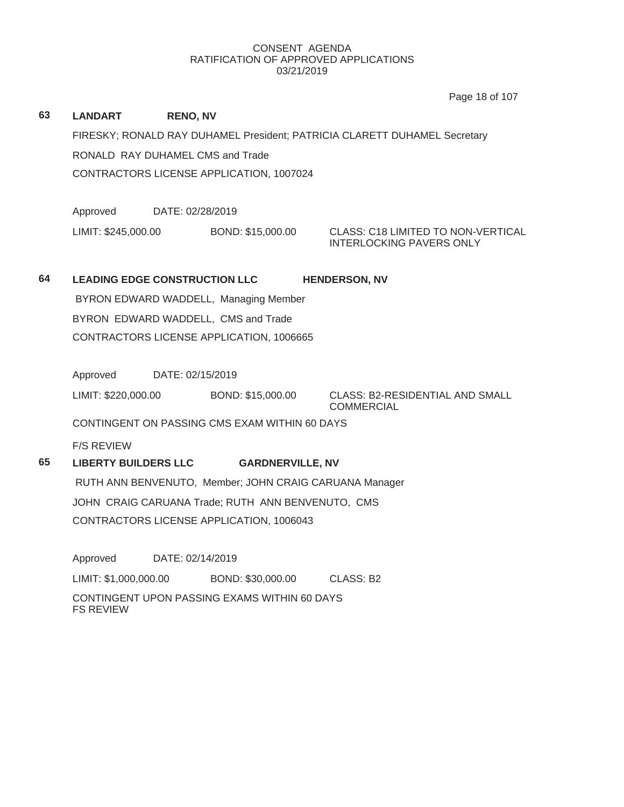|    |                                          |                  |                                                        | Page 18 of 107                                                               |  |
|----|------------------------------------------|------------------|--------------------------------------------------------|------------------------------------------------------------------------------|--|
| 63 | <b>LANDART</b>                           | <b>RENO, NV</b>  |                                                        |                                                                              |  |
|    |                                          |                  |                                                        | FIRESKY; RONALD RAY DUHAMEL President; PATRICIA CLARETT DUHAMEL Secretary    |  |
|    | RONALD RAY DUHAMEL CMS and Trade         |                  |                                                        |                                                                              |  |
|    | CONTRACTORS LICENSE APPLICATION, 1007024 |                  |                                                        |                                                                              |  |
|    |                                          |                  |                                                        |                                                                              |  |
|    | Approved                                 | DATE: 02/28/2019 |                                                        |                                                                              |  |
|    | LIMIT: \$245,000.00                      |                  | BOND: \$15,000.00                                      | <b>CLASS: C18 LIMITED TO NON-VERTICAL</b><br><b>INTERLOCKING PAVERS ONLY</b> |  |
|    |                                          |                  |                                                        |                                                                              |  |
| 64 | <b>LEADING EDGE CONSTRUCTION LLC</b>     |                  |                                                        | <b>HENDERSON, NV</b>                                                         |  |
|    | BYRON EDWARD WADDELL, Managing Member    |                  |                                                        |                                                                              |  |
|    | BYRON EDWARD WADDELL, CMS and Trade      |                  |                                                        |                                                                              |  |
|    | CONTRACTORS LICENSE APPLICATION, 1006665 |                  |                                                        |                                                                              |  |
|    |                                          |                  |                                                        |                                                                              |  |
|    | Approved                                 | DATE: 02/15/2019 |                                                        |                                                                              |  |
|    | LIMIT: \$220,000.00                      |                  | BOND: \$15,000.00                                      | CLASS: B2-RESIDENTIAL AND SMALL<br><b>COMMERCIAL</b>                         |  |
|    |                                          |                  | CONTINGENT ON PASSING CMS EXAM WITHIN 60 DAYS          |                                                                              |  |
|    | <b>F/S REVIEW</b>                        |                  |                                                        |                                                                              |  |
| 65 | <b>LIBERTY BUILDERS LLC</b>              |                  | <b>GARDNERVILLE, NV</b>                                |                                                                              |  |
|    |                                          |                  | RUTH ANN BENVENUTO, Member; JOHN CRAIG CARUANA Manager |                                                                              |  |
|    |                                          |                  | JOHN CRAIG CARUANA Trade; RUTH ANN BENVENUTO, CMS      |                                                                              |  |
|    |                                          |                  |                                                        |                                                                              |  |

CONTRACTORS LICENSE APPLICATION, 1006043

Approved DATE: 02/14/2019 LIMIT: \$1,000,000.00 BOND: \$30,000.00 CLASS: B2 CONTINGENT UPON PASSING EXAMS WITHIN 60 DAYS FS REVIEW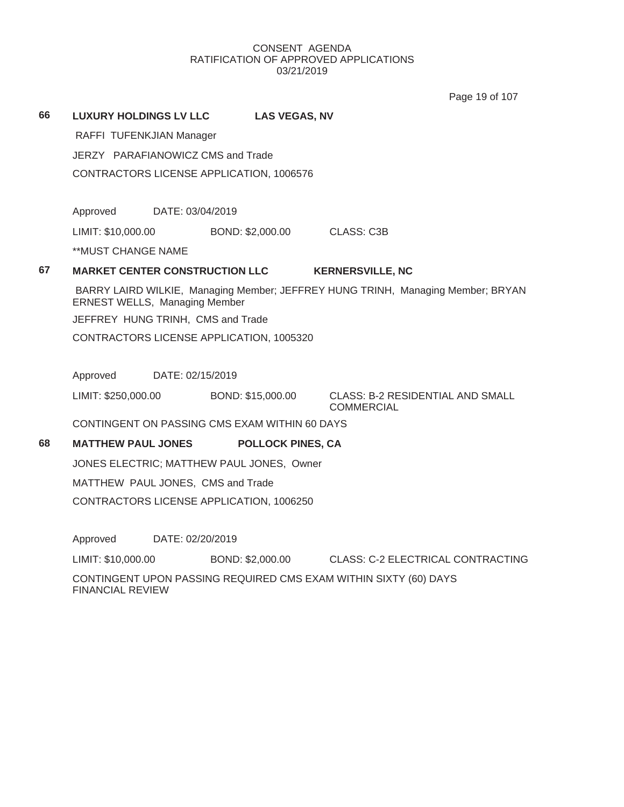Page 19 of 107

**66 LUXURY HOLDINGS LV LLC LAS VEGAS, NV** RAFFI TUFENKJIAN Manager JERZY PARAFIANOWICZ CMS and Trade CONTRACTORS LICENSE APPLICATION, 1006576 Approved DATE: 03/04/2019 LIMIT: \$10,000.00 BOND: \$2,000.00 CLASS: C3B \*\*MUST CHANGE NAME **67 MARKET CENTER CONSTRUCTION LLC KERNERSVILLE, NC** BARRY LAIRD WILKIE, Managing Member; JEFFREY HUNG TRINH, Managing Member; BRYAN ERNEST WELLS, Managing Member JEFFREY HUNG TRINH, CMS and Trade CONTRACTORS LICENSE APPLICATION, 1005320 Approved DATE: 02/15/2019 LIMIT: \$250,000.00 BOND: \$15,000.00 CLASS: B-2 RESIDENTIAL AND SMALL COMMERCIAL CONTINGENT ON PASSING CMS EXAM WITHIN 60 DAYS **68 MATTHEW PAUL JONES POLLOCK PINES, CA** JONES ELECTRIC; MATTHEW PAUL JONES, Owner MATTHEW PAUL JONES, CMS and Trade CONTRACTORS LICENSE APPLICATION, 1006250 Approved DATE: 02/20/2019 LIMIT: \$10,000.00 BOND: \$2,000.00 CLASS: C-2 ELECTRICAL CONTRACTING CONTINGENT UPON PASSING REQUIRED CMS EXAM WITHIN SIXTY (60) DAYS

FINANCIAL REVIEW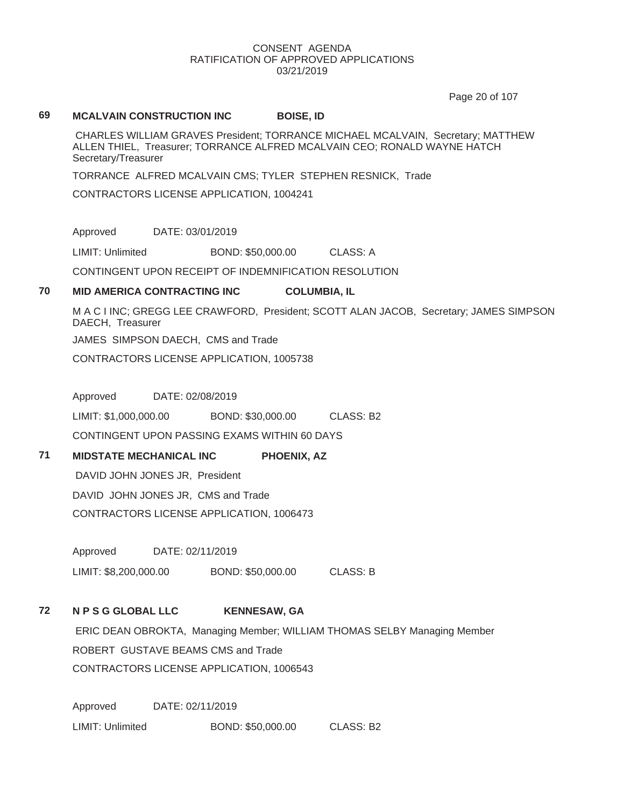Page 20 of 107

### **69 MCALVAIN CONSTRUCTION INC BOISE, ID**

CHARLES WILLIAM GRAVES President; TORRANCE MICHAEL MCALVAIN, Secretary; MATTHEW ALLEN THIEL, Treasurer; TORRANCE ALFRED MCALVAIN CEO; RONALD WAYNE HATCH Secretary/Treasurer

TORRANCE ALFRED MCALVAIN CMS; TYLER STEPHEN RESNICK, Trade

CONTRACTORS LICENSE APPLICATION, 1004241

Approved DATE: 03/01/2019

LIMIT: Unlimited BOND: \$50,000.00 CLASS: A

CONTINGENT UPON RECEIPT OF INDEMNIFICATION RESOLUTION

# **70 MID AMERICA CONTRACTING INC COLUMBIA, IL**

M A C I INC; GREGG LEE CRAWFORD, President; SCOTT ALAN JACOB, Secretary; JAMES SIMPSON DAECH, Treasurer

JAMES SIMPSON DAECH, CMS and Trade

CONTRACTORS LICENSE APPLICATION, 1005738

Approved DATE: 02/08/2019

LIMIT: \$1,000,000.00 BOND: \$30,000.00 CLASS: B2

CONTINGENT UPON PASSING EXAMS WITHIN 60 DAYS

# **71 MIDSTATE MECHANICAL INC PHOENIX, AZ**

DAVID JOHN JONES JR, President DAVID JOHN JONES JR, CMS and Trade CONTRACTORS LICENSE APPLICATION, 1006473

Approved DATE: 02/11/2019

LIMIT: \$8,200,000.00 BOND: \$50,000.00 CLASS: B

# **72 N P S G GLOBAL LLC KENNESAW, GA**

ERIC DEAN OBROKTA, Managing Member; WILLIAM THOMAS SELBY Managing Member ROBERT GUSTAVE BEAMS CMS and Trade CONTRACTORS LICENSE APPLICATION, 1006543

Approved DATE: 02/11/2019 LIMIT: Unlimited BOND: \$50,000.00 CLASS: B2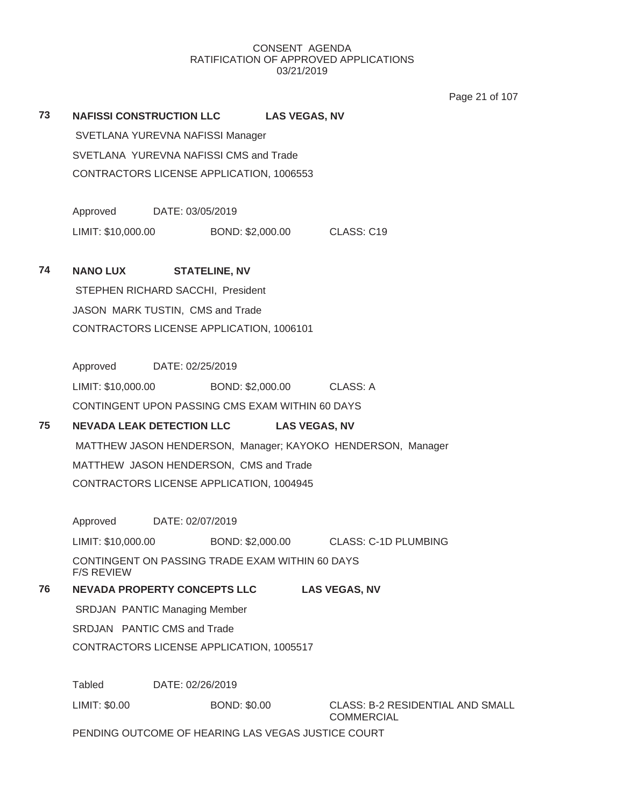Page 21 of 107

**73 NAFISSI CONSTRUCTION LLC LAS VEGAS, NV**

SVETLANA YUREVNA NAFISSI Manager SVETLANA YUREVNA NAFISSI CMS and Trade CONTRACTORS LICENSE APPLICATION, 1006553

Approved DATE: 03/05/2019

LIMIT: \$10,000.00 BOND: \$2,000.00 CLASS: C19

## **74 NANO LUX STATELINE, NV**

STEPHEN RICHARD SACCHI, President JASON MARK TUSTIN, CMS and Trade CONTRACTORS LICENSE APPLICATION, 1006101

Approved DATE: 02/25/2019 LIMIT: \$10,000.00 BOND: \$2,000.00 CLASS: A CONTINGENT UPON PASSING CMS EXAM WITHIN 60 DAYS

# **75 NEVADA LEAK DETECTION LLC LAS VEGAS, NV**

MATTHEW JASON HENDERSON, Manager; KAYOKO HENDERSON, Manager MATTHEW JASON HENDERSON, CMS and Trade CONTRACTORS LICENSE APPLICATION, 1004945

Approved DATE: 02/07/2019

LIMIT: \$10,000.00 BOND: \$2,000.00 CLASS: C-1D PLUMBING CONTINGENT ON PASSING TRADE EXAM WITHIN 60 DAYS F/S REVIEW

# **76 NEVADA PROPERTY CONCEPTS LLC LAS VEGAS, NV**

SRDJAN PANTIC Managing Member

SRDJAN PANTIC CMS and Trade

CONTRACTORS LICENSE APPLICATION, 1005517

Tabled DATE: 02/26/2019

LIMIT: \$0.00 BOND: \$0.00 CLASS: B-2 RESIDENTIAL AND SMALL

COMMERCIAL

PENDING OUTCOME OF HEARING LAS VEGAS JUSTICE COURT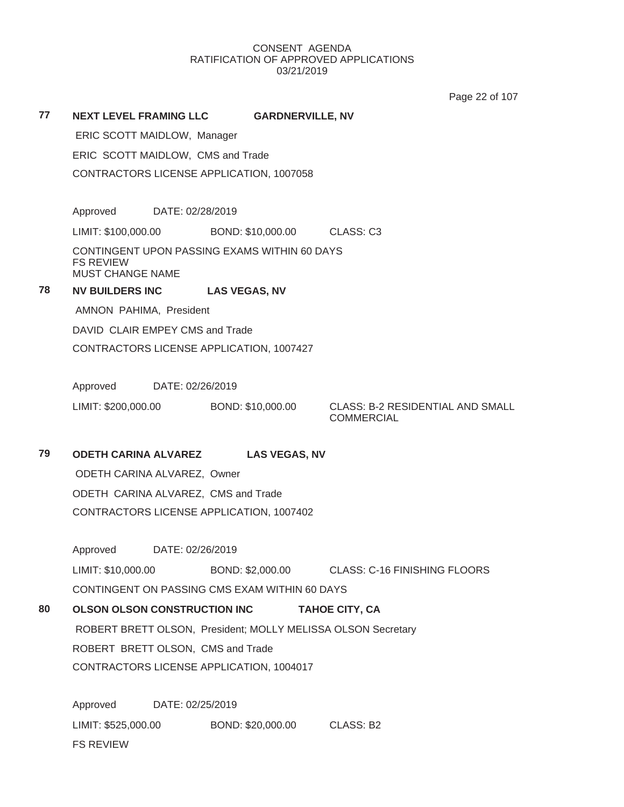Page 22 of 107

|    |                                                                                             |                      |                                                              | Page 22 of 107 |
|----|---------------------------------------------------------------------------------------------|----------------------|--------------------------------------------------------------|----------------|
| 77 | <b>NEXT LEVEL FRAMING LLC</b>                                                               |                      | <b>GARDNERVILLE, NV</b>                                      |                |
|    | ERIC SCOTT MAIDLOW, Manager                                                                 |                      |                                                              |                |
|    | ERIC SCOTT MAIDLOW, CMS and Trade                                                           |                      |                                                              |                |
|    | CONTRACTORS LICENSE APPLICATION, 1007058                                                    |                      |                                                              |                |
|    |                                                                                             |                      |                                                              |                |
|    | Approved<br>DATE: 02/28/2019                                                                |                      |                                                              |                |
|    | LIMIT: \$100,000.00                                                                         |                      | BOND: \$10,000.00 CLASS: C3                                  |                |
|    | CONTINGENT UPON PASSING EXAMS WITHIN 60 DAYS<br><b>FS REVIEW</b><br><b>MUST CHANGE NAME</b> |                      |                                                              |                |
| 78 | <b>NV BUILDERS INC</b>                                                                      | <b>LAS VEGAS, NV</b> |                                                              |                |
|    | AMNON PAHIMA, President                                                                     |                      |                                                              |                |
|    | DAVID CLAIR EMPEY CMS and Trade                                                             |                      |                                                              |                |
|    | CONTRACTORS LICENSE APPLICATION, 1007427                                                    |                      |                                                              |                |
|    |                                                                                             |                      |                                                              |                |
|    | Approved<br>DATE: 02/26/2019                                                                |                      |                                                              |                |
|    | LIMIT: \$200,000.00                                                                         | BOND: \$10,000.00    | CLASS: B-2 RESIDENTIAL AND SMALL<br><b>COMMERCIAL</b>        |                |
| 79 | <b>ODETH CARINA ALVAREZ</b>                                                                 |                      | <b>LAS VEGAS, NV</b>                                         |                |
|    | ODETH CARINA ALVAREZ, Owner                                                                 |                      |                                                              |                |
|    | ODETH CARINA ALVAREZ, CMS and Trade                                                         |                      |                                                              |                |
|    | CONTRACTORS LICENSE APPLICATION, 1007402                                                    |                      |                                                              |                |
|    | Approved DATE: 02/26/2019                                                                   |                      |                                                              |                |
|    | LIMIT: \$10,000.00                                                                          |                      | BOND: \$2,000.00 CLASS: C-16 FINISHING FLOORS                |                |
|    | CONTINGENT ON PASSING CMS EXAM WITHIN 60 DAYS                                               |                      |                                                              |                |
| 80 | OLSON OLSON CONSTRUCTION INC                                                                |                      | <b>TAHOE CITY, CA</b>                                        |                |
|    |                                                                                             |                      | ROBERT BRETT OLSON, President; MOLLY MELISSA OLSON Secretary |                |
|    | ROBERT BRETT OLSON, CMS and Trade                                                           |                      |                                                              |                |
|    | CONTRACTORS LICENSE APPLICATION, 1004017                                                    |                      |                                                              |                |
|    |                                                                                             |                      |                                                              |                |
|    | Approved DATE: 02/25/2019                                                                   |                      |                                                              |                |
|    | LIMIT: \$525,000.00                                                                         |                      | BOND: \$20,000.00 CLASS: B2                                  |                |
|    | <b>FS REVIEW</b>                                                                            |                      |                                                              |                |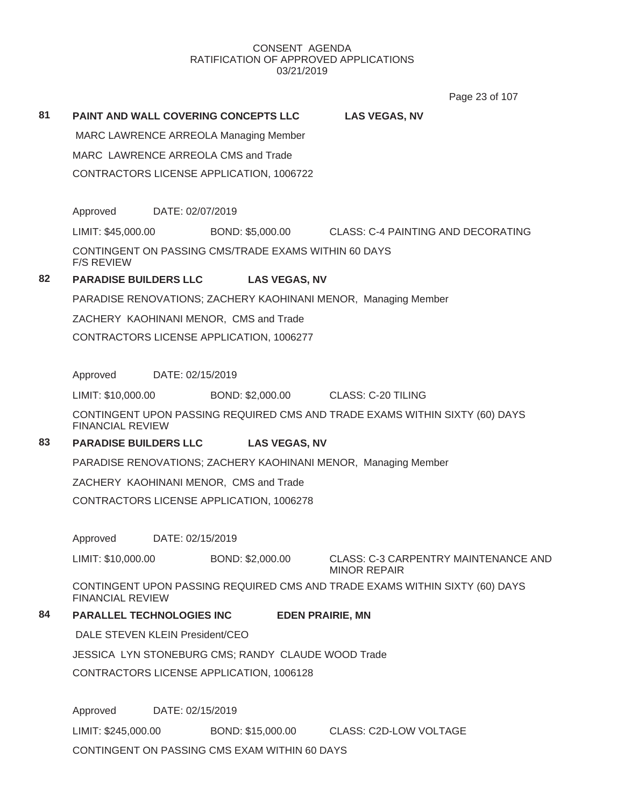Page 23 of 107

## **81 PAINT AND WALL COVERING CONCEPTS LLC LAS VEGAS, NV**

MARC LAWRENCE ARREOLA Managing Member MARC LAWRENCE ARREOLA CMS and Trade CONTRACTORS LICENSE APPLICATION, 1006722

Approved DATE: 02/07/2019

LIMIT: \$45,000.00 BOND: \$5,000.00 CLASS: C-4 PAINTING AND DECORATING

CONTINGENT ON PASSING CMS/TRADE EXAMS WITHIN 60 DAYS F/S REVIEW

# **82 PARADISE BUILDERS LLC LAS VEGAS, NV**

PARADISE RENOVATIONS; ZACHERY KAOHINANI MENOR, Managing Member

ZACHERY KAOHINANI MENOR, CMS and Trade

CONTRACTORS LICENSE APPLICATION, 1006277

Approved DATE: 02/15/2019

LIMIT: \$10,000.00 BOND: \$2,000.00 CLASS: C-20 TILING

CONTINGENT UPON PASSING REQUIRED CMS AND TRADE EXAMS WITHIN SIXTY (60) DAYS FINANCIAL REVIEW

# **83 PARADISE BUILDERS LLC LAS VEGAS, NV**

PARADISE RENOVATIONS; ZACHERY KAOHINANI MENOR, Managing Member

ZACHERY KAOHINANI MENOR, CMS and Trade

CONTRACTORS LICENSE APPLICATION, 1006278

Approved DATE: 02/15/2019

LIMIT: \$10,000.00 BOND: \$2,000.00 CLASS: C-3 CARPENTRY MAINTENANCE AND MINOR REPAIR

CONTINGENT UPON PASSING REQUIRED CMS AND TRADE EXAMS WITHIN SIXTY (60) DAYS FINANCIAL REVIEW

# **84 PARALLEL TECHNOLOGIES INC EDEN PRAIRIE, MN**

DALE STEVEN KLEIN President/CEO

JESSICA LYN STONEBURG CMS; RANDY CLAUDE WOOD Trade

CONTRACTORS LICENSE APPLICATION, 1006128

Approved DATE: 02/15/2019 LIMIT: \$245,000.00 BOND: \$15,000.00 CLASS: C2D-LOW VOLTAGE CONTINGENT ON PASSING CMS EXAM WITHIN 60 DAYS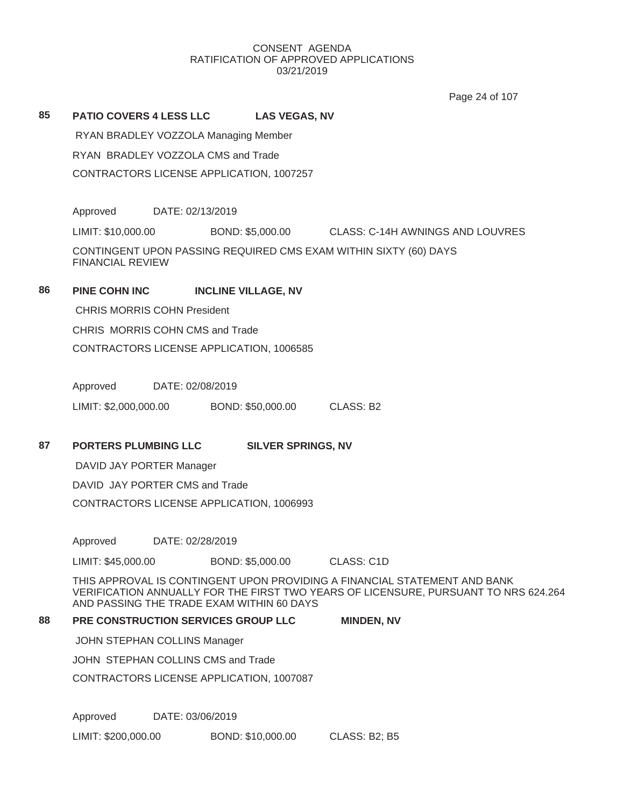Page 24 of 107

## **85 PATIO COVERS 4 LESS LLC LAS VEGAS, NV**

RYAN BRADLEY VOZZOLA Managing Member

RYAN BRADLEY VOZZOLA CMS and Trade

CONTRACTORS LICENSE APPLICATION, 1007257

Approved DATE: 02/13/2019

LIMIT: \$10,000.00 BOND: \$5,000.00 CLASS: C-14H AWNINGS AND LOUVRES

CONTINGENT UPON PASSING REQUIRED CMS EXAM WITHIN SIXTY (60) DAYS FINANCIAL REVIEW

## **86 PINE COHN INC INCLINE VILLAGE, NV**

CHRIS MORRIS COHN President

CHRIS MORRIS COHN CMS and Trade

CONTRACTORS LICENSE APPLICATION, 1006585

Approved DATE: 02/08/2019

LIMIT: \$2,000,000.00 BOND: \$50,000.00 CLASS: B2

**87 PORTERS PLUMBING LLC SILVER SPRINGS, NV**

DAVID JAY PORTER Manager

DAVID JAY PORTER CMS and Trade

CONTRACTORS LICENSE APPLICATION, 1006993

Approved DATE: 02/28/2019

LIMIT: \$45,000.00 BOND: \$5,000.00 CLASS: C1D

THIS APPROVAL IS CONTINGENT UPON PROVIDING A FINANCIAL STATEMENT AND BANK VERIFICATION ANNUALLY FOR THE FIRST TWO YEARS OF LICENSURE, PURSUANT TO NRS 624.264 AND PASSING THE TRADE EXAM WITHIN 60 DAYS

# **88 PRE CONSTRUCTION SERVICES GROUP LLC MINDEN, NV**

JOHN STEPHAN COLLINS Manager

JOHN STEPHAN COLLINS CMS and Trade

CONTRACTORS LICENSE APPLICATION, 1007087

Approved DATE: 03/06/2019

LIMIT: \$200,000.00 BOND: \$10,000.00 CLASS: B2; B5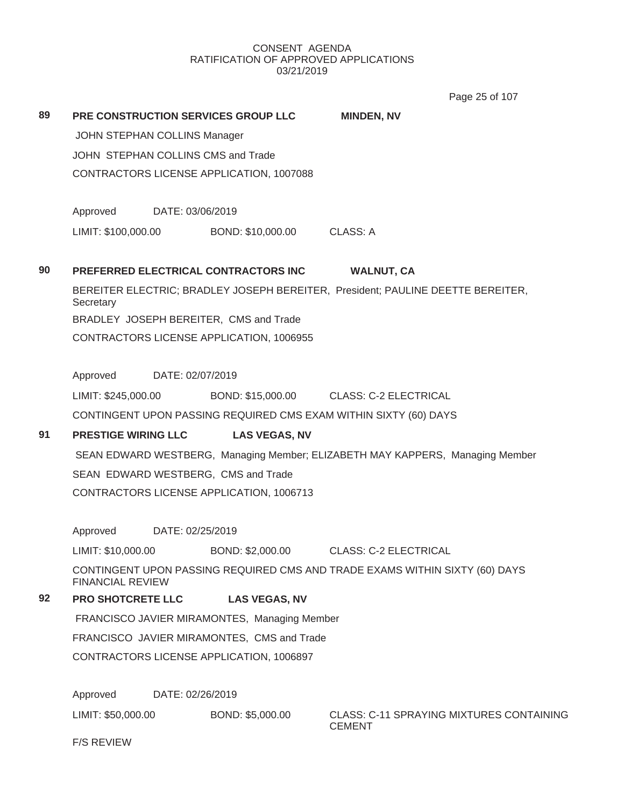Page 25 of 107

|    |                                              |                  |                                            |                                                                                 | $1$ ayd $20$ VI $101$ |
|----|----------------------------------------------|------------------|--------------------------------------------|---------------------------------------------------------------------------------|-----------------------|
| 89 |                                              |                  | <b>PRE CONSTRUCTION SERVICES GROUP LLC</b> | <b>MINDEN, NV</b>                                                               |                       |
|    | JOHN STEPHAN COLLINS Manager                 |                  |                                            |                                                                                 |                       |
|    |                                              |                  | JOHN STEPHAN COLLINS CMS and Trade         |                                                                                 |                       |
|    |                                              |                  | CONTRACTORS LICENSE APPLICATION, 1007088   |                                                                                 |                       |
|    | Approved                                     | DATE: 03/06/2019 |                                            |                                                                                 |                       |
|    | LIMIT: \$100,000.00                          |                  | BOND: \$10,000.00                          | CLASS: A                                                                        |                       |
| 90 |                                              |                  | PREFERRED ELECTRICAL CONTRACTORS INC       | <b>WALNUT, CA</b>                                                               |                       |
|    | Secretary                                    |                  |                                            | BEREITER ELECTRIC; BRADLEY JOSEPH BEREITER, President; PAULINE DEETTE BEREITER, |                       |
|    |                                              |                  | BRADLEY JOSEPH BEREITER, CMS and Trade     |                                                                                 |                       |
|    |                                              |                  | CONTRACTORS LICENSE APPLICATION, 1006955   |                                                                                 |                       |
|    | Approved                                     | DATE: 02/07/2019 |                                            |                                                                                 |                       |
|    | LIMIT: \$245,000.00                          |                  | BOND: \$15,000.00                          | <b>CLASS: C-2 ELECTRICAL</b>                                                    |                       |
|    |                                              |                  |                                            | CONTINGENT UPON PASSING REQUIRED CMS EXAM WITHIN SIXTY (60) DAYS                |                       |
| 91 | <b>PRESTIGE WIRING LLC</b>                   |                  | <b>LAS VEGAS, NV</b>                       |                                                                                 |                       |
|    |                                              |                  |                                            | SEAN EDWARD WESTBERG, Managing Member; ELIZABETH MAY KAPPERS, Managing Member   |                       |
|    |                                              |                  | SEAN EDWARD WESTBERG, CMS and Trade        |                                                                                 |                       |
|    |                                              |                  | CONTRACTORS LICENSE APPLICATION, 1006713   |                                                                                 |                       |
|    | Approved                                     | DATE: 02/25/2019 |                                            |                                                                                 |                       |
|    | LIMIT: \$10,000.00                           |                  | BOND: \$2,000.00                           | <b>CLASS: C-2 ELECTRICAL</b>                                                    |                       |
|    | <b>FINANCIAL REVIEW</b>                      |                  |                                            | CONTINGENT UPON PASSING REQUIRED CMS AND TRADE EXAMS WITHIN SIXTY (60) DAYS     |                       |
| 92 | <b>PRO SHOTCRETE LLC</b>                     |                  | <b>LAS VEGAS, NV</b>                       |                                                                                 |                       |
|    | FRANCISCO JAVIER MIRAMONTES, Managing Member |                  |                                            |                                                                                 |                       |
|    | FRANCISCO JAVIER MIRAMONTES, CMS and Trade   |                  |                                            |                                                                                 |                       |
|    |                                              |                  | CONTRACTORS LICENSE APPLICATION, 1006897   |                                                                                 |                       |
|    | Approved                                     |                  | DATE: 02/26/2019                           |                                                                                 |                       |
|    | LIMIT: \$50,000.00                           |                  | BOND: \$5,000.00                           | CLASS: C-11 SPRAYING MIXTURES CONTA                                             |                       |

**ES CONTAINING** CEMENT

F/S REVIEW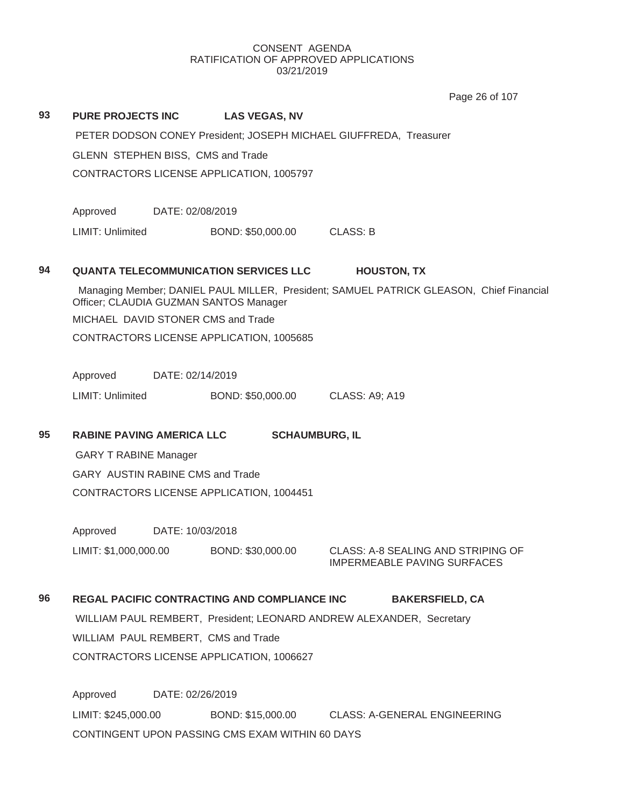PETER DODSON CONEY President; JOSEPH MICHAEL GIUFFREDA, Treasurer

**93 PURE PROJECTS INC LAS VEGAS, NV**

Page 26 of 107

# GLENN STEPHEN BISS, CMS and Trade CONTRACTORS LICENSE APPLICATION, 1005797 Approved DATE: 02/08/2019 LIMIT: Unlimited BOND: \$50,000.00 CLASS: B **94 QUANTA TELECOMMUNICATION SERVICES LLC HOUSTON, TX** Managing Member; DANIEL PAUL MILLER, President; SAMUEL PATRICK GLEASON, Chief Financial Officer; CLAUDIA GUZMAN SANTOS Manager MICHAEL DAVID STONER CMS and Trade CONTRACTORS LICENSE APPLICATION, 1005685 Approved DATE: 02/14/2019 LIMIT: Unlimited BOND: \$50,000.00 CLASS: A9; A19 **95 RABINE PAVING AMERICA LLC SCHAUMBURG, IL** GARY T RABINE Manager GARY AUSTIN RABINE CMS and Trade CONTRACTORS LICENSE APPLICATION, 1004451 Approved DATE: 10/03/2018 LIMIT: \$1,000,000.00 BOND: \$30,000.00 CLASS: A-8 SEALING AND STRIPING OF IMPERMEABLE PAVING SURFACES **96 REGAL PACIFIC CONTRACTING AND COMPLIANCE INC BAKERSFIELD, CA** WILLIAM PAUL REMBERT, President; LEONARD ANDREW ALEXANDER, Secretary WILLIAM PAUL REMBERT, CMS and Trade CONTRACTORS LICENSE APPLICATION, 1006627 Approved DATE: 02/26/2019 LIMIT: \$245,000.00 BOND: \$15,000.00 CLASS: A-GENERAL ENGINEERING CONTINGENT UPON PASSING CMS EXAM WITHIN 60 DAYS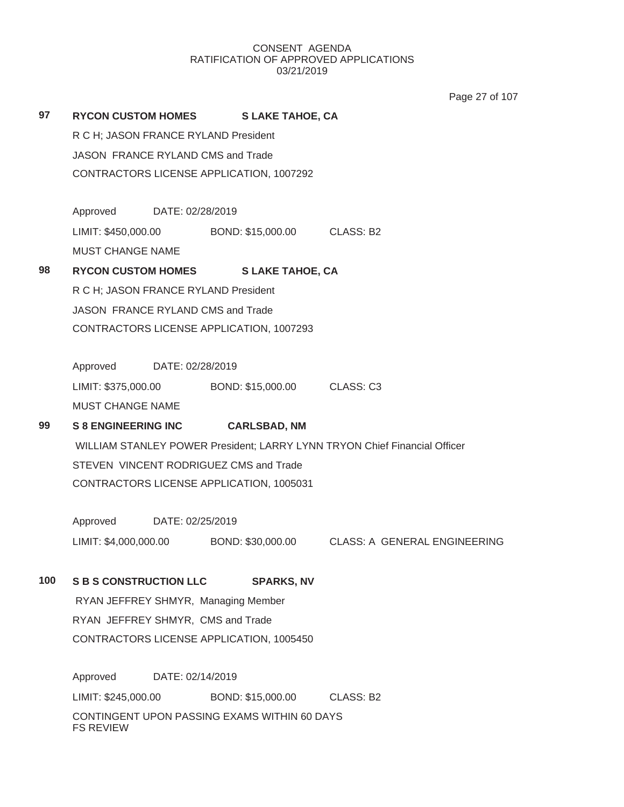Page 27 of 107

| 97  | <b>RYCON CUSTOM HOMES</b><br><b>SLAKE TAHOE, CA</b>                       |  |  |  |
|-----|---------------------------------------------------------------------------|--|--|--|
|     | R C H; JASON FRANCE RYLAND President                                      |  |  |  |
|     | JASON FRANCE RYLAND CMS and Trade                                         |  |  |  |
|     | CONTRACTORS LICENSE APPLICATION, 1007292                                  |  |  |  |
|     |                                                                           |  |  |  |
|     | Approved DATE: 02/28/2019                                                 |  |  |  |
|     | LIMIT: \$450,000.00<br>BOND: \$15,000.00 CLASS: B2                        |  |  |  |
|     | <b>MUST CHANGE NAME</b>                                                   |  |  |  |
| 98  | <b>RYCON CUSTOM HOMES</b><br><b>SLAKE TAHOE, CA</b>                       |  |  |  |
|     | R C H; JASON FRANCE RYLAND President                                      |  |  |  |
|     | JASON FRANCE RYLAND CMS and Trade                                         |  |  |  |
|     | CONTRACTORS LICENSE APPLICATION, 1007293                                  |  |  |  |
|     |                                                                           |  |  |  |
|     | Approved DATE: 02/28/2019                                                 |  |  |  |
|     | LIMIT: \$375,000.00<br>BOND: \$15,000.00 CLASS: C3                        |  |  |  |
|     | <b>MUST CHANGE NAME</b>                                                   |  |  |  |
| 99  | <b>S 8 ENGINEERING INC</b><br><b>CARLSBAD, NM</b>                         |  |  |  |
|     | WILLIAM STANLEY POWER President; LARRY LYNN TRYON Chief Financial Officer |  |  |  |
|     | STEVEN VINCENT RODRIGUEZ CMS and Trade                                    |  |  |  |
|     | CONTRACTORS LICENSE APPLICATION, 1005031                                  |  |  |  |
|     |                                                                           |  |  |  |
|     | Approved DATE: 02/25/2019                                                 |  |  |  |
|     | LIMIT: \$4,000,000.00<br>BOND: \$30,000.00 CLASS: A GENERAL ENGINEERING   |  |  |  |
|     |                                                                           |  |  |  |
| 100 | <b>S B S CONSTRUCTION LLC</b><br><b>SPARKS, NV</b>                        |  |  |  |
|     | RYAN JEFFREY SHMYR, Managing Member                                       |  |  |  |
|     | RYAN JEFFREY SHMYR, CMS and Trade                                         |  |  |  |
|     | CONTRACTORS LICENSE APPLICATION, 1005450                                  |  |  |  |
|     |                                                                           |  |  |  |
|     | Approved<br>DATE: 02/14/2019                                              |  |  |  |
|     | LIMIT: \$245,000.00<br>BOND: \$15,000.00<br>CLASS: B2                     |  |  |  |
|     | CONTINGENT UPON PASSING EXAMS WITHIN 60 DAYS                              |  |  |  |

FS REVIEW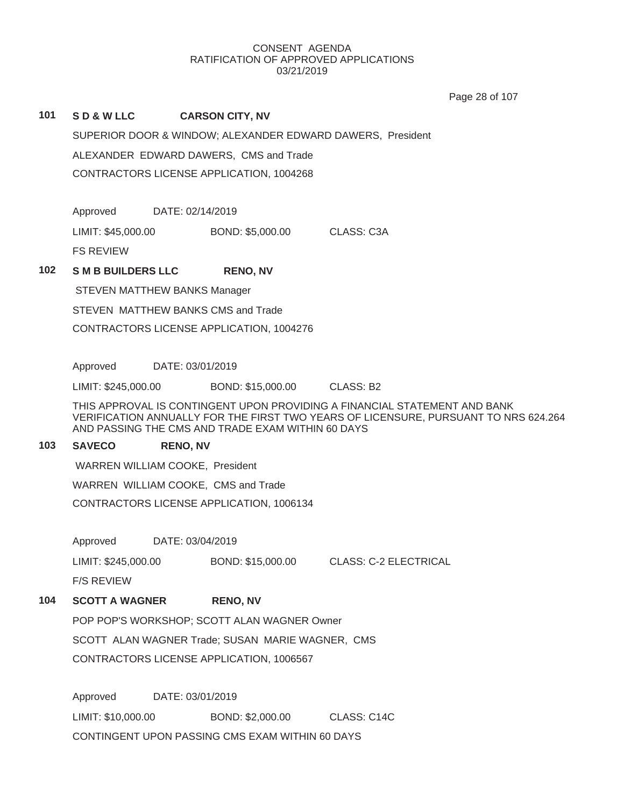Page 28 of 107

## **101 S D & W LLC CARSON CITY, NV**

SUPERIOR DOOR & WINDOW; ALEXANDER EDWARD DAWERS, President

ALEXANDER EDWARD DAWERS, CMS and Trade

CONTRACTORS LICENSE APPLICATION, 1004268

Approved DATE: 02/14/2019

LIMIT: \$45,000.00 BOND: \$5,000.00 CLASS: C3A

FS REVIEW

**102 S M B BUILDERS LLC RENO, NV**

STEVEN MATTHEW BANKS Manager

STEVEN MATTHEW BANKS CMS and Trade

CONTRACTORS LICENSE APPLICATION, 1004276

Approved DATE: 03/01/2019

LIMIT: \$245,000.00 BOND: \$15,000.00 CLASS: B2

THIS APPROVAL IS CONTINGENT UPON PROVIDING A FINANCIAL STATEMENT AND BANK VERIFICATION ANNUALLY FOR THE FIRST TWO YEARS OF LICENSURE, PURSUANT TO NRS 624.264 AND PASSING THE CMS AND TRADE EXAM WITHIN 60 DAYS

# **103 SAVECO RENO, NV**

WARREN WILLIAM COOKE, President

WARREN WILLIAM COOKE, CMS and Trade

CONTRACTORS LICENSE APPLICATION, 1006134

Approved DATE: 03/04/2019

LIMIT: \$245,000.00 BOND: \$15,000.00 CLASS: C-2 ELECTRICAL

F/S REVIEW

# **104 SCOTT A WAGNER RENO, NV**

POP POP'S WORKSHOP; SCOTT ALAN WAGNER Owner SCOTT ALAN WAGNER Trade; SUSAN MARIE WAGNER, CMS CONTRACTORS LICENSE APPLICATION, 1006567

Approved DATE: 03/01/2019 LIMIT: \$10,000.00 BOND: \$2,000.00 CLASS: C14C CONTINGENT UPON PASSING CMS EXAM WITHIN 60 DAYS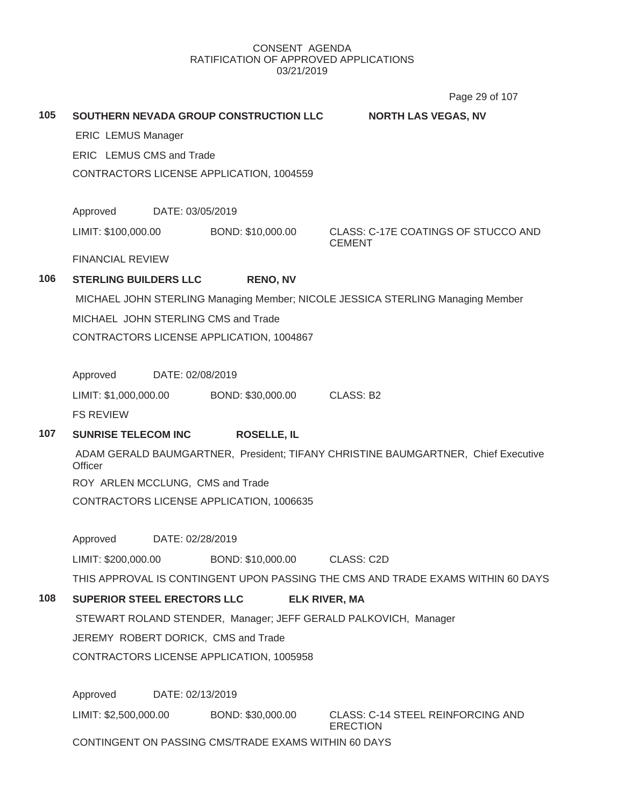Page 29 of 107

| 105 | <b>ERIC LEMUS Manager</b><br>ERIC LEMUS CMS and Trade |                  | SOUTHERN NEVADA GROUP CONSTRUCTION LLC            | <b>NORTH LAS VEGAS, NV</b>                                                        |
|-----|-------------------------------------------------------|------------------|---------------------------------------------------|-----------------------------------------------------------------------------------|
|     |                                                       |                  | CONTRACTORS LICENSE APPLICATION, 1004559          |                                                                                   |
|     | Approved DATE: 03/05/2019                             |                  |                                                   |                                                                                   |
|     | LIMIT: \$100,000.00                                   |                  | BOND: \$10,000.00                                 | CLASS: C-17E COATINGS OF STUCCO AND<br><b>CEMENT</b>                              |
|     | <b>FINANCIAL REVIEW</b>                               |                  |                                                   |                                                                                   |
| 106 | <b>STERLING BUILDERS LLC</b>                          |                  | <b>RENO, NV</b>                                   |                                                                                   |
|     |                                                       |                  |                                                   | MICHAEL JOHN STERLING Managing Member; NICOLE JESSICA STERLING Managing Member    |
|     |                                                       |                  | MICHAEL JOHN STERLING CMS and Trade               |                                                                                   |
|     |                                                       |                  | CONTRACTORS LICENSE APPLICATION, 1004867          |                                                                                   |
|     | Approved DATE: 02/08/2019                             |                  |                                                   |                                                                                   |
|     |                                                       |                  | LIMIT: \$1,000,000.00 BOND: \$30,000.00 CLASS: B2 |                                                                                   |
|     | <b>FS REVIEW</b>                                      |                  |                                                   |                                                                                   |
| 107 | <b>SUNRISE TELECOM INC</b>                            |                  | <b>ROSELLE, IL</b>                                |                                                                                   |
|     | Officer                                               |                  |                                                   | ADAM GERALD BAUMGARTNER, President; TIFANY CHRISTINE BAUMGARTNER, Chief Executive |
|     | ROY ARLEN MCCLUNG, CMS and Trade                      |                  |                                                   |                                                                                   |
|     |                                                       |                  | CONTRACTORS LICENSE APPLICATION, 1006635          |                                                                                   |
|     | Approved                                              | DATE: 02/28/2019 |                                                   |                                                                                   |
|     |                                                       |                  | LIMIT: \$200,000.00 BOND: \$10,000.00 CLASS: C2D  |                                                                                   |
|     |                                                       |                  |                                                   | THIS APPROVAL IS CONTINGENT UPON PASSING THE CMS AND TRADE EXAMS WITHIN 60 DAYS   |
| 108 | <b>SUPERIOR STEEL ERECTORS LLC</b>                    |                  |                                                   | <b>ELK RIVER, MA</b>                                                              |
|     |                                                       |                  |                                                   | STEWART ROLAND STENDER, Manager; JEFF GERALD PALKOVICH, Manager                   |
|     |                                                       |                  | JEREMY ROBERT DORICK, CMS and Trade               |                                                                                   |
|     |                                                       |                  | CONTRACTORS LICENSE APPLICATION, 1005958          |                                                                                   |
|     | Approved                                              | DATE: 02/13/2019 |                                                   |                                                                                   |
|     | LIMIT: \$2,500,000.00                                 |                  | BOND: \$30,000.00                                 | <b>CLASS: C-14 STEEL REINFORCING AND</b><br><b>ERECTION</b>                       |
|     | CONTINGENT ON PASSING CMS/TRADE EXAMS WITHIN 60 DAYS  |                  |                                                   |                                                                                   |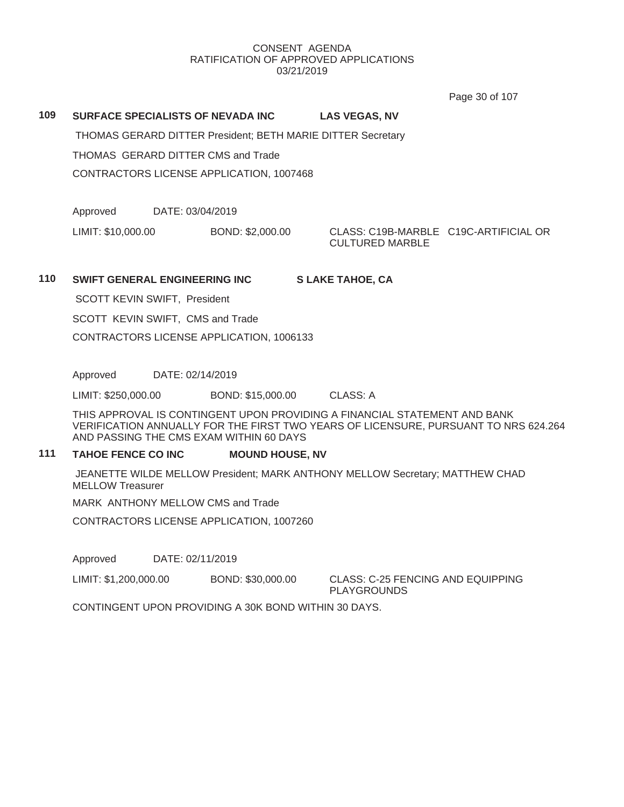Page 30 of 107

# **109 SURFACE SPECIALISTS OF NEVADA INC LAS VEGAS, NV**

THOMAS GERARD DITTER President; BETH MARIE DITTER Secretary

THOMAS GERARD DITTER CMS and Trade

CONTRACTORS LICENSE APPLICATION, 1007468

Approved DATE: 03/04/2019

LIMIT: \$10,000.00 BOND: \$2,000.00 CLASS: C19B-MARBLE C19C-ARTIFICIAL OR CULTURED MARBLE

# **110 SWIFT GENERAL ENGINEERING INC S LAKE TAHOE, CA**

SCOTT KEVIN SWIFT, President

SCOTT KEVIN SWIFT, CMS and Trade

CONTRACTORS LICENSE APPLICATION, 1006133

Approved DATE: 02/14/2019

LIMIT: \$250,000.00 BOND: \$15,000.00 CLASS: A

THIS APPROVAL IS CONTINGENT UPON PROVIDING A FINANCIAL STATEMENT AND BANK VERIFICATION ANNUALLY FOR THE FIRST TWO YEARS OF LICENSURE, PURSUANT TO NRS 624.264 AND PASSING THE CMS EXAM WITHIN 60 DAYS

# **111 TAHOE FENCE CO INC MOUND HOUSE, NV**

JEANETTE WILDE MELLOW President; MARK ANTHONY MELLOW Secretary; MATTHEW CHAD MELLOW Treasurer

MARK ANTHONY MELLOW CMS and Trade

CONTRACTORS LICENSE APPLICATION, 1007260

Approved DATE: 02/11/2019

LIMIT: \$1,200,000.00 BOND: \$30,000.00 CLASS: C-25 FENCING AND EQUIPPING

PLAYGROUNDS

CONTINGENT UPON PROVIDING A 30K BOND WITHIN 30 DAYS.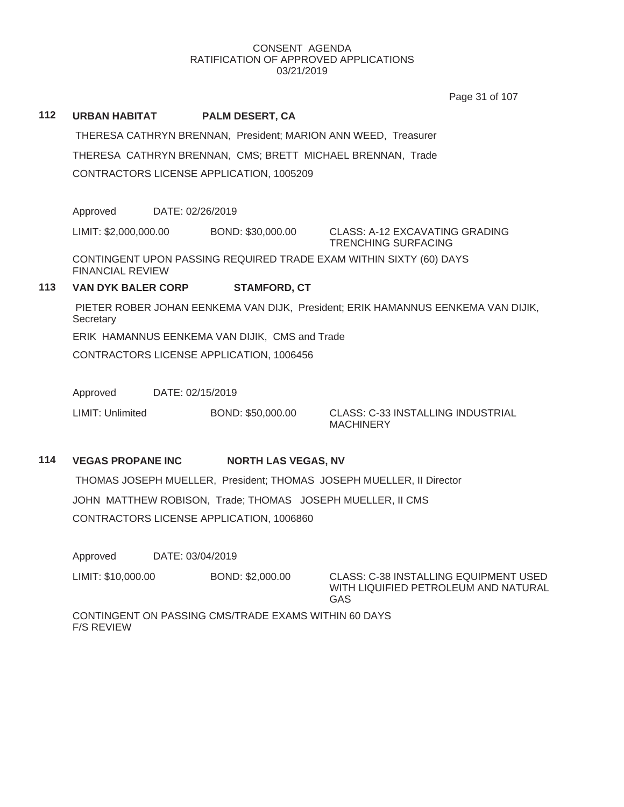Page 31 of 107

## **112 URBAN HABITAT PALM DESERT, CA**

THERESA CATHRYN BRENNAN, President; MARION ANN WEED, Treasurer THERESA CATHRYN BRENNAN, CMS; BRETT MICHAEL BRENNAN, Trade CONTRACTORS LICENSE APPLICATION, 1005209

Approved DATE: 02/26/2019

LIMIT: \$2,000,000.00 BOND: \$30,000.00 CLASS: A-12 EXCAVATING GRADING

TRENCHING SURFACING

CONTINGENT UPON PASSING REQUIRED TRADE EXAM WITHIN SIXTY (60) DAYS FINANCIAL REVIEW

# **113 VAN DYK BALER CORP STAMFORD, CT**

PIETER ROBER JOHAN EENKEMA VAN DIJK, President; ERIK HAMANNUS EENKEMA VAN DIJIK, **Secretary** 

ERIK HAMANNUS EENKEMA VAN DIJIK, CMS and Trade

CONTRACTORS LICENSE APPLICATION, 1006456

Approved DATE: 02/15/2019

LIMIT: Unlimited BOND: \$50,000.00 CLASS: C-33 INSTALLING INDUSTRIAL

**MACHINERY** 

# **114 VEGAS PROPANE INC NORTH LAS VEGAS, NV**

THOMAS JOSEPH MUELLER, President; THOMAS JOSEPH MUELLER, II Director JOHN MATTHEW ROBISON, Trade; THOMAS JOSEPH MUELLER, II CMS CONTRACTORS LICENSE APPLICATION, 1006860

Approved DATE: 03/04/2019

LIMIT: \$10,000.00 BOND: \$2,000.00 CLASS: C-38 INSTALLING EQUIPMENT USED WITH LIQUIFIED PETROLEUM AND NATURAL GAS

CONTINGENT ON PASSING CMS/TRADE EXAMS WITHIN 60 DAYS F/S REVIEW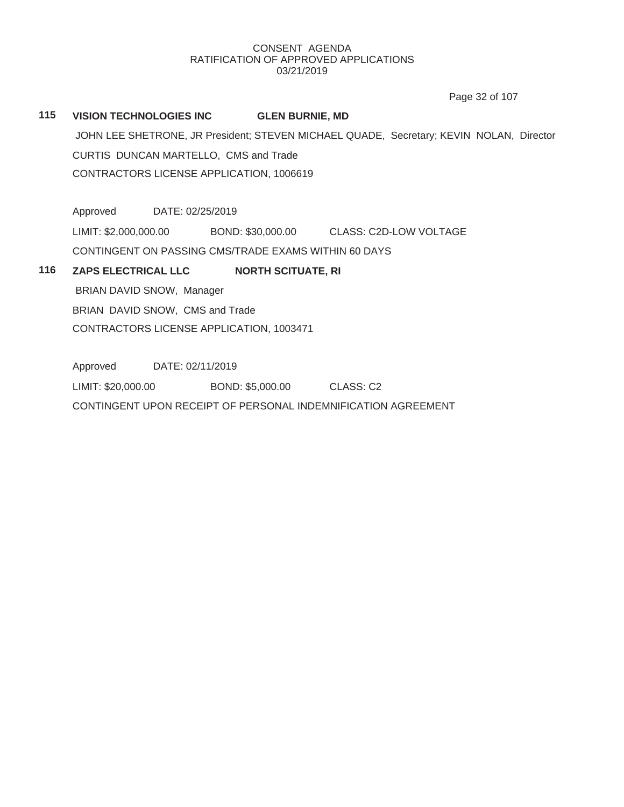Page 32 of 107

# **115 VISION TECHNOLOGIES INC GLEN BURNIE, MD**

JOHN LEE SHETRONE, JR President; STEVEN MICHAEL QUADE, Secretary; KEVIN NOLAN, Director CURTIS DUNCAN MARTELLO, CMS and Trade CONTRACTORS LICENSE APPLICATION, 1006619

Approved DATE: 02/25/2019

LIMIT: \$2,000,000.00 BOND: \$30,000.00 CLASS: C2D-LOW VOLTAGE

CONTINGENT ON PASSING CMS/TRADE EXAMS WITHIN 60 DAYS

# **116 ZAPS ELECTRICAL LLC NORTH SCITUATE, RI**

BRIAN DAVID SNOW, Manager BRIAN DAVID SNOW, CMS and Trade CONTRACTORS LICENSE APPLICATION, 1003471

Approved DATE: 02/11/2019

LIMIT: \$20,000.00 BOND: \$5,000.00 CLASS: C2

CONTINGENT UPON RECEIPT OF PERSONAL INDEMNIFICATION AGREEMENT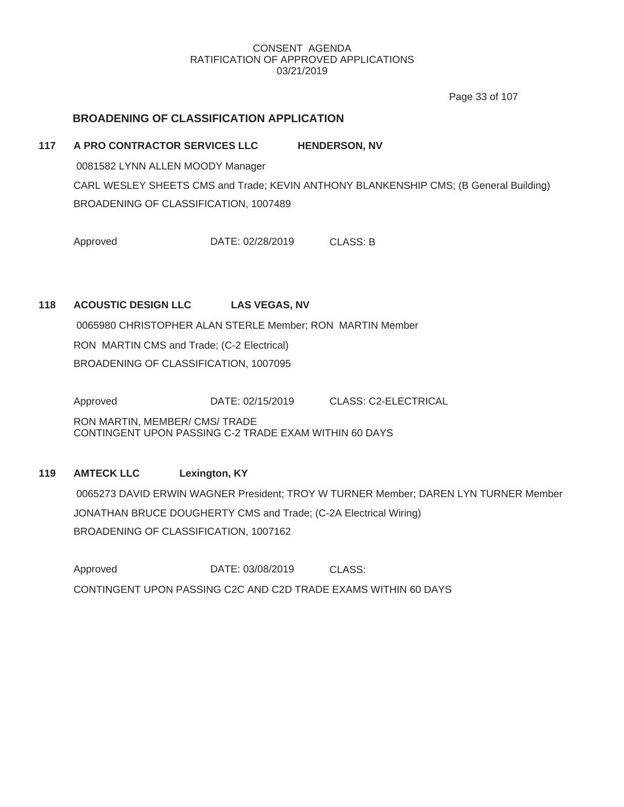Page 33 of 107

# **BROADENING OF CLASSIFICATION APPLICATION**

## **117 A PRO CONTRACTOR SERVICES LLC HENDERSON, NV**

0081582 LYNN ALLEN MOODY Manager

CARL WESLEY SHEETS CMS and Trade; KEVIN ANTHONY BLANKENSHIP CMS; (B General Building) BROADENING OF CLASSIFICATION, 1007489

Approved DATE: 02/28/2019 CLASS: B

# **118 ACOUSTIC DESIGN LLC LAS VEGAS, NV**

0065980 CHRISTOPHER ALAN STERLE Member; RON MARTIN Member RON MARTIN CMS and Trade; (C-2 Electrical) BROADENING OF CLASSIFICATION, 1007095

Approved DATE: 02/15/2019 CLASS: C2-ELECTRICAL RON MARTIN, MEMBER/ CMS/ TRADE CONTINGENT UPON PASSING C-2 TRADE EXAM WITHIN 60 DAYS

# **119 AMTECK LLC Lexington, KY**

0065273 DAVID ERWIN WAGNER President; TROY W TURNER Member; DAREN LYN TURNER Member JONATHAN BRUCE DOUGHERTY CMS and Trade; (C-2A Electrical Wiring) BROADENING OF CLASSIFICATION, 1007162

Approved DATE: 03/08/2019 CLASS: CONTINGENT UPON PASSING C2C AND C2D TRADE EXAMS WITHIN 60 DAYS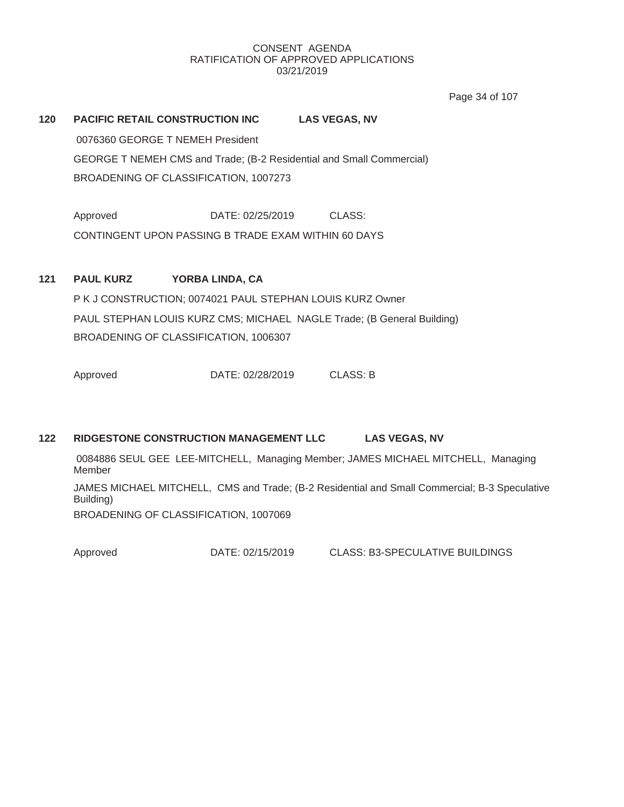Page 34 of 107

| 120 | <b>PACIFIC RETAIL CONSTRUCTION INC</b> | <b>LAS VEGAS, NV</b>                                                 |  |
|-----|----------------------------------------|----------------------------------------------------------------------|--|
|     | 0076360 GEORGE T NEMEH President       |                                                                      |  |
|     |                                        | GEORGE T NEMEH CMS and Trade; (B-2 Residential and Small Commercial) |  |
|     | BROADENING OF CLASSIFICATION, 1007273  |                                                                      |  |

Approved **DATE: 02/25/2019 CLASS:** CONTINGENT UPON PASSING B TRADE EXAM WITHIN 60 DAYS

# **121 PAUL KURZ YORBA LINDA, CA** P K J CONSTRUCTION; 0074021 PAUL STEPHAN LOUIS KURZ Owner PAUL STEPHAN LOUIS KURZ CMS; MICHAEL NAGLE Trade; (B General Building) BROADENING OF CLASSIFICATION, 1006307

Approved DATE: 02/28/2019 CLASS: B

# **122 RIDGESTONE CONSTRUCTION MANAGEMENT LLC LAS VEGAS, NV**

0084886 SEUL GEE LEE-MITCHELL, Managing Member; JAMES MICHAEL MITCHELL, Managing Member

JAMES MICHAEL MITCHELL, CMS and Trade; (B-2 Residential and Small Commercial; B-3 Speculative Building) BROADENING OF CLASSIFICATION, 1007069

Approved **DATE: 02/15/2019** CLASS: B3-SPECULATIVE BUILDINGS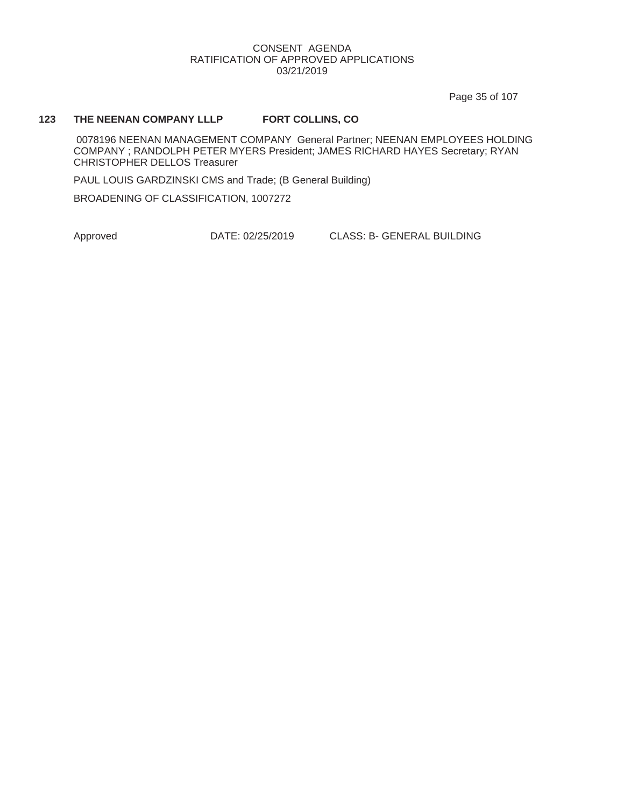Page 35 of 107

## **123 THE NEENAN COMPANY LLLP FORT COLLINS, CO**

0078196 NEENAN MANAGEMENT COMPANY General Partner; NEENAN EMPLOYEES HOLDING COMPANY ; RANDOLPH PETER MYERS President; JAMES RICHARD HAYES Secretary; RYAN CHRISTOPHER DELLOS Treasurer

PAUL LOUIS GARDZINSKI CMS and Trade; (B General Building)

BROADENING OF CLASSIFICATION, 1007272

Approved DATE: 02/25/2019 CLASS: B- GENERAL BUILDING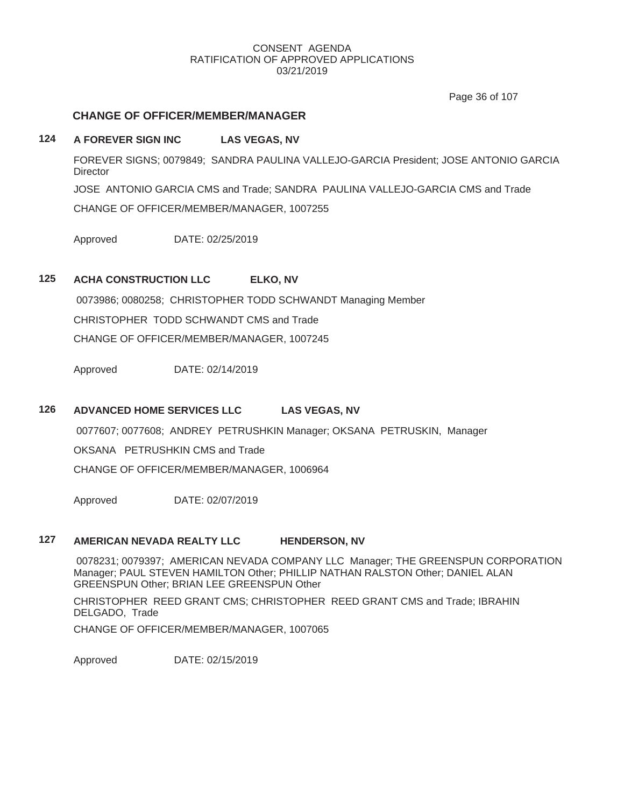Page 36 of 107

## **CHANGE OF OFFICER/MEMBER/MANAGER**

# **124 A FOREVER SIGN INC LAS VEGAS, NV**

FOREVER SIGNS; 0079849; SANDRA PAULINA VALLEJO-GARCIA President; JOSE ANTONIO GARCIA **Director** JOSE ANTONIO GARCIA CMS and Trade; SANDRA PAULINA VALLEJO-GARCIA CMS and Trade CHANGE OF OFFICER/MEMBER/MANAGER, 1007255

Approved DATE: 02/25/2019

# **125 ACHA CONSTRUCTION LLC ELKO, NV**

0073986; 0080258; CHRISTOPHER TODD SCHWANDT Managing Member CHRISTOPHER TODD SCHWANDT CMS and Trade CHANGE OF OFFICER/MEMBER/MANAGER, 1007245

Approved DATE: 02/14/2019

# **126 ADVANCED HOME SERVICES LLC LAS VEGAS, NV**

0077607; 0077608; ANDREY PETRUSHKIN Manager; OKSANA PETRUSKIN, Manager

OKSANA PETRUSHKIN CMS and Trade

CHANGE OF OFFICER/MEMBER/MANAGER, 1006964

Approved DATE: 02/07/2019

## **127 AMERICAN NEVADA REALTY LLC HENDERSON, NV**

0078231; 0079397; AMERICAN NEVADA COMPANY LLC Manager; THE GREENSPUN CORPORATION Manager; PAUL STEVEN HAMILTON Other; PHILLIP NATHAN RALSTON Other; DANIEL ALAN GREENSPUN Other; BRIAN LEE GREENSPUN Other

CHRISTOPHER REED GRANT CMS; CHRISTOPHER REED GRANT CMS and Trade; IBRAHIN DELGADO, Trade

CHANGE OF OFFICER/MEMBER/MANAGER, 1007065

Approved DATE: 02/15/2019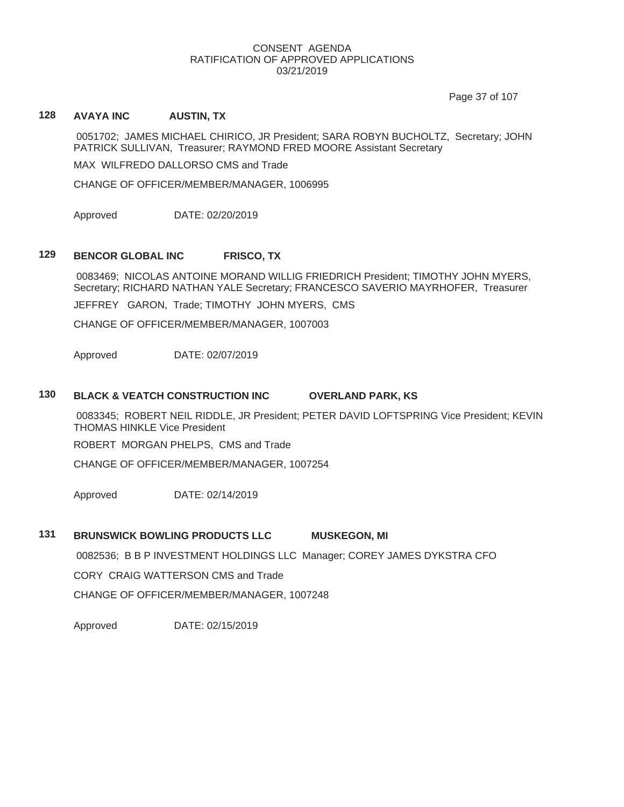Page 37 of 107

# **128 AVAYA INC AUSTIN, TX**

0051702; JAMES MICHAEL CHIRICO, JR President; SARA ROBYN BUCHOLTZ, Secretary; JOHN PATRICK SULLIVAN, Treasurer; RAYMOND FRED MOORE Assistant Secretary

MAX WILFREDO DALLORSO CMS and Trade

CHANGE OF OFFICER/MEMBER/MANAGER, 1006995

Approved DATE: 02/20/2019

# **129 BENCOR GLOBAL INC FRISCO, TX**

0083469; NICOLAS ANTOINE MORAND WILLIG FRIEDRICH President; TIMOTHY JOHN MYERS, Secretary; RICHARD NATHAN YALE Secretary; FRANCESCO SAVERIO MAYRHOFER, Treasurer

JEFFREY GARON, Trade; TIMOTHY JOHN MYERS, CMS

CHANGE OF OFFICER/MEMBER/MANAGER, 1007003

Approved DATE: 02/07/2019

## **130 BLACK & VEATCH CONSTRUCTION INC OVERLAND PARK, KS**

0083345; ROBERT NEIL RIDDLE, JR President; PETER DAVID LOFTSPRING Vice President; KEVIN THOMAS HINKLE Vice President

ROBERT MORGAN PHELPS, CMS and Trade

CHANGE OF OFFICER/MEMBER/MANAGER, 1007254

Approved DATE: 02/14/2019

# **131 BRUNSWICK BOWLING PRODUCTS LLC MUSKEGON, MI**

0082536; B B P INVESTMENT HOLDINGS LLC Manager; COREY JAMES DYKSTRA CFO

CORY CRAIG WATTERSON CMS and Trade

CHANGE OF OFFICER/MEMBER/MANAGER, 1007248

Approved DATE: 02/15/2019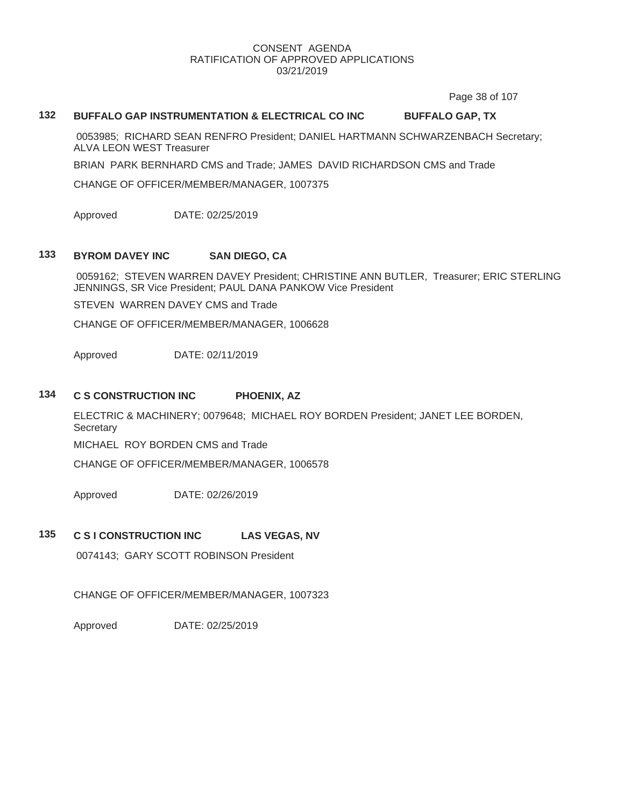Page 38 of 107

## **132 BUFFALO GAP INSTRUMENTATION & ELECTRICAL CO INC BUFFALO GAP, TX**

0053985; RICHARD SEAN RENFRO President; DANIEL HARTMANN SCHWARZENBACH Secretary; ALVA LEON WEST Treasurer

BRIAN PARK BERNHARD CMS and Trade; JAMES DAVID RICHARDSON CMS and Trade

CHANGE OF OFFICER/MEMBER/MANAGER, 1007375

Approved DATE: 02/25/2019

## **133 BYROM DAVEY INC SAN DIEGO, CA**

0059162; STEVEN WARREN DAVEY President; CHRISTINE ANN BUTLER, Treasurer; ERIC STERLING JENNINGS, SR Vice President; PAUL DANA PANKOW Vice President

STEVEN WARREN DAVEY CMS and Trade

CHANGE OF OFFICER/MEMBER/MANAGER, 1006628

Approved DATE: 02/11/2019

### **134 C S CONSTRUCTION INC PHOENIX, AZ**

ELECTRIC & MACHINERY; 0079648; MICHAEL ROY BORDEN President; JANET LEE BORDEN, **Secretary** 

MICHAEL ROY BORDEN CMS and Trade

CHANGE OF OFFICER/MEMBER/MANAGER, 1006578

Approved DATE: 02/26/2019

#### **135 C S I CONSTRUCTION INC LAS VEGAS, NV**

0074143; GARY SCOTT ROBINSON President

CHANGE OF OFFICER/MEMBER/MANAGER, 1007323

Approved DATE: 02/25/2019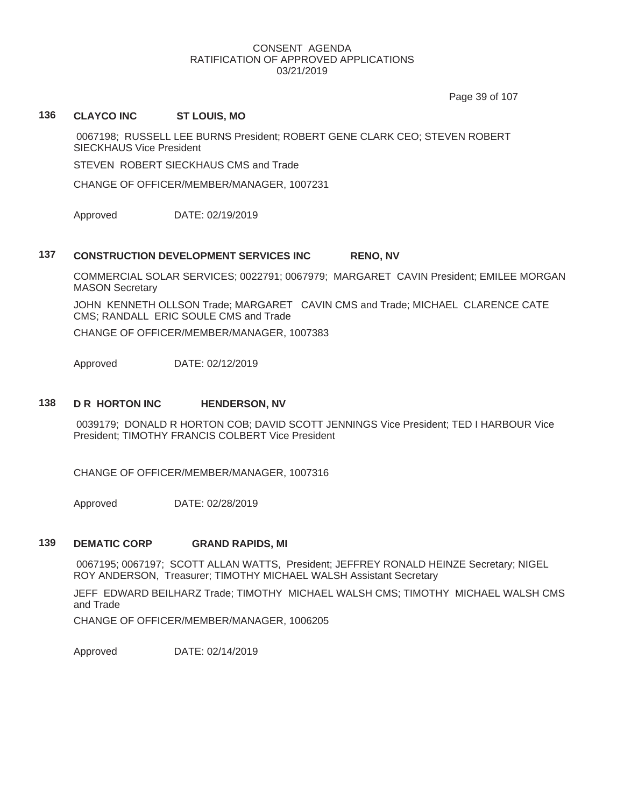Page 39 of 107

# **136 CLAYCO INC ST LOUIS, MO**

0067198; RUSSELL LEE BURNS President; ROBERT GENE CLARK CEO; STEVEN ROBERT SIECKHAUS Vice President

STEVEN ROBERT SIECKHAUS CMS and Trade

CHANGE OF OFFICER/MEMBER/MANAGER, 1007231

Approved DATE: 02/19/2019

## **137 CONSTRUCTION DEVELOPMENT SERVICES INC RENO, NV**

COMMERCIAL SOLAR SERVICES; 0022791; 0067979; MARGARET CAVIN President; EMILEE MORGAN MASON Secretary

JOHN KENNETH OLLSON Trade; MARGARET CAVIN CMS and Trade; MICHAEL CLARENCE CATE CMS; RANDALL ERIC SOULE CMS and Trade

CHANGE OF OFFICER/MEMBER/MANAGER, 1007383

Approved DATE: 02/12/2019

## **138 D R HORTON INC HENDERSON, NV**

0039179; DONALD R HORTON COB; DAVID SCOTT JENNINGS Vice President; TED I HARBOUR Vice President; TIMOTHY FRANCIS COLBERT Vice President

CHANGE OF OFFICER/MEMBER/MANAGER, 1007316

Approved DATE: 02/28/2019

### **139 DEMATIC CORP GRAND RAPIDS, MI**

0067195; 0067197; SCOTT ALLAN WATTS, President; JEFFREY RONALD HEINZE Secretary; NIGEL ROY ANDERSON, Treasurer; TIMOTHY MICHAEL WALSH Assistant Secretary

JEFF EDWARD BEILHARZ Trade; TIMOTHY MICHAEL WALSH CMS; TIMOTHY MICHAEL WALSH CMS and Trade

CHANGE OF OFFICER/MEMBER/MANAGER, 1006205

Approved DATE: 02/14/2019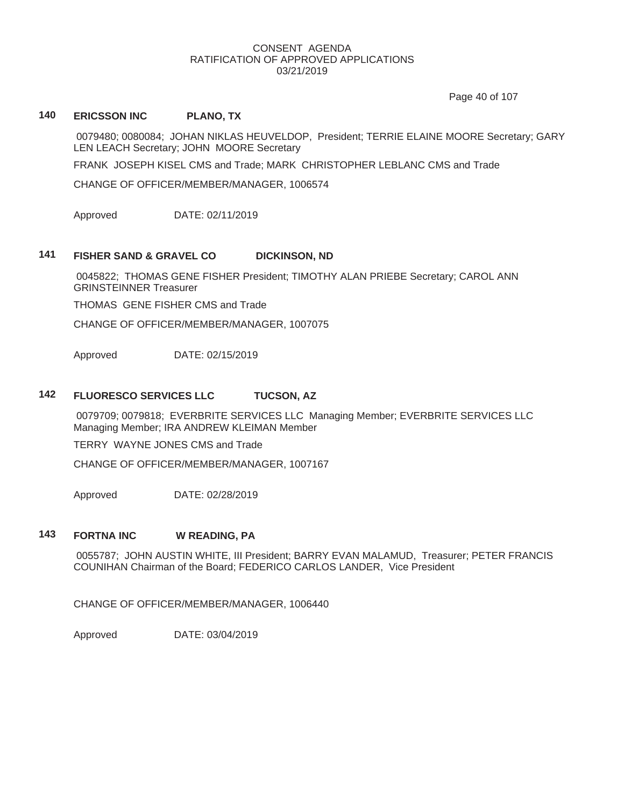Page 40 of 107

# **140 ERICSSON INC PLANO, TX**

0079480; 0080084; JOHAN NIKLAS HEUVELDOP, President; TERRIE ELAINE MOORE Secretary; GARY LEN LEACH Secretary; JOHN MOORE Secretary

FRANK JOSEPH KISEL CMS and Trade; MARK CHRISTOPHER LEBLANC CMS and Trade

CHANGE OF OFFICER/MEMBER/MANAGER, 1006574

Approved DATE: 02/11/2019

## **141 FISHER SAND & GRAVEL CO DICKINSON, ND**

0045822; THOMAS GENE FISHER President; TIMOTHY ALAN PRIEBE Secretary; CAROL ANN GRINSTEINNER Treasurer

THOMAS GENE FISHER CMS and Trade

CHANGE OF OFFICER/MEMBER/MANAGER, 1007075

Approved DATE: 02/15/2019

## **142 FLUORESCO SERVICES LLC TUCSON, AZ**

0079709; 0079818; EVERBRITE SERVICES LLC Managing Member; EVERBRITE SERVICES LLC Managing Member; IRA ANDREW KLEIMAN Member

TERRY WAYNE JONES CMS and Trade

CHANGE OF OFFICER/MEMBER/MANAGER, 1007167

Approved DATE: 02/28/2019

## **143 FORTNA INC W READING, PA**

0055787; JOHN AUSTIN WHITE, III President; BARRY EVAN MALAMUD, Treasurer; PETER FRANCIS COUNIHAN Chairman of the Board; FEDERICO CARLOS LANDER, Vice President

CHANGE OF OFFICER/MEMBER/MANAGER, 1006440

Approved DATE: 03/04/2019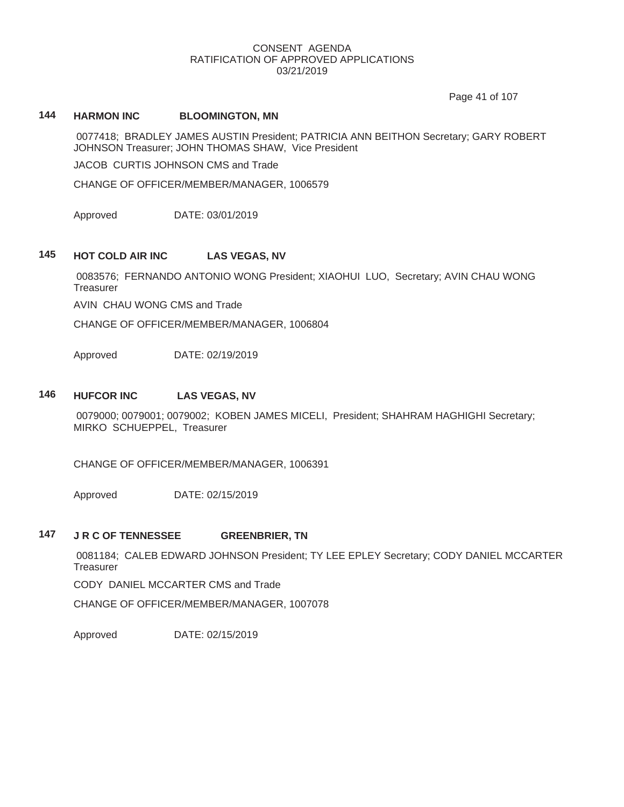Page 41 of 107

## **144 HARMON INC BLOOMINGTON, MN**

0077418; BRADLEY JAMES AUSTIN President; PATRICIA ANN BEITHON Secretary; GARY ROBERT JOHNSON Treasurer; JOHN THOMAS SHAW, Vice President

JACOB CURTIS JOHNSON CMS and Trade

CHANGE OF OFFICER/MEMBER/MANAGER, 1006579

Approved DATE: 03/01/2019

### **145 HOT COLD AIR INC LAS VEGAS, NV**

0083576; FERNANDO ANTONIO WONG President; XIAOHUI LUO, Secretary; AVIN CHAU WONG **Treasurer** 

AVIN CHAU WONG CMS and Trade

CHANGE OF OFFICER/MEMBER/MANAGER, 1006804

Approved DATE: 02/19/2019

### **146 HUFCOR INC LAS VEGAS, NV**

0079000; 0079001; 0079002; KOBEN JAMES MICELI, President; SHAHRAM HAGHIGHI Secretary; MIRKO SCHUEPPEL, Treasurer

CHANGE OF OFFICER/MEMBER/MANAGER, 1006391

Approved DATE: 02/15/2019

### **147 J R C OF TENNESSEE GREENBRIER, TN**

0081184; CALEB EDWARD JOHNSON President; TY LEE EPLEY Secretary; CODY DANIEL MCCARTER **Treasurer** 

CODY DANIEL MCCARTER CMS and Trade

CHANGE OF OFFICER/MEMBER/MANAGER, 1007078

Approved DATE: 02/15/2019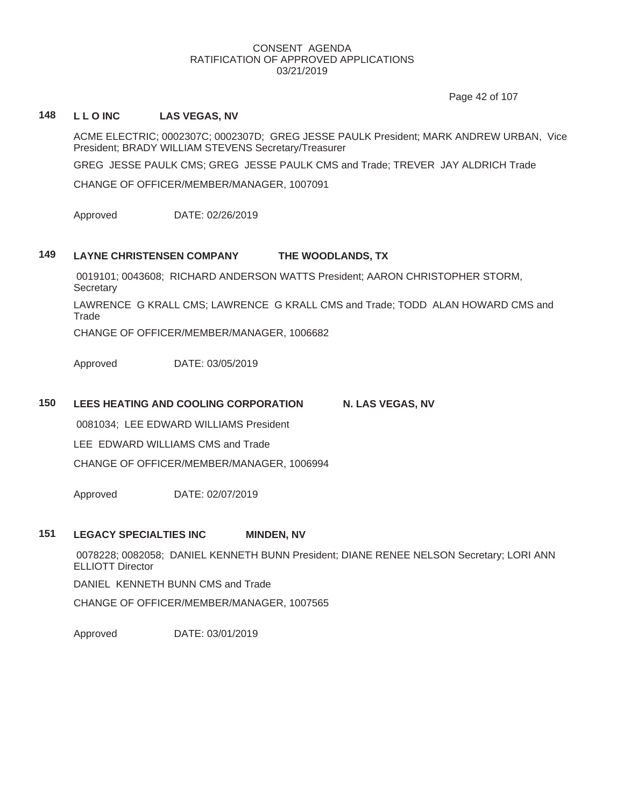Page 42 of 107

# **148 L L O INC LAS VEGAS, NV**

ACME ELECTRIC; 0002307C; 0002307D; GREG JESSE PAULK President; MARK ANDREW URBAN, Vice President; BRADY WILLIAM STEVENS Secretary/Treasurer

GREG JESSE PAULK CMS; GREG JESSE PAULK CMS and Trade; TREVER JAY ALDRICH Trade

CHANGE OF OFFICER/MEMBER/MANAGER, 1007091

Approved DATE: 02/26/2019

## **149 LAYNE CHRISTENSEN COMPANY THE WOODLANDS, TX**

0019101; 0043608; RICHARD ANDERSON WATTS President; AARON CHRISTOPHER STORM, **Secretary** 

LAWRENCE G KRALL CMS; LAWRENCE G KRALL CMS and Trade; TODD ALAN HOWARD CMS and **Trade** 

CHANGE OF OFFICER/MEMBER/MANAGER, 1006682

Approved DATE: 03/05/2019

# **150 LEES HEATING AND COOLING CORPORATION N. LAS VEGAS, NV**

0081034; LEE EDWARD WILLIAMS President

LEE EDWARD WILLIAMS CMS and Trade

CHANGE OF OFFICER/MEMBER/MANAGER, 1006994

Approved DATE: 02/07/2019

# **151 LEGACY SPECIALTIES INC MINDEN, NV**

0078228; 0082058; DANIEL KENNETH BUNN President; DIANE RENEE NELSON Secretary; LORI ANN ELLIOTT Director

DANIEL KENNETH BUNN CMS and Trade

CHANGE OF OFFICER/MEMBER/MANAGER, 1007565

Approved DATE: 03/01/2019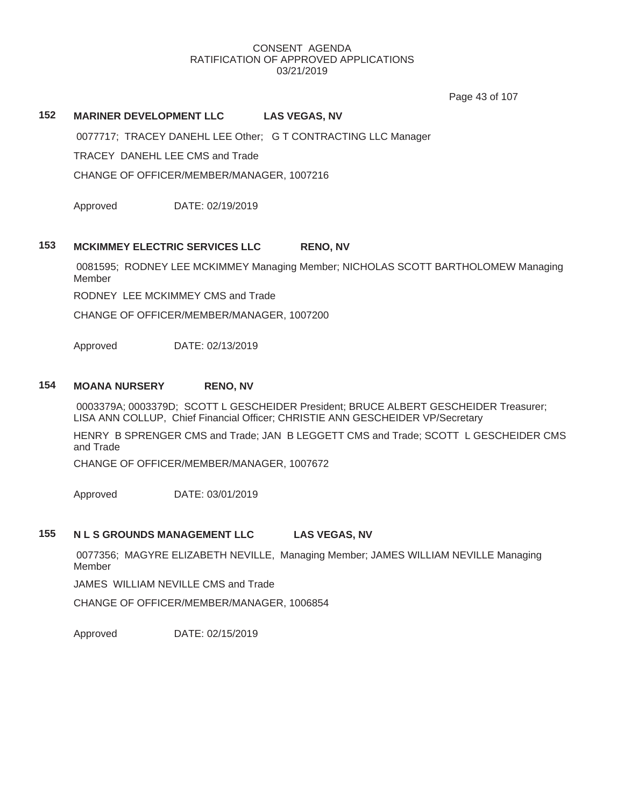Page 43 of 107

## **152 MARINER DEVELOPMENT LLC LAS VEGAS, NV**

0077717; TRACEY DANEHL LEE Other; G T CONTRACTING LLC Manager

TRACEY DANEHL LEE CMS and Trade

CHANGE OF OFFICER/MEMBER/MANAGER, 1007216

Approved DATE: 02/19/2019

## **153 MCKIMMEY ELECTRIC SERVICES LLC RENO, NV**

0081595; RODNEY LEE MCKIMMEY Managing Member; NICHOLAS SCOTT BARTHOLOMEW Managing Member

RODNEY LEE MCKIMMEY CMS and Trade

CHANGE OF OFFICER/MEMBER/MANAGER, 1007200

Approved DATE: 02/13/2019

## **154 MOANA NURSERY RENO, NV**

0003379A; 0003379D; SCOTT L GESCHEIDER President; BRUCE ALBERT GESCHEIDER Treasurer; LISA ANN COLLUP, Chief Financial Officer; CHRISTIE ANN GESCHEIDER VP/Secretary

HENRY B SPRENGER CMS and Trade; JAN B LEGGETT CMS and Trade; SCOTT L GESCHEIDER CMS and Trade

CHANGE OF OFFICER/MEMBER/MANAGER, 1007672

Approved DATE: 03/01/2019

## **155 N L S GROUNDS MANAGEMENT LLC LAS VEGAS, NV**

0077356; MAGYRE ELIZABETH NEVILLE, Managing Member; JAMES WILLIAM NEVILLE Managing Member

JAMES WILLIAM NEVILLE CMS and Trade

CHANGE OF OFFICER/MEMBER/MANAGER, 1006854

Approved DATE: 02/15/2019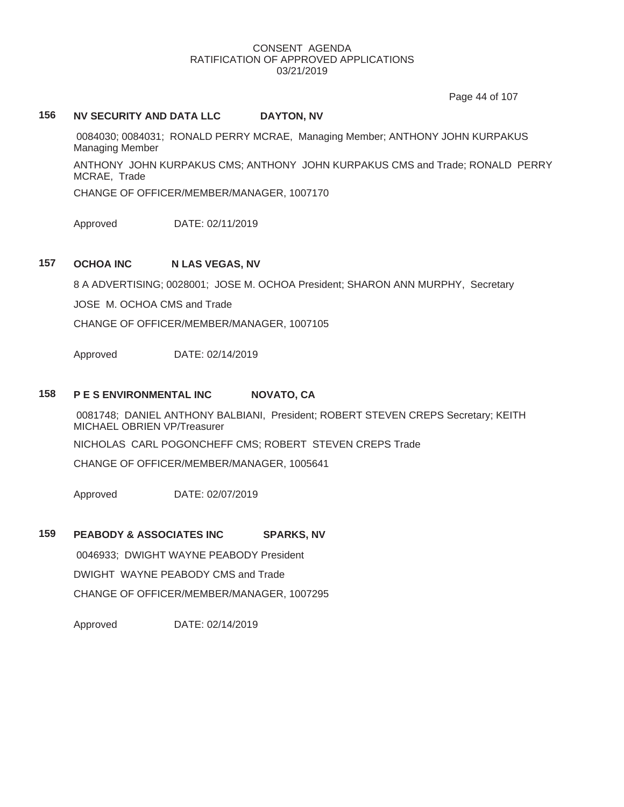Page 44 of 107

# **156 NV SECURITY AND DATA LLC DAYTON, NV**

0084030; 0084031; RONALD PERRY MCRAE, Managing Member; ANTHONY JOHN KURPAKUS Managing Member

ANTHONY JOHN KURPAKUS CMS; ANTHONY JOHN KURPAKUS CMS and Trade; RONALD PERRY MCRAE, Trade

CHANGE OF OFFICER/MEMBER/MANAGER, 1007170

Approved DATE: 02/11/2019

# **157 OCHOA INC N LAS VEGAS, NV**

8 A ADVERTISING; 0028001; JOSE M. OCHOA President; SHARON ANN MURPHY, Secretary

JOSE M. OCHOA CMS and Trade

CHANGE OF OFFICER/MEMBER/MANAGER, 1007105

Approved DATE: 02/14/2019

## **158 P E S ENVIRONMENTAL INC NOVATO, CA**

0081748; DANIEL ANTHONY BALBIANI, President; ROBERT STEVEN CREPS Secretary; KEITH MICHAEL OBRIEN VP/Treasurer

NICHOLAS CARL POGONCHEFF CMS; ROBERT STEVEN CREPS Trade

CHANGE OF OFFICER/MEMBER/MANAGER, 1005641

Approved DATE: 02/07/2019

# **159 PEABODY & ASSOCIATES INC SPARKS, NV**

0046933; DWIGHT WAYNE PEABODY President

DWIGHT WAYNE PEABODY CMS and Trade

CHANGE OF OFFICER/MEMBER/MANAGER, 1007295

Approved DATE: 02/14/2019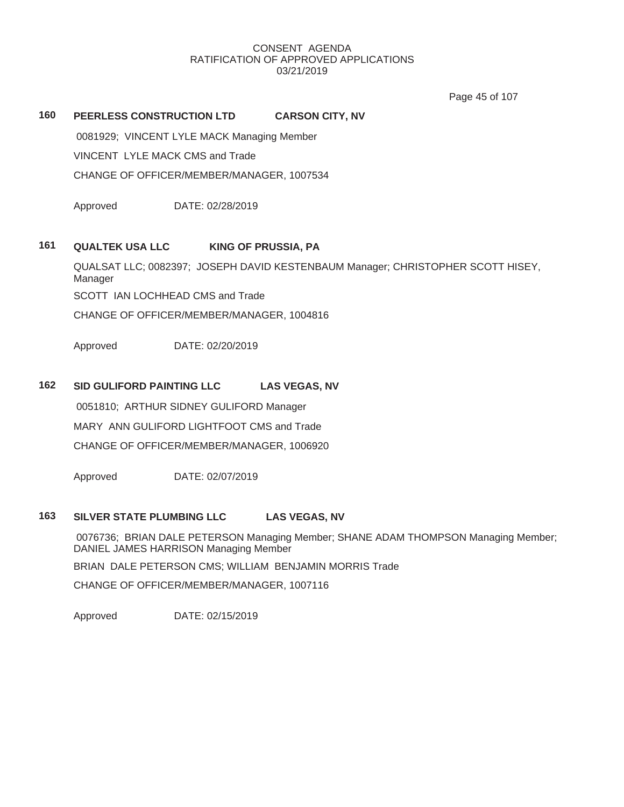Page 45 of 107

## **160 PEERLESS CONSTRUCTION LTD CARSON CITY, NV**

0081929; VINCENT LYLE MACK Managing Member

VINCENT LYLE MACK CMS and Trade

CHANGE OF OFFICER/MEMBER/MANAGER, 1007534

Approved DATE: 02/28/2019

## **161 QUALTEK USA LLC KING OF PRUSSIA, PA**

QUALSAT LLC; 0082397; JOSEPH DAVID KESTENBAUM Manager; CHRISTOPHER SCOTT HISEY, Manager

SCOTT IAN LOCHHEAD CMS and Trade

CHANGE OF OFFICER/MEMBER/MANAGER, 1004816

Approved DATE: 02/20/2019

# **162 SID GULIFORD PAINTING LLC LAS VEGAS, NV**

0051810; ARTHUR SIDNEY GULIFORD Manager

MARY ANN GULIFORD LIGHTFOOT CMS and Trade

CHANGE OF OFFICER/MEMBER/MANAGER, 1006920

Approved DATE: 02/07/2019

# **163 SILVER STATE PLUMBING LLC LAS VEGAS, NV**

0076736; BRIAN DALE PETERSON Managing Member; SHANE ADAM THOMPSON Managing Member; DANIEL JAMES HARRISON Managing Member

BRIAN DALE PETERSON CMS; WILLIAM BENJAMIN MORRIS Trade

CHANGE OF OFFICER/MEMBER/MANAGER, 1007116

Approved DATE: 02/15/2019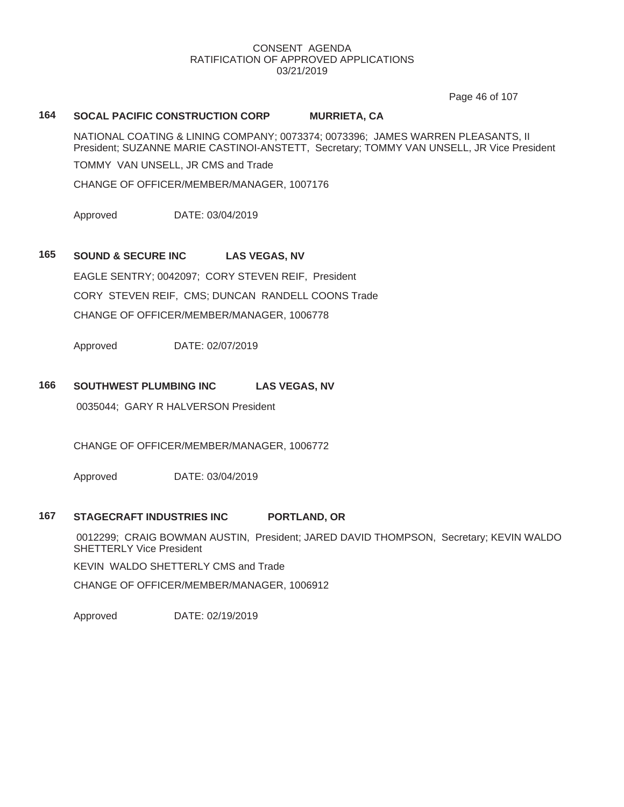Page 46 of 107

## **164 SOCAL PACIFIC CONSTRUCTION CORP MURRIETA, CA**

NATIONAL COATING & LINING COMPANY; 0073374; 0073396; JAMES WARREN PLEASANTS, II President; SUZANNE MARIE CASTINOI-ANSTETT, Secretary; TOMMY VAN UNSELL, JR Vice President

TOMMY VAN UNSELL, JR CMS and Trade

CHANGE OF OFFICER/MEMBER/MANAGER, 1007176

Approved DATE: 03/04/2019

## **165 SOUND & SECURE INC LAS VEGAS, NV**

EAGLE SENTRY; 0042097; CORY STEVEN REIF, President CORY STEVEN REIF, CMS; DUNCAN RANDELL COONS Trade CHANGE OF OFFICER/MEMBER/MANAGER, 1006778

Approved DATE: 02/07/2019

## **166 SOUTHWEST PLUMBING INC LAS VEGAS, NV**

0035044; GARY R HALVERSON President

CHANGE OF OFFICER/MEMBER/MANAGER, 1006772

Approved DATE: 03/04/2019

## **167 STAGECRAFT INDUSTRIES INC PORTLAND, OR**

0012299; CRAIG BOWMAN AUSTIN, President; JARED DAVID THOMPSON, Secretary; KEVIN WALDO SHETTERLY Vice President

KEVIN WALDO SHETTERLY CMS and Trade

CHANGE OF OFFICER/MEMBER/MANAGER, 1006912

Approved DATE: 02/19/2019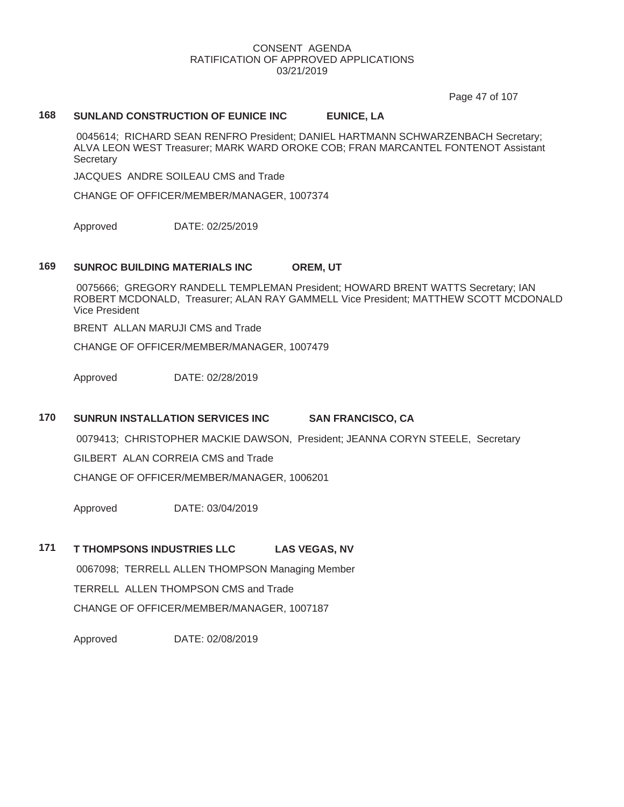Page 47 of 107

## **168 SUNLAND CONSTRUCTION OF EUNICE INC EUNICE, LA**

0045614; RICHARD SEAN RENFRO President; DANIEL HARTMANN SCHWARZENBACH Secretary; ALVA LEON WEST Treasurer; MARK WARD OROKE COB; FRAN MARCANTEL FONTENOT Assistant **Secretary** 

JACQUES ANDRE SOILEAU CMS and Trade

CHANGE OF OFFICER/MEMBER/MANAGER, 1007374

Approved DATE: 02/25/2019

#### **169 SUNROC BUILDING MATERIALS INC OREM, UT**

0075666; GREGORY RANDELL TEMPLEMAN President; HOWARD BRENT WATTS Secretary; IAN ROBERT MCDONALD, Treasurer; ALAN RAY GAMMELL Vice President; MATTHEW SCOTT MCDONALD Vice President

BRENT ALLAN MARUJI CMS and Trade

CHANGE OF OFFICER/MEMBER/MANAGER, 1007479

Approved DATE: 02/28/2019

### **170 SUNRUN INSTALLATION SERVICES INC SAN FRANCISCO, CA**

0079413; CHRISTOPHER MACKIE DAWSON, President; JEANNA CORYN STEELE, Secretary

GILBERT ALAN CORREIA CMS and Trade

CHANGE OF OFFICER/MEMBER/MANAGER, 1006201

Approved DATE: 03/04/2019

# **171 T THOMPSONS INDUSTRIES LLC LAS VEGAS, NV**

0067098; TERRELL ALLEN THOMPSON Managing Member TERRELL ALLEN THOMPSON CMS and Trade CHANGE OF OFFICER/MEMBER/MANAGER, 1007187

Approved DATE: 02/08/2019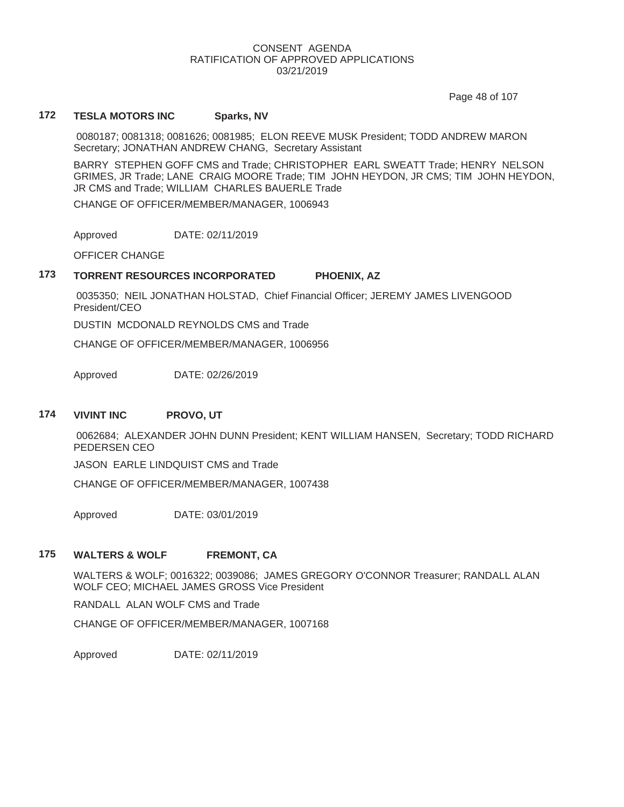Page 48 of 107

## **172 TESLA MOTORS INC Sparks, NV**

0080187; 0081318; 0081626; 0081985; ELON REEVE MUSK President; TODD ANDREW MARON Secretary; JONATHAN ANDREW CHANG, Secretary Assistant

BARRY STEPHEN GOFF CMS and Trade; CHRISTOPHER EARL SWEATT Trade; HENRY NELSON GRIMES, JR Trade; LANE CRAIG MOORE Trade; TIM JOHN HEYDON, JR CMS; TIM JOHN HEYDON, JR CMS and Trade; WILLIAM CHARLES BAUERLE Trade

CHANGE OF OFFICER/MEMBER/MANAGER, 1006943

Approved DATE: 02/11/2019

OFFICER CHANGE

# **173 TORRENT RESOURCES INCORPORATED PHOENIX, AZ**

0035350; NEIL JONATHAN HOLSTAD, Chief Financial Officer; JEREMY JAMES LIVENGOOD President/CEO

DUSTIN MCDONALD REYNOLDS CMS and Trade

CHANGE OF OFFICER/MEMBER/MANAGER, 1006956

Approved DATE: 02/26/2019

### **174 VIVINT INC PROVO, UT**

0062684; ALEXANDER JOHN DUNN President; KENT WILLIAM HANSEN, Secretary; TODD RICHARD PEDERSEN CEO

JASON EARLE LINDQUIST CMS and Trade

CHANGE OF OFFICER/MEMBER/MANAGER, 1007438

Approved DATE: 03/01/2019

## **175 WALTERS & WOLF FREMONT, CA**

WALTERS & WOLF; 0016322; 0039086; JAMES GREGORY O'CONNOR Treasurer; RANDALL ALAN WOLF CEO; MICHAEL JAMES GROSS Vice President

RANDALL ALAN WOLF CMS and Trade

CHANGE OF OFFICER/MEMBER/MANAGER, 1007168

Approved DATE: 02/11/2019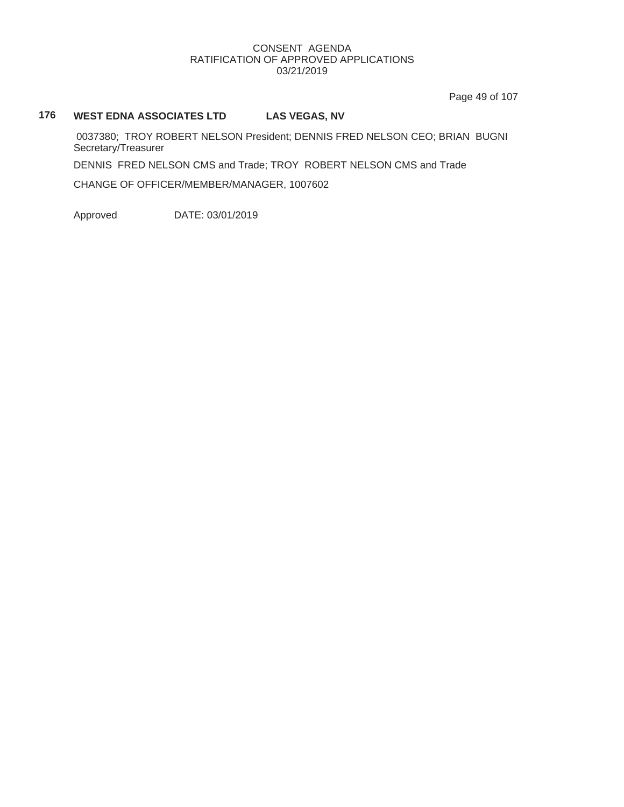Page 49 of 107

# **176 WEST EDNA ASSOCIATES LTD LAS VEGAS, NV**

0037380; TROY ROBERT NELSON President; DENNIS FRED NELSON CEO; BRIAN BUGNI Secretary/Treasurer

DENNIS FRED NELSON CMS and Trade; TROY ROBERT NELSON CMS and Trade

CHANGE OF OFFICER/MEMBER/MANAGER, 1007602

Approved DATE: 03/01/2019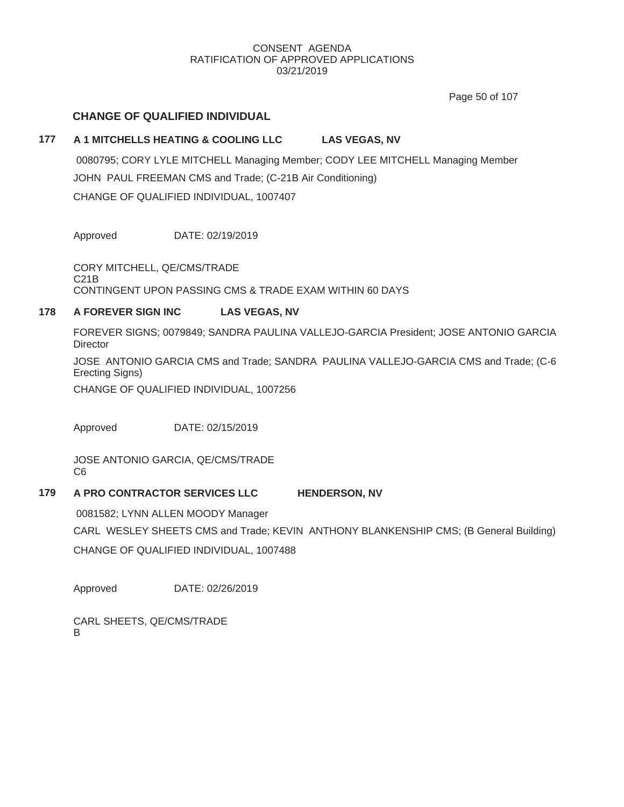Page 50 of 107

# **CHANGE OF QUALIFIED INDIVIDUAL**

# **177 A 1 MITCHELLS HEATING & COOLING LLC LAS VEGAS, NV**

0080795; CORY LYLE MITCHELL Managing Member; CODY LEE MITCHELL Managing Member JOHN PAUL FREEMAN CMS and Trade; (C-21B Air Conditioning) CHANGE OF QUALIFIED INDIVIDUAL, 1007407

Approved DATE: 02/19/2019

CORY MITCHELL, QE/CMS/TRADE C21B CONTINGENT UPON PASSING CMS & TRADE EXAM WITHIN 60 DAYS

# **178 A FOREVER SIGN INC LAS VEGAS, NV**

FOREVER SIGNS; 0079849; SANDRA PAULINA VALLEJO-GARCIA President; JOSE ANTONIO GARCIA **Director** 

JOSE ANTONIO GARCIA CMS and Trade; SANDRA PAULINA VALLEJO-GARCIA CMS and Trade; (C-6 Erecting Signs)

CHANGE OF QUALIFIED INDIVIDUAL, 1007256

Approved DATE: 02/15/2019

JOSE ANTONIO GARCIA, QE/CMS/TRADE C6

# **179 A PRO CONTRACTOR SERVICES LLC HENDERSON, NV**

0081582; LYNN ALLEN MOODY Manager

CARL WESLEY SHEETS CMS and Trade; KEVIN ANTHONY BLANKENSHIP CMS; (B General Building)

CHANGE OF QUALIFIED INDIVIDUAL, 1007488

Approved DATE: 02/26/2019

CARL SHEETS, QE/CMS/TRADE B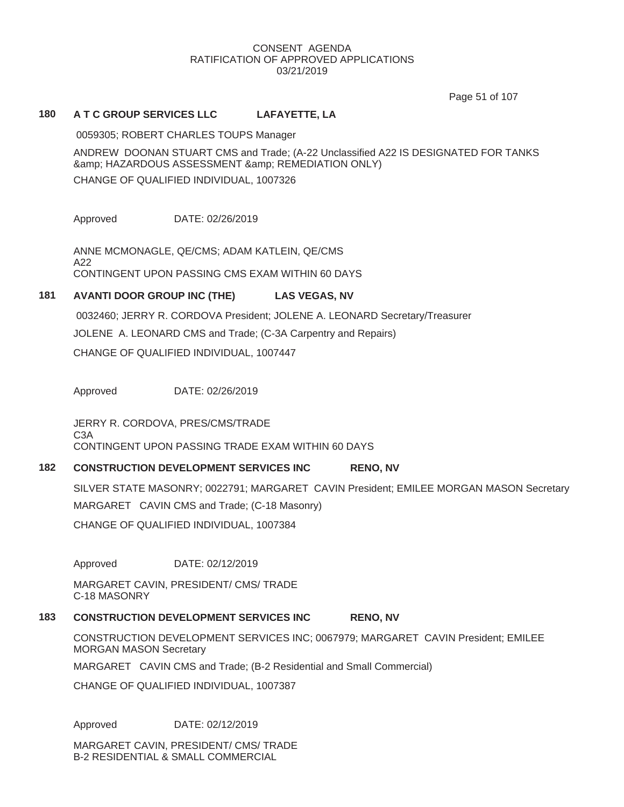Page 51 of 107

## **180 A T C GROUP SERVICES LLC LAFAYETTE, LA**

0059305; ROBERT CHARLES TOUPS Manager ANDREW DOONAN STUART CMS and Trade; (A-22 Unclassified A22 IS DESIGNATED FOR TANKS & amp; HAZARDOUS ASSESSMENT & amp; REMEDIATION ONLY) CHANGE OF QUALIFIED INDIVIDUAL, 1007326

Approved DATE: 02/26/2019

ANNE MCMONAGLE, QE/CMS; ADAM KATLEIN, QE/CMS A22 CONTINGENT UPON PASSING CMS EXAM WITHIN 60 DAYS

# **181 AVANTI DOOR GROUP INC (THE) LAS VEGAS, NV**

0032460; JERRY R. CORDOVA President; JOLENE A. LEONARD Secretary/Treasurer JOLENE A. LEONARD CMS and Trade; (C-3A Carpentry and Repairs) CHANGE OF QUALIFIED INDIVIDUAL, 1007447

Approved DATE: 02/26/2019

JERRY R. CORDOVA, PRES/CMS/TRADE C3A CONTINGENT UPON PASSING TRADE EXAM WITHIN 60 DAYS

# **182 CONSTRUCTION DEVELOPMENT SERVICES INC RENO, NV**

SILVER STATE MASONRY; 0022791; MARGARET CAVIN President; EMILEE MORGAN MASON Secretary MARGARET CAVIN CMS and Trade; (C-18 Masonry)

CHANGE OF QUALIFIED INDIVIDUAL, 1007384

Approved DATE: 02/12/2019

MARGARET CAVIN, PRESIDENT/ CMS/ TRADE C-18 MASONRY

## **183 CONSTRUCTION DEVELOPMENT SERVICES INC RENO, NV**

CONSTRUCTION DEVELOPMENT SERVICES INC; 0067979; MARGARET CAVIN President; EMILEE MORGAN MASON Secretary

MARGARET CAVIN CMS and Trade; (B-2 Residential and Small Commercial)

CHANGE OF QUALIFIED INDIVIDUAL, 1007387

Approved DATE: 02/12/2019

MARGARET CAVIN, PRESIDENT/ CMS/ TRADE B-2 RESIDENTIAL & SMALL COMMERCIAL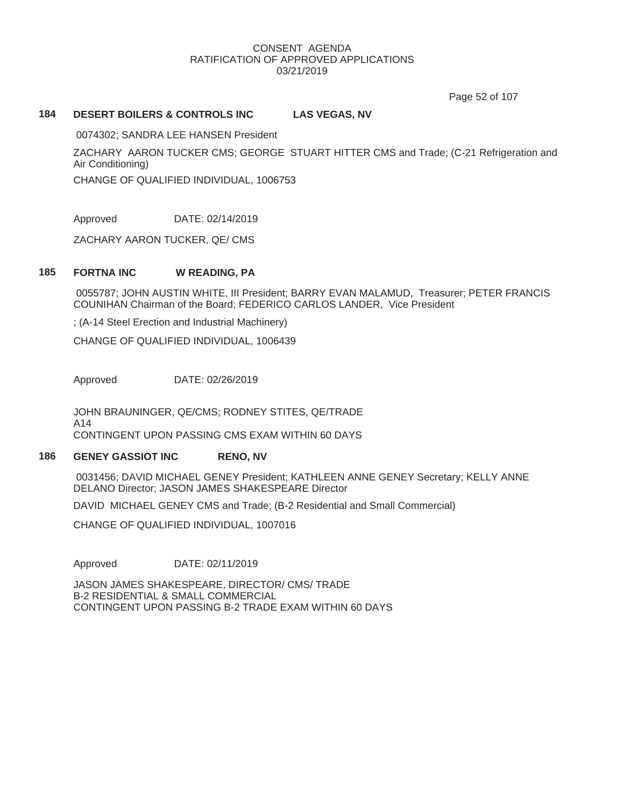Page 52 of 107

## **184 DESERT BOILERS & CONTROLS INC LAS VEGAS, NV**

0074302; SANDRA LEE HANSEN President

ZACHARY AARON TUCKER CMS; GEORGE STUART HITTER CMS and Trade; (C-21 Refrigeration and Air Conditioning)

CHANGE OF QUALIFIED INDIVIDUAL, 1006753

Approved DATE: 02/14/2019

ZACHARY AARON TUCKER, QE/ CMS

### **185 FORTNA INC W READING, PA**

0055787; JOHN AUSTIN WHITE, III President; BARRY EVAN MALAMUD, Treasurer; PETER FRANCIS COUNIHAN Chairman of the Board; FEDERICO CARLOS LANDER, Vice President

; (A-14 Steel Erection and Industrial Machinery)

CHANGE OF QUALIFIED INDIVIDUAL, 1006439

Approved DATE: 02/26/2019

JOHN BRAUNINGER, QE/CMS; RODNEY STITES, QE/TRADE A14 CONTINGENT UPON PASSING CMS EXAM WITHIN 60 DAYS

### **186 GENEY GASSIOT INC RENO, NV**

0031456; DAVID MICHAEL GENEY President; KATHLEEN ANNE GENEY Secretary; KELLY ANNE DELANO Director; JASON JAMES SHAKESPEARE Director

DAVID MICHAEL GENEY CMS and Trade; (B-2 Residential and Small Commercial)

CHANGE OF QUALIFIED INDIVIDUAL, 1007016

Approved DATE: 02/11/2019

JASON JAMES SHAKESPEARE, DIRECTOR/ CMS/ TRADE B-2 RESIDENTIAL & SMALL COMMERCIAL CONTINGENT UPON PASSING B-2 TRADE EXAM WITHIN 60 DAYS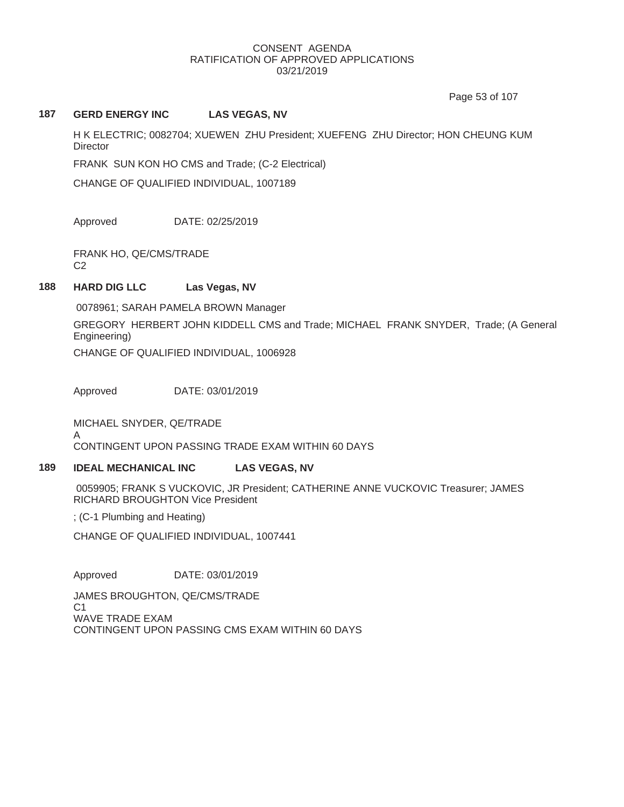Page 53 of 107

### **187 GERD ENERGY INC LAS VEGAS, NV**

H K ELECTRIC; 0082704; XUEWEN ZHU President; XUEFENG ZHU Director; HON CHEUNG KUM **Director** 

FRANK SUN KON HO CMS and Trade; (C-2 Electrical)

CHANGE OF QUALIFIED INDIVIDUAL, 1007189

Approved DATE: 02/25/2019

FRANK HO, QE/CMS/TRADE C2

# **188 HARD DIG LLC Las Vegas, NV**

0078961; SARAH PAMELA BROWN Manager

GREGORY HERBERT JOHN KIDDELL CMS and Trade; MICHAEL FRANK SNYDER, Trade; (A General Engineering)

CHANGE OF QUALIFIED INDIVIDUAL, 1006928

Approved DATE: 03/01/2019

MICHAEL SNYDER, QE/TRADE A CONTINGENT UPON PASSING TRADE EXAM WITHIN 60 DAYS

# **189 IDEAL MECHANICAL INC LAS VEGAS, NV**

0059905; FRANK S VUCKOVIC, JR President; CATHERINE ANNE VUCKOVIC Treasurer; JAMES RICHARD BROUGHTON Vice President

; (C-1 Plumbing and Heating)

CHANGE OF QUALIFIED INDIVIDUAL, 1007441

Approved DATE: 03/01/2019

JAMES BROUGHTON, QE/CMS/TRADE  $C<sub>1</sub>$ WAVE TRADE EXAM CONTINGENT UPON PASSING CMS EXAM WITHIN 60 DAYS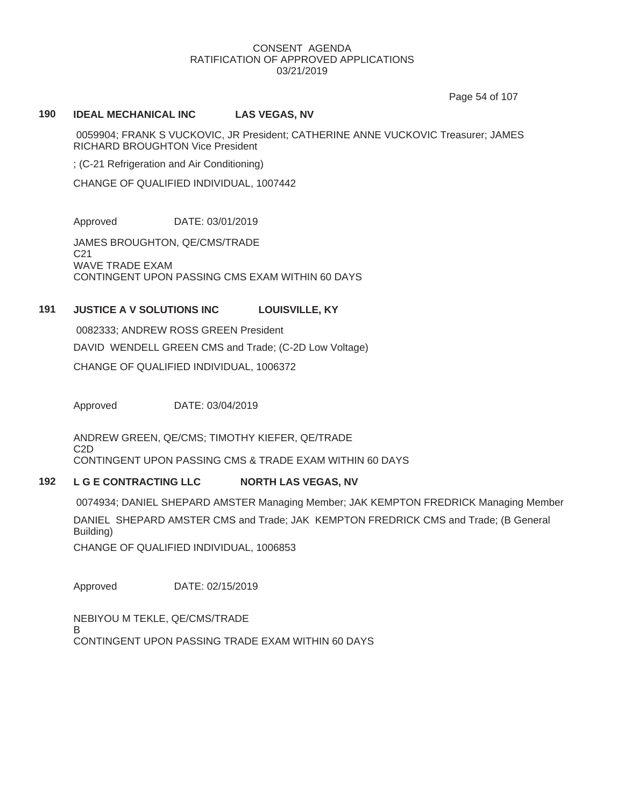Page 54 of 107

## **190 IDEAL MECHANICAL INC LAS VEGAS, NV**

0059904; FRANK S VUCKOVIC, JR President; CATHERINE ANNE VUCKOVIC Treasurer; JAMES RICHARD BROUGHTON Vice President

; (C-21 Refrigeration and Air Conditioning)

CHANGE OF QUALIFIED INDIVIDUAL, 1007442

Approved DATE: 03/01/2019

JAMES BROUGHTON, QE/CMS/TRADE C21 WAVE TRADE EXAM CONTINGENT UPON PASSING CMS EXAM WITHIN 60 DAYS

# **191 JUSTICE A V SOLUTIONS INC LOUISVILLE, KY**

0082333; ANDREW ROSS GREEN President DAVID WENDELL GREEN CMS and Trade; (C-2D Low Voltage) CHANGE OF QUALIFIED INDIVIDUAL, 1006372

Approved DATE: 03/04/2019

ANDREW GREEN, QE/CMS; TIMOTHY KIEFER, QE/TRADE C2D CONTINGENT UPON PASSING CMS & TRADE EXAM WITHIN 60 DAYS

# **192 L G E CONTRACTING LLC NORTH LAS VEGAS, NV**

0074934; DANIEL SHEPARD AMSTER Managing Member; JAK KEMPTON FREDRICK Managing Member DANIEL SHEPARD AMSTER CMS and Trade; JAK KEMPTON FREDRICK CMS and Trade; (B General Building)

CHANGE OF QUALIFIED INDIVIDUAL, 1006853

Approved DATE: 02/15/2019

NEBIYOU M TEKLE, QE/CMS/TRADE B CONTINGENT UPON PASSING TRADE EXAM WITHIN 60 DAYS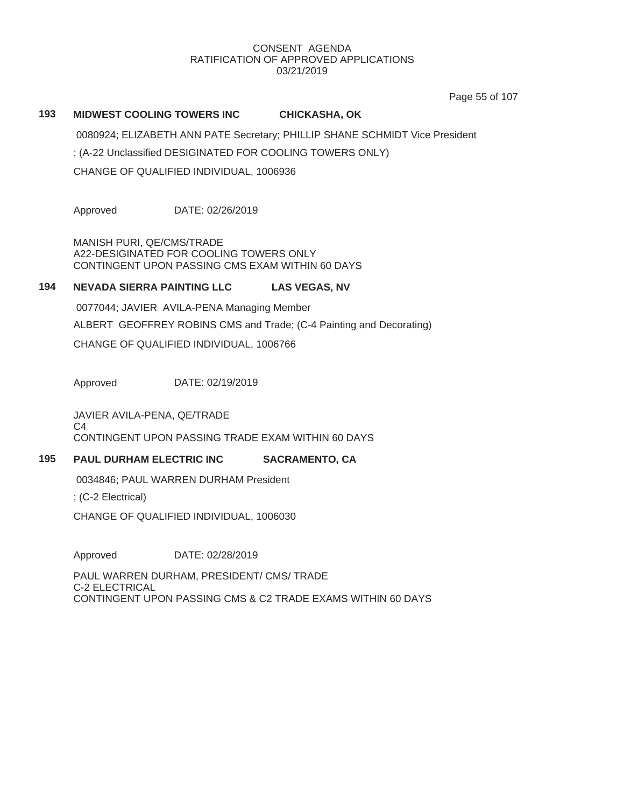Page 55 of 107

## **193 MIDWEST COOLING TOWERS INC CHICKASHA, OK**

0080924; ELIZABETH ANN PATE Secretary; PHILLIP SHANE SCHMIDT Vice President

; (A-22 Unclassified DESIGINATED FOR COOLING TOWERS ONLY)

CHANGE OF QUALIFIED INDIVIDUAL, 1006936

Approved DATE: 02/26/2019

MANISH PURI, QE/CMS/TRADE A22-DESIGINATED FOR COOLING TOWERS ONLY CONTINGENT UPON PASSING CMS EXAM WITHIN 60 DAYS

## **194 NEVADA SIERRA PAINTING LLC LAS VEGAS, NV**

0077044; JAVIER AVILA-PENA Managing Member ALBERT GEOFFREY ROBINS CMS and Trade; (C-4 Painting and Decorating) CHANGE OF QUALIFIED INDIVIDUAL, 1006766

Approved DATE: 02/19/2019

JAVIER AVILA-PENA, QE/TRADE C4 CONTINGENT UPON PASSING TRADE EXAM WITHIN 60 DAYS

# **195 PAUL DURHAM ELECTRIC INC SACRAMENTO, CA**

0034846; PAUL WARREN DURHAM President

; (C-2 Electrical)

CHANGE OF QUALIFIED INDIVIDUAL, 1006030

Approved DATE: 02/28/2019

PAUL WARREN DURHAM, PRESIDENT/ CMS/ TRADE C-2 ELECTRICAL CONTINGENT UPON PASSING CMS & C2 TRADE EXAMS WITHIN 60 DAYS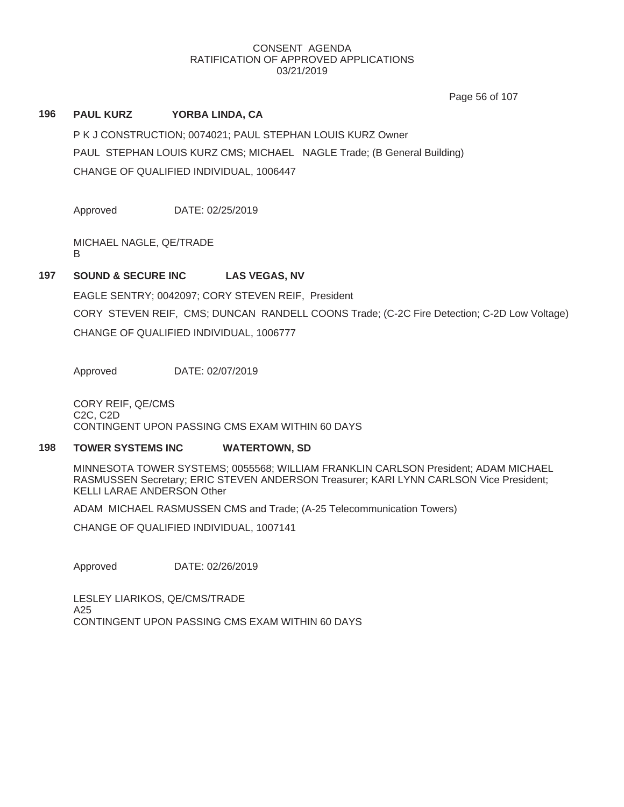Page 56 of 107

## **196 PAUL KURZ YORBA LINDA, CA**

P K J CONSTRUCTION; 0074021; PAUL STEPHAN LOUIS KURZ Owner PAUL STEPHAN LOUIS KURZ CMS; MICHAEL NAGLE Trade; (B General Building) CHANGE OF QUALIFIED INDIVIDUAL, 1006447

Approved DATE: 02/25/2019

MICHAEL NAGLE, QE/TRADE B

## **197 SOUND & SECURE INC LAS VEGAS, NV**

EAGLE SENTRY; 0042097; CORY STEVEN REIF, President CORY STEVEN REIF, CMS; DUNCAN RANDELL COONS Trade; (C-2C Fire Detection; C-2D Low Voltage) CHANGE OF QUALIFIED INDIVIDUAL, 1006777

Approved DATE: 02/07/2019

CORY REIF, QE/CMS C2C, C2D CONTINGENT UPON PASSING CMS EXAM WITHIN 60 DAYS

### **198 TOWER SYSTEMS INC WATERTOWN, SD**

MINNESOTA TOWER SYSTEMS; 0055568; WILLIAM FRANKLIN CARLSON President; ADAM MICHAEL RASMUSSEN Secretary; ERIC STEVEN ANDERSON Treasurer; KARI LYNN CARLSON Vice President; KELLI LARAE ANDERSON Other

ADAM MICHAEL RASMUSSEN CMS and Trade; (A-25 Telecommunication Towers)

CHANGE OF QUALIFIED INDIVIDUAL, 1007141

Approved DATE: 02/26/2019

LESLEY LIARIKOS, QE/CMS/TRADE A25 CONTINGENT UPON PASSING CMS EXAM WITHIN 60 DAYS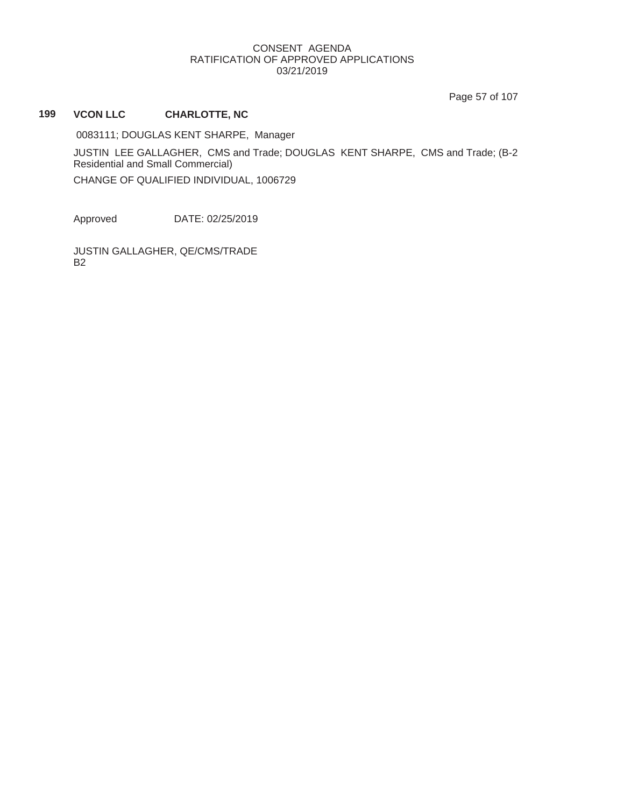Page 57 of 107

# **199 VCON LLC CHARLOTTE, NC**

0083111; DOUGLAS KENT SHARPE, Manager

JUSTIN LEE GALLAGHER, CMS and Trade; DOUGLAS KENT SHARPE, CMS and Trade; (B-2 Residential and Small Commercial)

CHANGE OF QUALIFIED INDIVIDUAL, 1006729

Approved DATE: 02/25/2019

JUSTIN GALLAGHER, QE/CMS/TRADE B2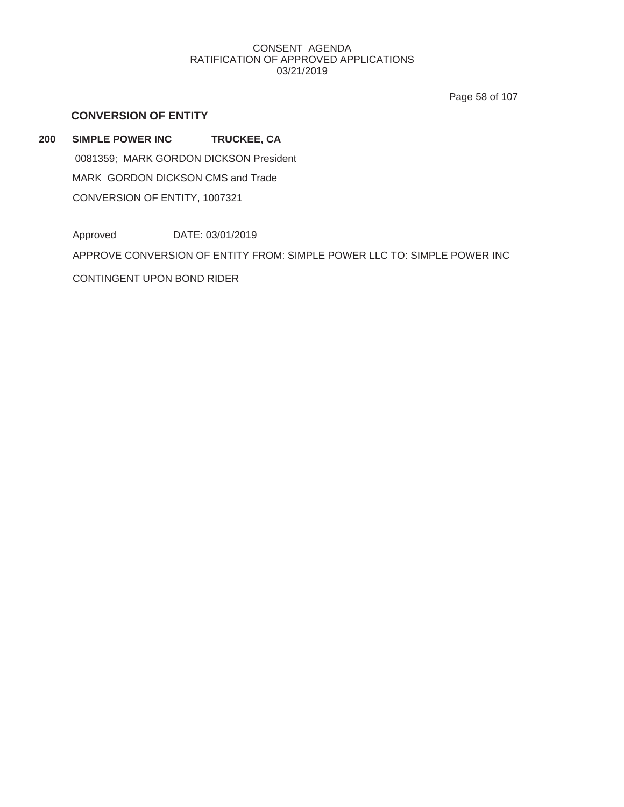Page 58 of 107

# **CONVERSION OF ENTITY**

**200 SIMPLE POWER INC TRUCKEE, CA** 0081359; MARK GORDON DICKSON President MARK GORDON DICKSON CMS and Trade CONVERSION OF ENTITY, 1007321

Approved DATE: 03/01/2019

APPROVE CONVERSION OF ENTITY FROM: SIMPLE POWER LLC TO: SIMPLE POWER INC

CONTINGENT UPON BOND RIDER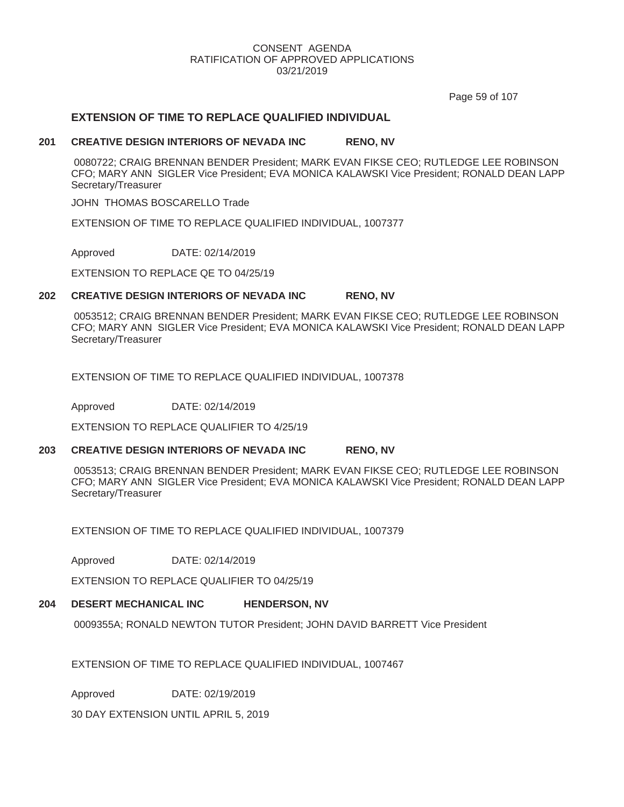Page 59 of 107

## **EXTENSION OF TIME TO REPLACE QUALIFIED INDIVIDUAL**

#### **201 CREATIVE DESIGN INTERIORS OF NEVADA INC RENO, NV**

0080722; CRAIG BRENNAN BENDER President; MARK EVAN FIKSE CEO; RUTLEDGE LEE ROBINSON CFO; MARY ANN SIGLER Vice President; EVA MONICA KALAWSKI Vice President; RONALD DEAN LAPP Secretary/Treasurer

JOHN THOMAS BOSCARELLO Trade

EXTENSION OF TIME TO REPLACE QUALIFIED INDIVIDUAL, 1007377

Approved DATE: 02/14/2019

EXTENSION TO REPLACE QE TO 04/25/19

### **202 CREATIVE DESIGN INTERIORS OF NEVADA INC RENO, NV**

0053512; CRAIG BRENNAN BENDER President; MARK EVAN FIKSE CEO; RUTLEDGE LEE ROBINSON CFO; MARY ANN SIGLER Vice President; EVA MONICA KALAWSKI Vice President; RONALD DEAN LAPP Secretary/Treasurer

EXTENSION OF TIME TO REPLACE QUALIFIED INDIVIDUAL, 1007378

Approved DATE: 02/14/2019

EXTENSION TO REPLACE QUALIFIER TO 4/25/19

# **203 CREATIVE DESIGN INTERIORS OF NEVADA INC RENO, NV**

0053513; CRAIG BRENNAN BENDER President; MARK EVAN FIKSE CEO; RUTLEDGE LEE ROBINSON CFO; MARY ANN SIGLER Vice President; EVA MONICA KALAWSKI Vice President; RONALD DEAN LAPP Secretary/Treasurer

EXTENSION OF TIME TO REPLACE QUALIFIED INDIVIDUAL, 1007379

Approved DATE: 02/14/2019

EXTENSION TO REPLACE QUALIFIER TO 04/25/19

# **204 DESERT MECHANICAL INC HENDERSON, NV**

0009355A; RONALD NEWTON TUTOR President; JOHN DAVID BARRETT Vice President

EXTENSION OF TIME TO REPLACE QUALIFIED INDIVIDUAL, 1007467

Approved DATE: 02/19/2019

30 DAY EXTENSION UNTIL APRIL 5, 2019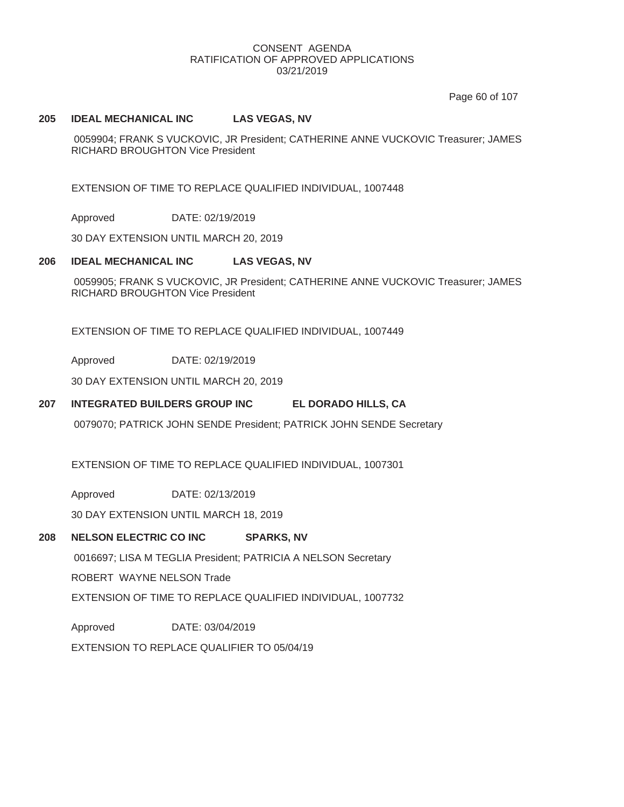Page 60 of 107

### **205 IDEAL MECHANICAL INC LAS VEGAS, NV**

0059904; FRANK S VUCKOVIC, JR President; CATHERINE ANNE VUCKOVIC Treasurer; JAMES RICHARD BROUGHTON Vice President

EXTENSION OF TIME TO REPLACE QUALIFIED INDIVIDUAL, 1007448

Approved DATE: 02/19/2019

30 DAY EXTENSION UNTIL MARCH 20, 2019

#### **206 IDEAL MECHANICAL INC LAS VEGAS, NV**

0059905; FRANK S VUCKOVIC, JR President; CATHERINE ANNE VUCKOVIC Treasurer; JAMES RICHARD BROUGHTON Vice President

EXTENSION OF TIME TO REPLACE QUALIFIED INDIVIDUAL, 1007449

Approved DATE: 02/19/2019

30 DAY EXTENSION UNTIL MARCH 20, 2019

### **207 INTEGRATED BUILDERS GROUP INC EL DORADO HILLS, CA**

0079070; PATRICK JOHN SENDE President; PATRICK JOHN SENDE Secretary

EXTENSION OF TIME TO REPLACE QUALIFIED INDIVIDUAL, 1007301

Approved DATE: 02/13/2019

30 DAY EXTENSION UNTIL MARCH 18, 2019

## **208 NELSON ELECTRIC CO INC SPARKS, NV**

0016697; LISA M TEGLIA President; PATRICIA A NELSON Secretary

ROBERT WAYNE NELSON Trade

EXTENSION OF TIME TO REPLACE QUALIFIED INDIVIDUAL, 1007732

Approved DATE: 03/04/2019

EXTENSION TO REPLACE QUALIFIER TO 05/04/19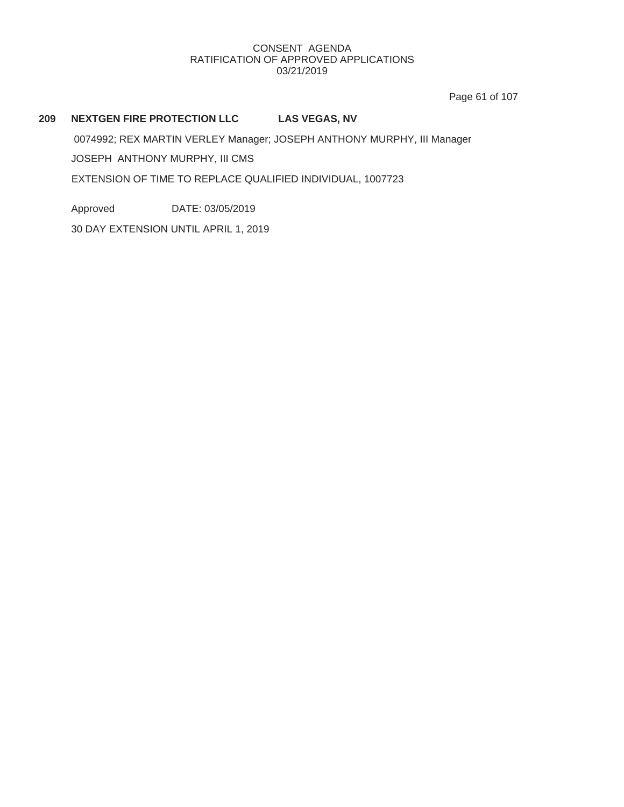Page 61 of 107

## **209 NEXTGEN FIRE PROTECTION LLC LAS VEGAS, NV**

0074992; REX MARTIN VERLEY Manager; JOSEPH ANTHONY MURPHY, III Manager

JOSEPH ANTHONY MURPHY, III CMS

EXTENSION OF TIME TO REPLACE QUALIFIED INDIVIDUAL, 1007723

Approved DATE: 03/05/2019

30 DAY EXTENSION UNTIL APRIL 1, 2019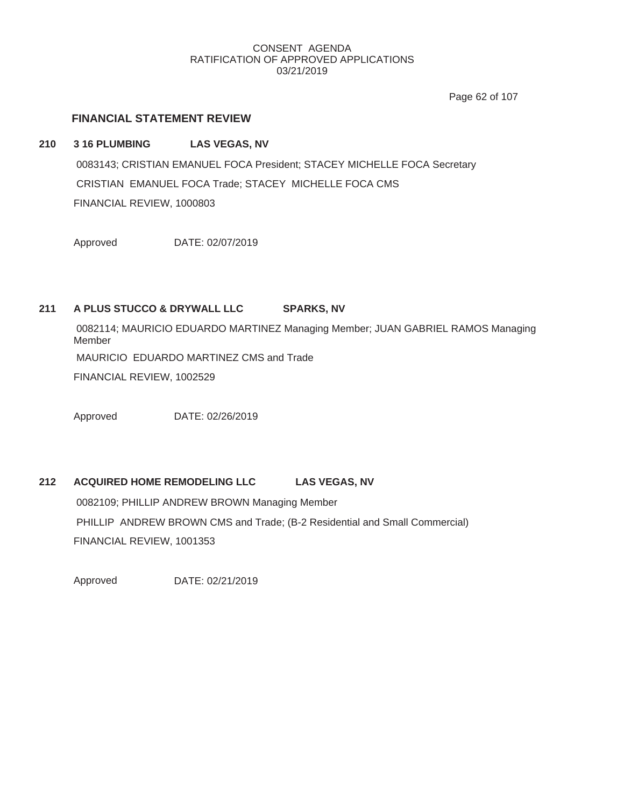Page 62 of 107

# **FINANCIAL STATEMENT REVIEW**

## **210 3 16 PLUMBING LAS VEGAS, NV**

0083143; CRISTIAN EMANUEL FOCA President; STACEY MICHELLE FOCA Secretary CRISTIAN EMANUEL FOCA Trade; STACEY MICHELLE FOCA CMS FINANCIAL REVIEW, 1000803

Approved DATE: 02/07/2019

# **211 A PLUS STUCCO & DRYWALL LLC SPARKS, NV**

0082114; MAURICIO EDUARDO MARTINEZ Managing Member; JUAN GABRIEL RAMOS Managing Member

MAURICIO EDUARDO MARTINEZ CMS and Trade

FINANCIAL REVIEW, 1002529

Approved DATE: 02/26/2019

## **212 ACQUIRED HOME REMODELING LLC LAS VEGAS, NV**

0082109; PHILLIP ANDREW BROWN Managing Member

PHILLIP ANDREW BROWN CMS and Trade; (B-2 Residential and Small Commercial) FINANCIAL REVIEW, 1001353

Approved DATE: 02/21/2019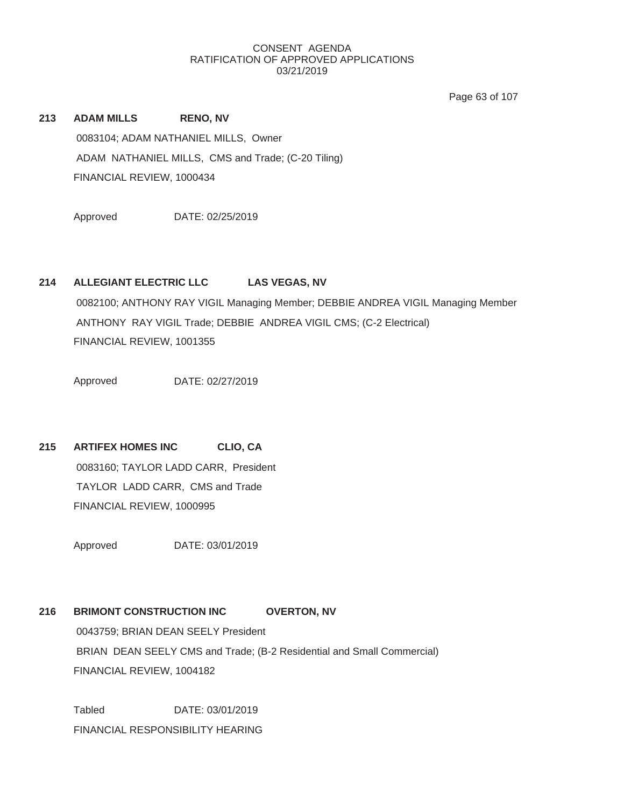Page 63 of 107

# **213 ADAM MILLS RENO, NV** 0083104; ADAM NATHANIEL MILLS, Owner ADAM NATHANIEL MILLS, CMS and Trade; (C-20 Tiling) FINANCIAL REVIEW, 1000434

Approved DATE: 02/25/2019

# **214 ALLEGIANT ELECTRIC LLC LAS VEGAS, NV**

0082100; ANTHONY RAY VIGIL Managing Member; DEBBIE ANDREA VIGIL Managing Member ANTHONY RAY VIGIL Trade; DEBBIE ANDREA VIGIL CMS; (C-2 Electrical) FINANCIAL REVIEW, 1001355

Approved DATE: 02/27/2019

# **215 ARTIFEX HOMES INC CLIO, CA** 0083160; TAYLOR LADD CARR, President TAYLOR LADD CARR, CMS and Trade FINANCIAL REVIEW, 1000995

Approved DATE: 03/01/2019

# **216 BRIMONT CONSTRUCTION INC OVERTON, NV**

0043759; BRIAN DEAN SEELY President BRIAN DEAN SEELY CMS and Trade; (B-2 Residential and Small Commercial) FINANCIAL REVIEW, 1004182

Tabled DATE: 03/01/2019 FINANCIAL RESPONSIBILITY HEARING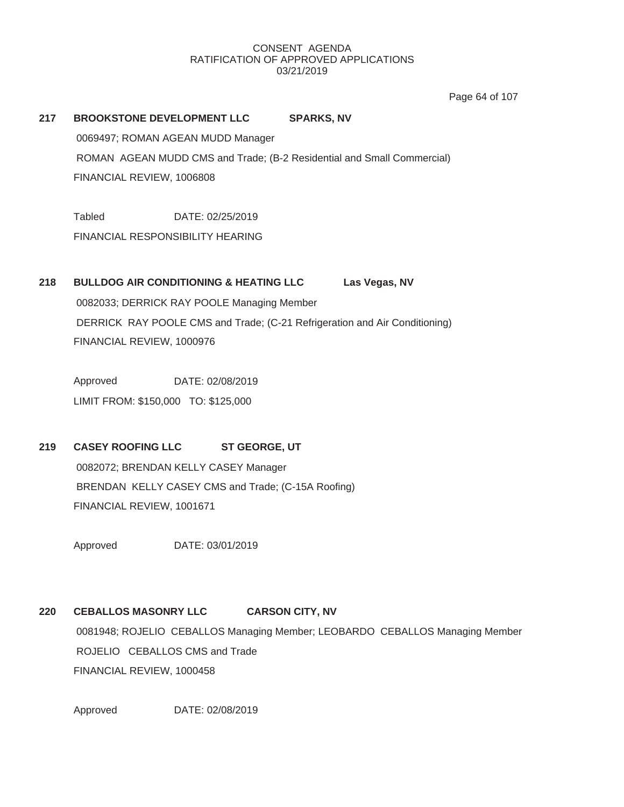Page 64 of 107

# **217 BROOKSTONE DEVELOPMENT LLC SPARKS, NV** 0069497; ROMAN AGEAN MUDD Manager ROMAN AGEAN MUDD CMS and Trade; (B-2 Residential and Small Commercial) FINANCIAL REVIEW, 1006808

Tabled DATE: 02/25/2019

FINANCIAL RESPONSIBILITY HEARING

# **218 BULLDOG AIR CONDITIONING & HEATING LLC Las Vegas, NV**

0082033; DERRICK RAY POOLE Managing Member DERRICK RAY POOLE CMS and Trade; (C-21 Refrigeration and Air Conditioning) FINANCIAL REVIEW, 1000976

Approved DATE: 02/08/2019 LIMIT FROM: \$150,000 TO: \$125,000

# **219 CASEY ROOFING LLC ST GEORGE, UT**

0082072; BRENDAN KELLY CASEY Manager BRENDAN KELLY CASEY CMS and Trade; (C-15A Roofing) FINANCIAL REVIEW, 1001671

Approved DATE: 03/01/2019

# **220 CEBALLOS MASONRY LLC CARSON CITY, NV** 0081948; ROJELIO CEBALLOS Managing Member; LEOBARDO CEBALLOS Managing Member ROJELIO CEBALLOS CMS and Trade FINANCIAL REVIEW, 1000458

Approved DATE: 02/08/2019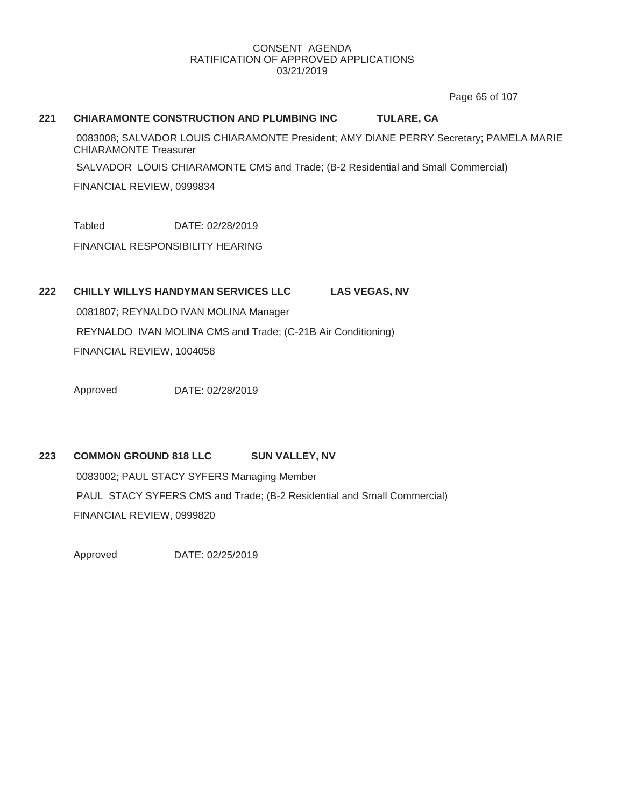Page 65 of 107

# **221 CHIARAMONTE CONSTRUCTION AND PLUMBING INC TULARE, CA**

0083008; SALVADOR LOUIS CHIARAMONTE President; AMY DIANE PERRY Secretary; PAMELA MARIE CHIARAMONTE Treasurer

SALVADOR LOUIS CHIARAMONTE CMS and Trade; (B-2 Residential and Small Commercial)

FINANCIAL REVIEW, 0999834

Tabled DATE: 02/28/2019

FINANCIAL RESPONSIBILITY HEARING

# **222 CHILLY WILLYS HANDYMAN SERVICES LLC LAS VEGAS, NV**

0081807; REYNALDO IVAN MOLINA Manager REYNALDO IVAN MOLINA CMS and Trade; (C-21B Air Conditioning) FINANCIAL REVIEW, 1004058

Approved DATE: 02/28/2019

# **223 COMMON GROUND 818 LLC SUN VALLEY, NV**

0083002; PAUL STACY SYFERS Managing Member PAUL STACY SYFERS CMS and Trade; (B-2 Residential and Small Commercial) FINANCIAL REVIEW, 0999820

Approved DATE: 02/25/2019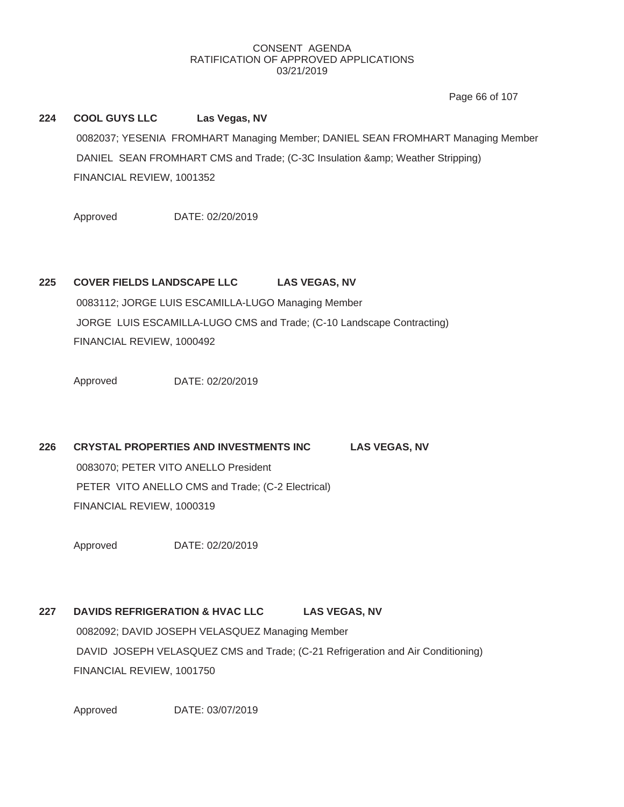Page 66 of 107

# **224 COOL GUYS LLC Las Vegas, NV** 0082037; YESENIA FROMHART Managing Member; DANIEL SEAN FROMHART Managing Member DANIEL SEAN FROMHART CMS and Trade; (C-3C Insulation & amp; Weather Stripping) FINANCIAL REVIEW, 1001352

Approved DATE: 02/20/2019

# **225 COVER FIELDS LANDSCAPE LLC LAS VEGAS, NV**

0083112; JORGE LUIS ESCAMILLA-LUGO Managing Member JORGE LUIS ESCAMILLA-LUGO CMS and Trade; (C-10 Landscape Contracting) FINANCIAL REVIEW, 1000492

Approved DATE: 02/20/2019

# **226 CRYSTAL PROPERTIES AND INVESTMENTS INC LAS VEGAS, NV**

0083070; PETER VITO ANELLO President PETER VITO ANELLO CMS and Trade; (C-2 Electrical) FINANCIAL REVIEW, 1000319

Approved DATE: 02/20/2019

# 227 DAVIDS REFRIGERATION & HVAC LLC LAS VEGAS, NV 0082092; DAVID JOSEPH VELASQUEZ Managing Member DAVID JOSEPH VELASQUEZ CMS and Trade; (C-21 Refrigeration and Air Conditioning) FINANCIAL REVIEW, 1001750

Approved DATE: 03/07/2019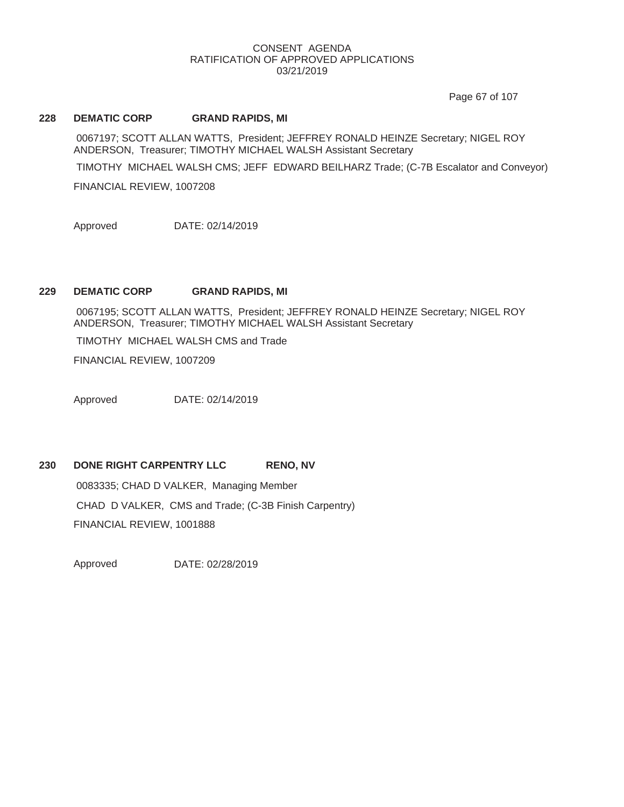Page 67 of 107

#### **228 DEMATIC CORP GRAND RAPIDS, MI**

0067197; SCOTT ALLAN WATTS, President; JEFFREY RONALD HEINZE Secretary; NIGEL ROY ANDERSON, Treasurer; TIMOTHY MICHAEL WALSH Assistant Secretary

TIMOTHY MICHAEL WALSH CMS; JEFF EDWARD BEILHARZ Trade; (C-7B Escalator and Conveyor)

FINANCIAL REVIEW, 1007208

Approved DATE: 02/14/2019

## **229 DEMATIC CORP GRAND RAPIDS, MI**

0067195; SCOTT ALLAN WATTS, President; JEFFREY RONALD HEINZE Secretary; NIGEL ROY ANDERSON, Treasurer; TIMOTHY MICHAEL WALSH Assistant Secretary

TIMOTHY MICHAEL WALSH CMS and Trade

FINANCIAL REVIEW, 1007209

Approved DATE: 02/14/2019

## **230 DONE RIGHT CARPENTRY LLC RENO, NV**

0083335; CHAD D VALKER, Managing Member CHAD D VALKER, CMS and Trade; (C-3B Finish Carpentry) FINANCIAL REVIEW, 1001888

Approved DATE: 02/28/2019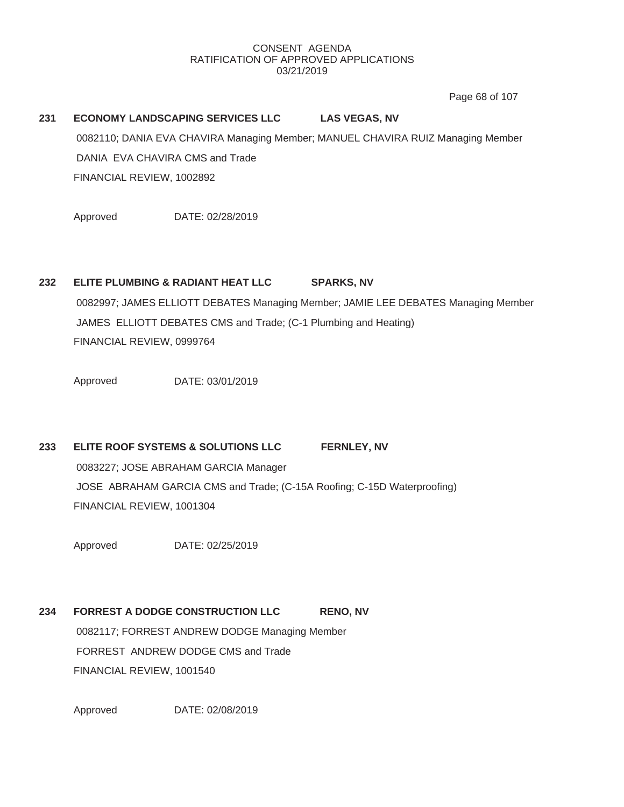Page 68 of 107

# **231 ECONOMY LANDSCAPING SERVICES LLC LAS VEGAS, NV**

0082110; DANIA EVA CHAVIRA Managing Member; MANUEL CHAVIRA RUIZ Managing Member DANIA EVA CHAVIRA CMS and Trade FINANCIAL REVIEW, 1002892

Approved DATE: 02/28/2019

## **232 ELITE PLUMBING & RADIANT HEAT LLC SPARKS, NV**

0082997; JAMES ELLIOTT DEBATES Managing Member; JAMIE LEE DEBATES Managing Member JAMES ELLIOTT DEBATES CMS and Trade; (C-1 Plumbing and Heating) FINANCIAL REVIEW, 0999764

Approved DATE: 03/01/2019

**233 ELITE ROOF SYSTEMS & SOLUTIONS LLC FERNLEY, NV** 0083227; JOSE ABRAHAM GARCIA Manager JOSE ABRAHAM GARCIA CMS and Trade; (C-15A Roofing; C-15D Waterproofing) FINANCIAL REVIEW, 1001304

Approved DATE: 02/25/2019

# **234 FORREST A DODGE CONSTRUCTION LLC RENO, NV** 0082117; FORREST ANDREW DODGE Managing Member FORREST ANDREW DODGE CMS and Trade FINANCIAL REVIEW, 1001540

Approved DATE: 02/08/2019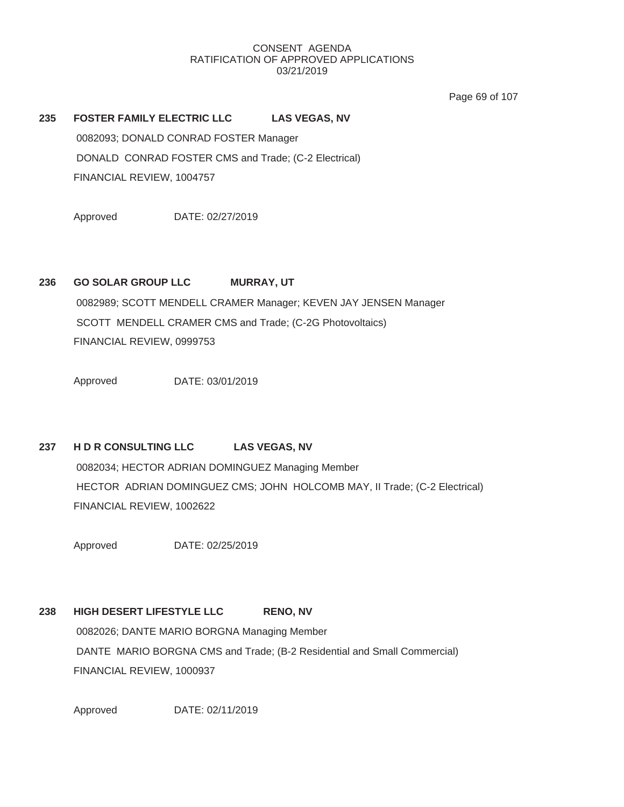Page 69 of 107

# **235 FOSTER FAMILY ELECTRIC LLC LAS VEGAS, NV** 0082093; DONALD CONRAD FOSTER Manager DONALD CONRAD FOSTER CMS and Trade; (C-2 Electrical) FINANCIAL REVIEW, 1004757

Approved DATE: 02/27/2019

# **236 GO SOLAR GROUP LLC MURRAY, UT**

0082989; SCOTT MENDELL CRAMER Manager; KEVEN JAY JENSEN Manager SCOTT MENDELL CRAMER CMS and Trade; (C-2G Photovoltaics) FINANCIAL REVIEW, 0999753

Approved DATE: 03/01/2019

# **237 H D R CONSULTING LLC LAS VEGAS, NV**

0082034; HECTOR ADRIAN DOMINGUEZ Managing Member HECTOR ADRIAN DOMINGUEZ CMS; JOHN HOLCOMB MAY, II Trade; (C-2 Electrical) FINANCIAL REVIEW, 1002622

Approved DATE: 02/25/2019

# **238 HIGH DESERT LIFESTYLE LLC RENO, NV**

0082026; DANTE MARIO BORGNA Managing Member DANTE MARIO BORGNA CMS and Trade; (B-2 Residential and Small Commercial) FINANCIAL REVIEW, 1000937

Approved DATE: 02/11/2019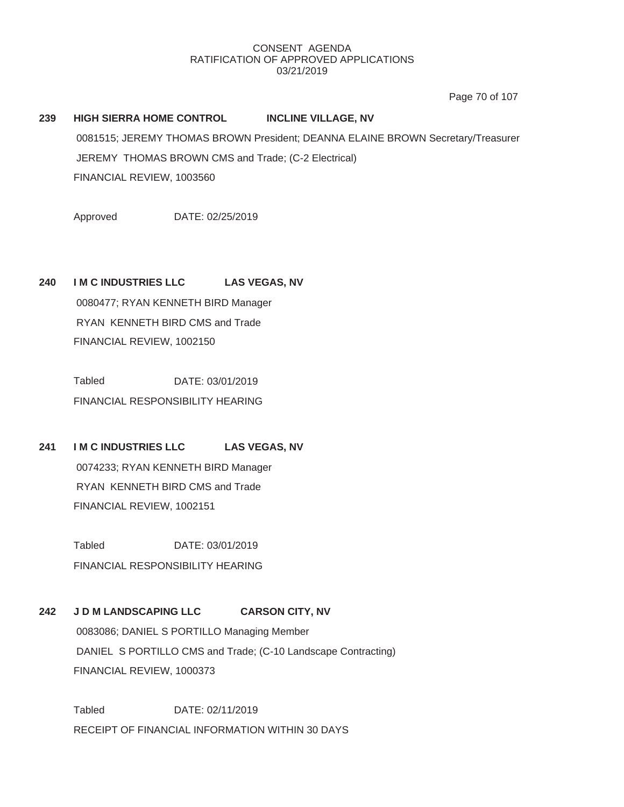Page 70 of 107

# **239 HIGH SIERRA HOME CONTROL INCLINE VILLAGE, NV** 0081515; JEREMY THOMAS BROWN President; DEANNA ELAINE BROWN Secretary/Treasurer JEREMY THOMAS BROWN CMS and Trade; (C-2 Electrical) FINANCIAL REVIEW, 1003560

Approved DATE: 02/25/2019

# **240 I M C INDUSTRIES LLC LAS VEGAS, NV**

0080477; RYAN KENNETH BIRD Manager RYAN KENNETH BIRD CMS and Trade FINANCIAL REVIEW, 1002150

Tabled DATE: 03/01/2019 FINANCIAL RESPONSIBILITY HEARING

# **241 I M C INDUSTRIES LLC LAS VEGAS, NV**

0074233; RYAN KENNETH BIRD Manager RYAN KENNETH BIRD CMS and Trade FINANCIAL REVIEW, 1002151

Tabled DATE: 03/01/2019 FINANCIAL RESPONSIBILITY HEARING

# **242 J D M LANDSCAPING LLC CARSON CITY, NV**

0083086; DANIEL S PORTILLO Managing Member DANIEL S PORTILLO CMS and Trade; (C-10 Landscape Contracting) FINANCIAL REVIEW, 1000373

Tabled DATE: 02/11/2019 RECEIPT OF FINANCIAL INFORMATION WITHIN 30 DAYS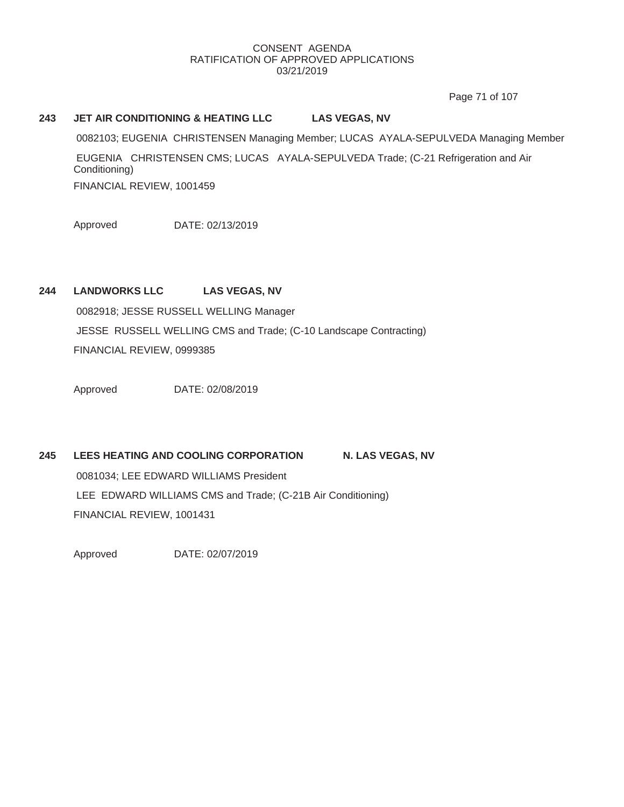Page 71 of 107

## **243 JET AIR CONDITIONING & HEATING LLC LAS VEGAS, NV**

0082103; EUGENIA CHRISTENSEN Managing Member; LUCAS AYALA-SEPULVEDA Managing Member

EUGENIA CHRISTENSEN CMS; LUCAS AYALA-SEPULVEDA Trade; (C-21 Refrigeration and Air Conditioning) FINANCIAL REVIEW, 1001459

Approved DATE: 02/13/2019

# **244 LANDWORKS LLC LAS VEGAS, NV**

0082918; JESSE RUSSELL WELLING Manager JESSE RUSSELL WELLING CMS and Trade; (C-10 Landscape Contracting) FINANCIAL REVIEW, 0999385

Approved DATE: 02/08/2019

# **245 LEES HEATING AND COOLING CORPORATION N. LAS VEGAS, NV**

0081034; LEE EDWARD WILLIAMS President LEE EDWARD WILLIAMS CMS and Trade; (C-21B Air Conditioning) FINANCIAL REVIEW, 1001431

Approved DATE: 02/07/2019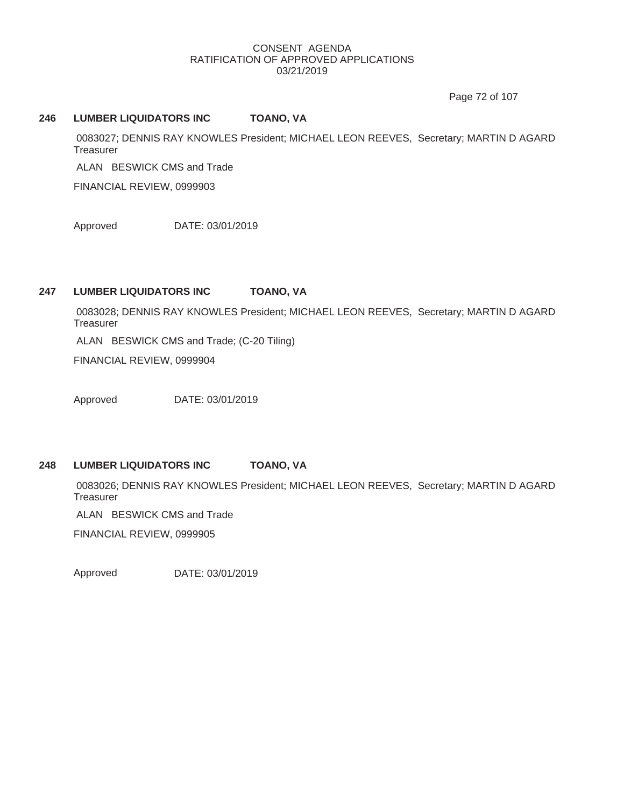Page 72 of 107

### **246 LUMBER LIQUIDATORS INC TOANO, VA**

0083027; DENNIS RAY KNOWLES President; MICHAEL LEON REEVES, Secretary; MARTIN D AGARD **Treasurer** 

ALAN BESWICK CMS and Trade

FINANCIAL REVIEW, 0999903

Approved DATE: 03/01/2019

# **247 LUMBER LIQUIDATORS INC TOANO, VA**

0083028; DENNIS RAY KNOWLES President; MICHAEL LEON REEVES, Secretary; MARTIN D AGARD **Treasurer** 

ALAN BESWICK CMS and Trade; (C-20 Tiling)

FINANCIAL REVIEW, 0999904

Approved DATE: 03/01/2019

### **248 LUMBER LIQUIDATORS INC TOANO, VA**

0083026; DENNIS RAY KNOWLES President; MICHAEL LEON REEVES, Secretary; MARTIN D AGARD **Treasurer** 

ALAN BESWICK CMS and Trade

FINANCIAL REVIEW, 0999905

Approved DATE: 03/01/2019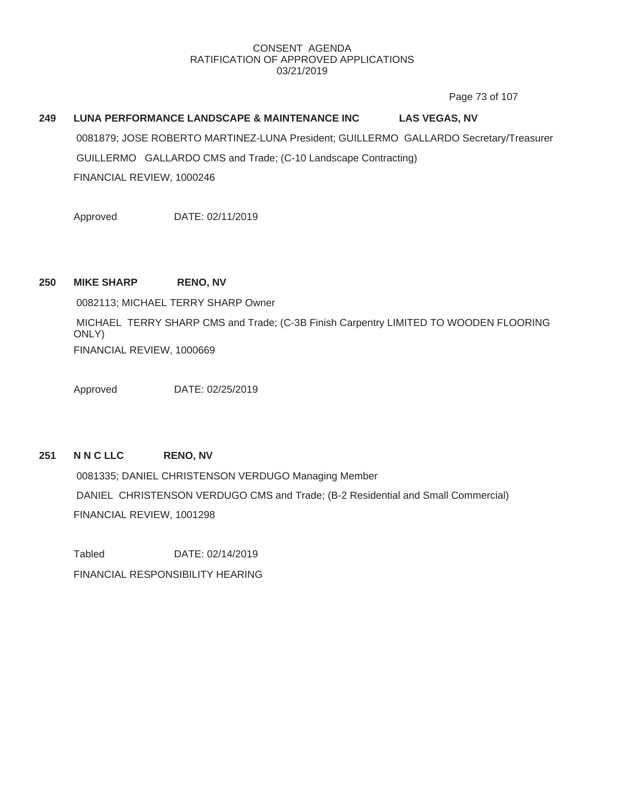Page 73 of 107

# **249 LUNA PERFORMANCE LANDSCAPE & MAINTENANCE INC LAS VEGAS, NV**

0081879; JOSE ROBERTO MARTINEZ-LUNA President; GUILLERMO GALLARDO Secretary/Treasurer GUILLERMO GALLARDO CMS and Trade; (C-10 Landscape Contracting) FINANCIAL REVIEW, 1000246

Approved DATE: 02/11/2019

## **250 MIKE SHARP RENO, NV**

0082113; MICHAEL TERRY SHARP Owner

MICHAEL TERRY SHARP CMS and Trade; (C-3B Finish Carpentry LIMITED TO WOODEN FLOORING ONLY) FINANCIAL REVIEW, 1000669

Approved DATE: 02/25/2019

# **251 N N C LLC RENO, NV**

0081335; DANIEL CHRISTENSON VERDUGO Managing Member DANIEL CHRISTENSON VERDUGO CMS and Trade; (B-2 Residential and Small Commercial) FINANCIAL REVIEW, 1001298

Tabled DATE: 02/14/2019 FINANCIAL RESPONSIBILITY HEARING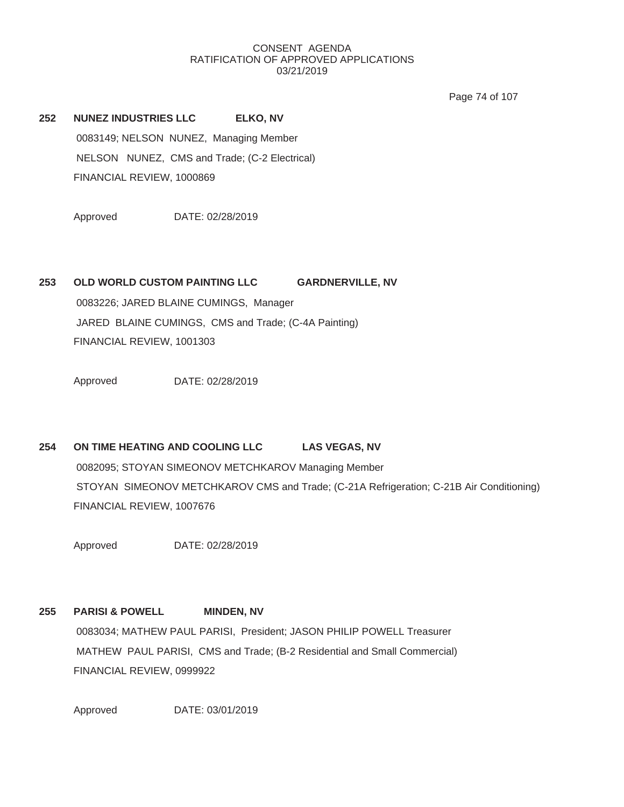Page 74 of 107

**252 NUNEZ INDUSTRIES LLC ELKO, NV** 0083149; NELSON NUNEZ, Managing Member NELSON NUNEZ, CMS and Trade; (C-2 Electrical) FINANCIAL REVIEW, 1000869

Approved DATE: 02/28/2019

#### **253 OLD WORLD CUSTOM PAINTING LLC GARDNERVILLE, NV**

0083226; JARED BLAINE CUMINGS, Manager JARED BLAINE CUMINGS, CMS and Trade; (C-4A Painting) FINANCIAL REVIEW, 1001303

Approved DATE: 02/28/2019

# **254 ON TIME HEATING AND COOLING LLC LAS VEGAS, NV** 0082095; STOYAN SIMEONOV METCHKAROV Managing Member STOYAN SIMEONOV METCHKAROV CMS and Trade; (C-21A Refrigeration; C-21B Air Conditioning) FINANCIAL REVIEW, 1007676

Approved DATE: 02/28/2019

# **255 PARISI & POWELL MINDEN, NV** 0083034; MATHEW PAUL PARISI, President; JASON PHILIP POWELL Treasurer MATHEW PAUL PARISI, CMS and Trade; (B-2 Residential and Small Commercial) FINANCIAL REVIEW, 0999922

Approved DATE: 03/01/2019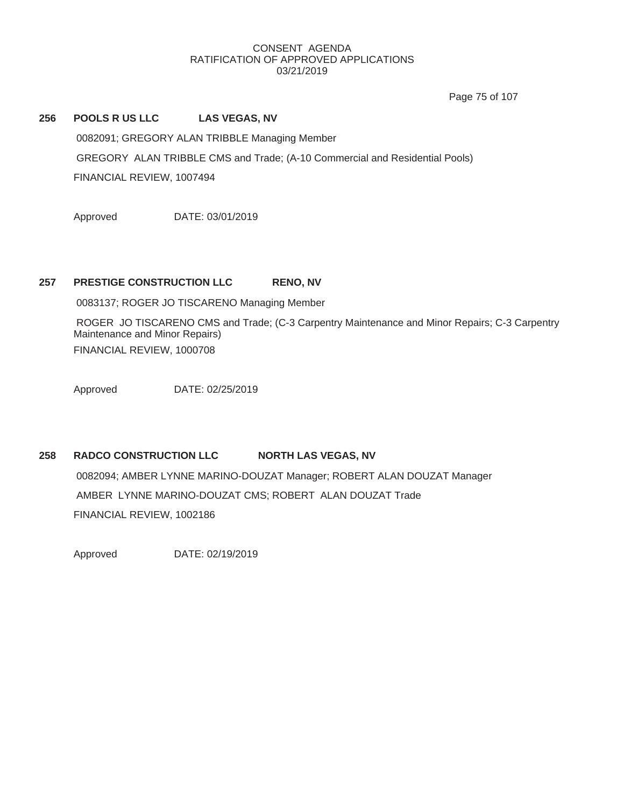Page 75 of 107

# **256 POOLS R US LLC LAS VEGAS, NV**

0082091; GREGORY ALAN TRIBBLE Managing Member

GREGORY ALAN TRIBBLE CMS and Trade; (A-10 Commercial and Residential Pools)

FINANCIAL REVIEW, 1007494

Approved DATE: 03/01/2019

## **257 PRESTIGE CONSTRUCTION LLC RENO, NV**

0083137; ROGER JO TISCARENO Managing Member

ROGER JO TISCARENO CMS and Trade; (C-3 Carpentry Maintenance and Minor Repairs; C-3 Carpentry Maintenance and Minor Repairs) FINANCIAL REVIEW, 1000708

Approved DATE: 02/25/2019

# **258 RADCO CONSTRUCTION LLC NORTH LAS VEGAS, NV**

0082094; AMBER LYNNE MARINO-DOUZAT Manager; ROBERT ALAN DOUZAT Manager AMBER LYNNE MARINO-DOUZAT CMS; ROBERT ALAN DOUZAT Trade FINANCIAL REVIEW, 1002186

Approved DATE: 02/19/2019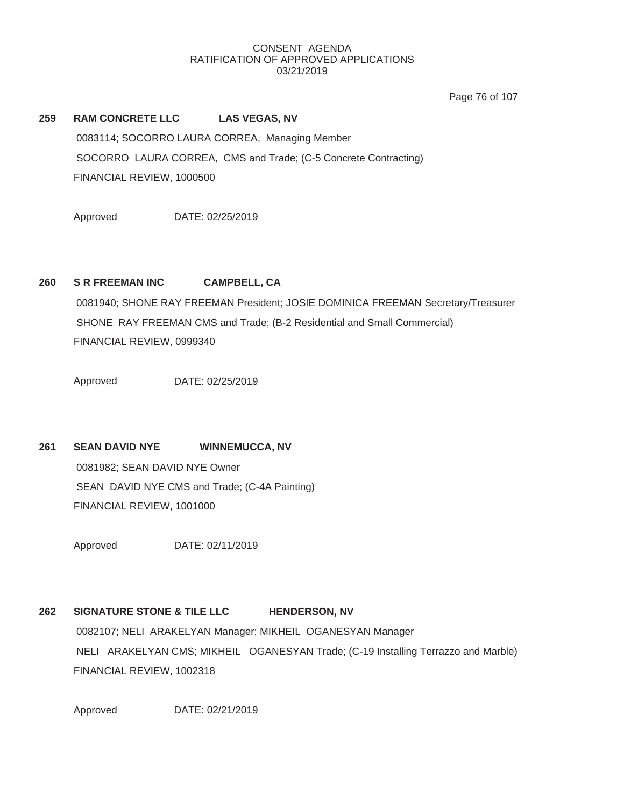Page 76 of 107

# **259 RAM CONCRETE LLC LAS VEGAS, NV**

0083114; SOCORRO LAURA CORREA, Managing Member SOCORRO LAURA CORREA, CMS and Trade; (C-5 Concrete Contracting) FINANCIAL REVIEW, 1000500

Approved DATE: 02/25/2019

## **260 S R FREEMAN INC CAMPBELL, CA**

0081940; SHONE RAY FREEMAN President; JOSIE DOMINICA FREEMAN Secretary/Treasurer SHONE RAY FREEMAN CMS and Trade; (B-2 Residential and Small Commercial) FINANCIAL REVIEW, 0999340

Approved DATE: 02/25/2019

#### **261 SEAN DAVID NYE WINNEMUCCA, NV**

0081982; SEAN DAVID NYE Owner SEAN DAVID NYE CMS and Trade; (C-4A Painting) FINANCIAL REVIEW, 1001000

Approved DATE: 02/11/2019

# **262 SIGNATURE STONE & TILE LLC HENDERSON, NV**

0082107; NELI ARAKELYAN Manager; MIKHEIL OGANESYAN Manager NELI ARAKELYAN CMS; MIKHEIL OGANESYAN Trade; (C-19 Installing Terrazzo and Marble) FINANCIAL REVIEW, 1002318

Approved DATE: 02/21/2019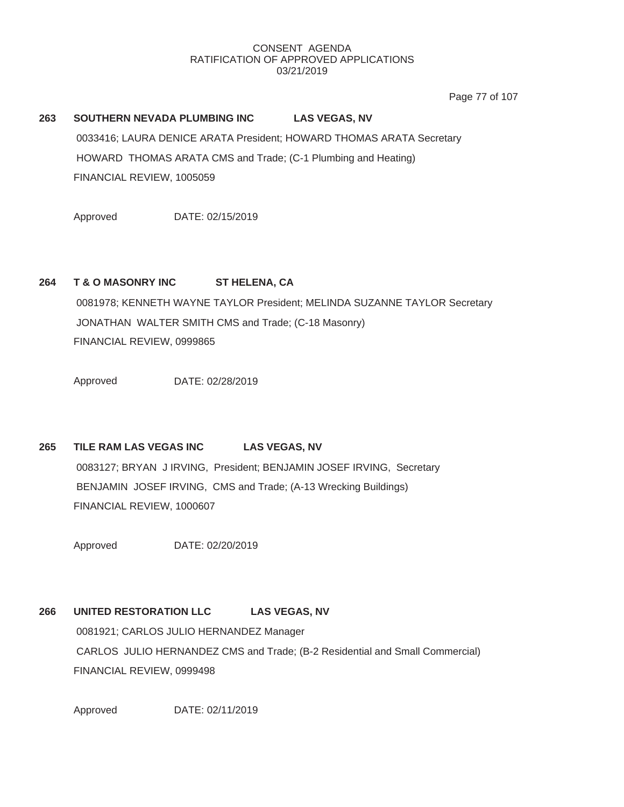Page 77 of 107

# **263 SOUTHERN NEVADA PLUMBING INC LAS VEGAS, NV** 0033416; LAURA DENICE ARATA President; HOWARD THOMAS ARATA Secretary HOWARD THOMAS ARATA CMS and Trade; (C-1 Plumbing and Heating) FINANCIAL REVIEW, 1005059

Approved DATE: 02/15/2019

# **264 T & O MASONRY INC ST HELENA, CA**

0081978; KENNETH WAYNE TAYLOR President; MELINDA SUZANNE TAYLOR Secretary JONATHAN WALTER SMITH CMS and Trade; (C-18 Masonry) FINANCIAL REVIEW, 0999865

Approved DATE: 02/28/2019

# **265 TILE RAM LAS VEGAS INC LAS VEGAS, NV**

0083127; BRYAN J IRVING, President; BENJAMIN JOSEF IRVING, Secretary BENJAMIN JOSEF IRVING, CMS and Trade; (A-13 Wrecking Buildings) FINANCIAL REVIEW, 1000607

Approved DATE: 02/20/2019

# **266 UNITED RESTORATION LLC LAS VEGAS, NV**

0081921; CARLOS JULIO HERNANDEZ Manager CARLOS JULIO HERNANDEZ CMS and Trade; (B-2 Residential and Small Commercial) FINANCIAL REVIEW, 0999498

Approved DATE: 02/11/2019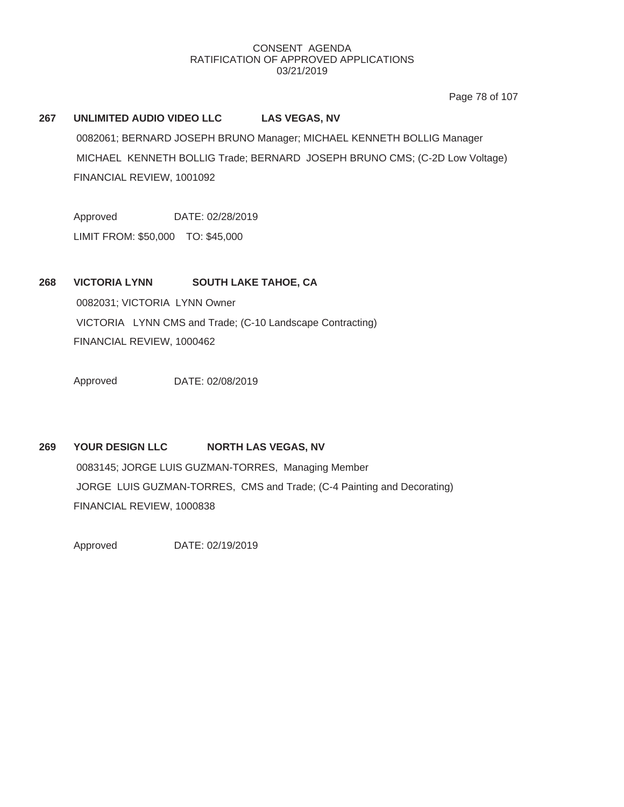Page 78 of 107

## **267 UNLIMITED AUDIO VIDEO LLC LAS VEGAS, NV**

0082061; BERNARD JOSEPH BRUNO Manager; MICHAEL KENNETH BOLLIG Manager MICHAEL KENNETH BOLLIG Trade; BERNARD JOSEPH BRUNO CMS; (C-2D Low Voltage) FINANCIAL REVIEW, 1001092

Approved DATE: 02/28/2019

LIMIT FROM: \$50,000 TO: \$45,000

# **268 VICTORIA LYNN SOUTH LAKE TAHOE, CA**

0082031; VICTORIA LYNN Owner VICTORIA LYNN CMS and Trade; (C-10 Landscape Contracting) FINANCIAL REVIEW, 1000462

Approved DATE: 02/08/2019

# **269 YOUR DESIGN LLC NORTH LAS VEGAS, NV**

0083145; JORGE LUIS GUZMAN-TORRES, Managing Member JORGE LUIS GUZMAN-TORRES, CMS and Trade; (C-4 Painting and Decorating) FINANCIAL REVIEW, 1000838

Approved DATE: 02/19/2019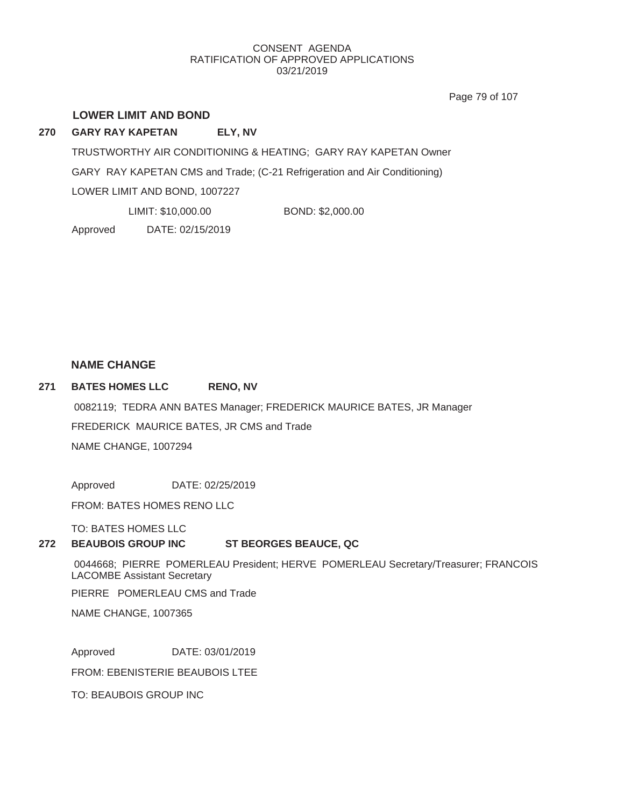Page 79 of 107

## **LOWER LIMIT AND BOND**

## **270 GARY RAY KAPETAN ELY, NV**

TRUSTWORTHY AIR CONDITIONING & HEATING; GARY RAY KAPETAN Owner GARY RAY KAPETAN CMS and Trade; (C-21 Refrigeration and Air Conditioning) LOWER LIMIT AND BOND, 1007227 LIMIT: \$10,000.00 BOND: \$2,000.00

Approved DATE: 02/15/2019

# **NAME CHANGE**

#### **271 BATES HOMES LLC RENO, NV**

NAME CHANGE, 1007294 FREDERICK MAURICE BATES, JR CMS and Trade 0082119; TEDRA ANN BATES Manager; FREDERICK MAURICE BATES, JR Manager

Approved DATE: 02/25/2019

FROM: BATES HOMES RENO LLC

TO: BATES HOMES LLC

#### **272 BEAUBOIS GROUP INC ST BEORGES BEAUCE, QC**

0044668; PIERRE POMERLEAU President; HERVE POMERLEAU Secretary/Treasurer; FRANCOIS LACOMBE Assistant Secretary

PIERRE POMERLEAU CMS and Trade

NAME CHANGE, 1007365

Approved DATE: 03/01/2019

FROM: EBENISTERIE BEAUBOIS LTEE

TO: BEAUBOIS GROUP INC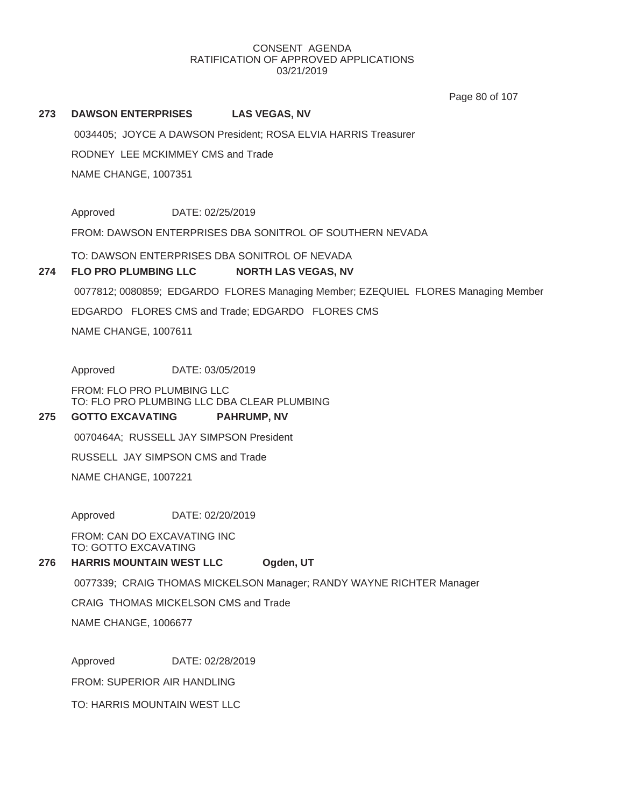Page 80 of 107

#### **273 DAWSON ENTERPRISES LAS VEGAS, NV**

NAME CHANGE, 1007351 RODNEY LEE MCKIMMEY CMS and Trade 0034405; JOYCE A DAWSON President; ROSA ELVIA HARRIS Treasurer

Approved DATE: 02/25/2019

FROM: DAWSON ENTERPRISES DBA SONITROL OF SOUTHERN NEVADA

TO: DAWSON ENTERPRISES DBA SONITROL OF NEVADA

#### **274 FLO PRO PLUMBING LLC NORTH LAS VEGAS, NV**

0077812; 0080859; EDGARDO FLORES Managing Member; EZEQUIEL FLORES Managing Member

EDGARDO FLORES CMS and Trade; EDGARDO FLORES CMS

NAME CHANGE, 1007611

Approved DATE: 03/05/2019

FROM: FLO PRO PLUMBING LLC TO: FLO PRO PLUMBING LLC DBA CLEAR PLUMBING

#### **275 GOTTO EXCAVATING PAHRUMP, NV**

0070464A; RUSSELL JAY SIMPSON President

RUSSELL JAY SIMPSON CMS and Trade

NAME CHANGE, 1007221

Approved DATE: 02/20/2019

FROM: CAN DO EXCAVATING INC TO: GOTTO EXCAVATING

#### **276 HARRIS MOUNTAIN WEST LLC Ogden, UT**

0077339; CRAIG THOMAS MICKELSON Manager; RANDY WAYNE RICHTER Manager

CRAIG THOMAS MICKELSON CMS and Trade

NAME CHANGE, 1006677

Approved DATE: 02/28/2019

FROM: SUPERIOR AIR HANDLING

TO: HARRIS MOUNTAIN WEST LLC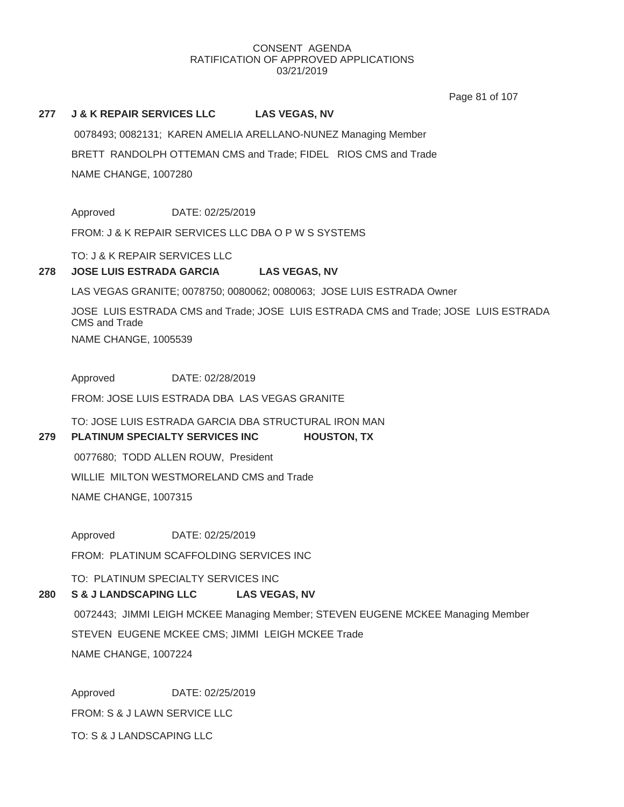Page 81 of 107

#### **277 J & K REPAIR SERVICES LLC LAS VEGAS, NV**

NAME CHANGE, 1007280 BRETT RANDOLPH OTTEMAN CMS and Trade; FIDEL RIOS CMS and Trade 0078493; 0082131; KAREN AMELIA ARELLANO-NUNEZ Managing Member

Approved DATE: 02/25/2019

FROM: J & K REPAIR SERVICES LLC DBA O P W S SYSTEMS

TO: J & K REPAIR SERVICES LLC

#### **278 JOSE LUIS ESTRADA GARCIA LAS VEGAS, NV**

LAS VEGAS GRANITE; 0078750; 0080062; 0080063; JOSE LUIS ESTRADA Owner

JOSE LUIS ESTRADA CMS and Trade; JOSE LUIS ESTRADA CMS and Trade; JOSE LUIS ESTRADA CMS and Trade

NAME CHANGE, 1005539

Approved DATE: 02/28/2019

FROM: JOSE LUIS ESTRADA DBA LAS VEGAS GRANITE

TO: JOSE LUIS ESTRADA GARCIA DBA STRUCTURAL IRON MAN

#### **279 PLATINUM SPECIALTY SERVICES INC HOUSTON, TX**

NAME CHANGE, 1007315 WILLIE MILTON WESTMORELAND CMS and Trade 0077680; TODD ALLEN ROUW, President

Approved DATE: 02/25/2019

FROM: PLATINUM SCAFFOLDING SERVICES INC

TO: PLATINUM SPECIALTY SERVICES INC

#### **280 S & J LANDSCAPING LLC LAS VEGAS, NV**

NAME CHANGE, 1007224 STEVEN EUGENE MCKEE CMS; JIMMI LEIGH MCKEE Trade 0072443; JIMMI LEIGH MCKEE Managing Member; STEVEN EUGENE MCKEE Managing Member

FROM: S & J LAWN SERVICE LLC TO: S & J LANDSCAPING LLC Approved DATE: 02/25/2019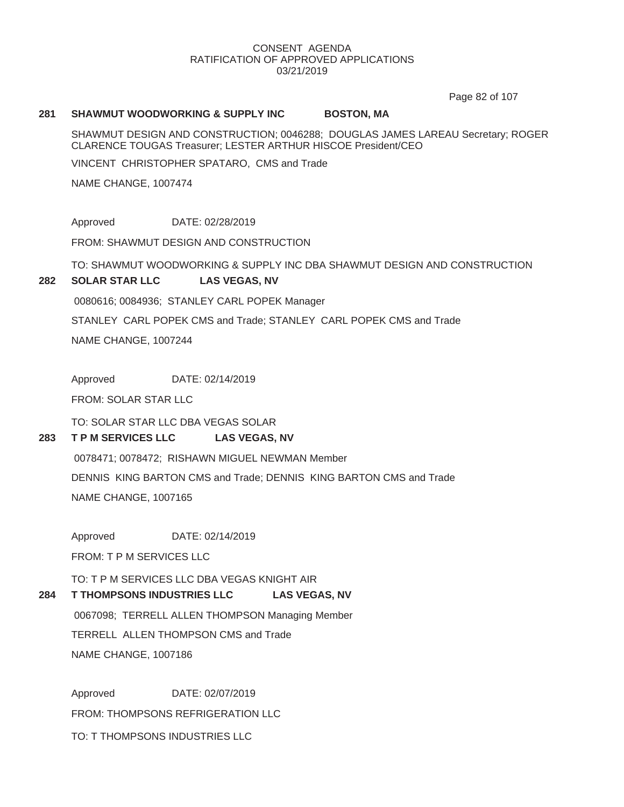Page 82 of 107

#### **281 SHAWMUT WOODWORKING & SUPPLY INC BOSTON, MA**

SHAWMUT DESIGN AND CONSTRUCTION; 0046288; DOUGLAS JAMES LAREAU Secretary; ROGER CLARENCE TOUGAS Treasurer; LESTER ARTHUR HISCOE President/CEO

VINCENT CHRISTOPHER SPATARO, CMS and Trade

NAME CHANGE, 1007474

Approved DATE: 02/28/2019

FROM: SHAWMUT DESIGN AND CONSTRUCTION

TO: SHAWMUT WOODWORKING & SUPPLY INC DBA SHAWMUT DESIGN AND CONSTRUCTION

#### **282 SOLAR STAR LLC LAS VEGAS, NV**

0080616; 0084936; STANLEY CARL POPEK Manager

STANLEY CARL POPEK CMS and Trade; STANLEY CARL POPEK CMS and Trade

NAME CHANGE, 1007244

Approved DATE: 02/14/2019

FROM: SOLAR STAR LLC

TO: SOLAR STAR LLC DBA VEGAS SOLAR

#### **283 T P M SERVICES LLC LAS VEGAS, NV**

0078471; 0078472; RISHAWN MIGUEL NEWMAN Member

DENNIS KING BARTON CMS and Trade; DENNIS KING BARTON CMS and Trade

NAME CHANGE, 1007165

Approved DATE: 02/14/2019

FROM: T P M SERVICES LLC

TO: T P M SERVICES LLC DBA VEGAS KNIGHT AIR

#### **284 T THOMPSONS INDUSTRIES LLC LAS VEGAS, NV**

NAME CHANGE, 1007186 TERRELL ALLEN THOMPSON CMS and Trade 0067098; TERRELL ALLEN THOMPSON Managing Member

FROM: THOMPSONS REFRIGERATION LLC TO: T THOMPSONS INDUSTRIES LLC Approved DATE: 02/07/2019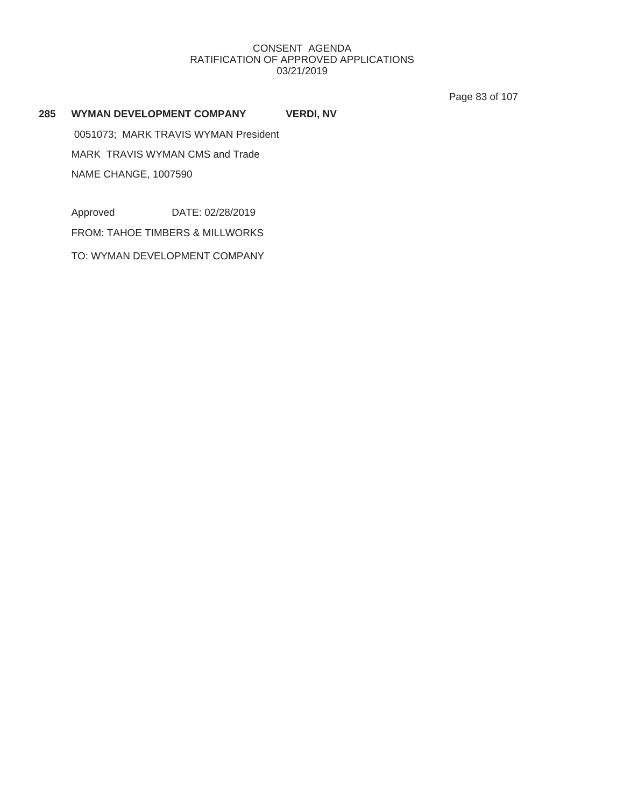Page 83 of 107

#### **285 WYMAN DEVELOPMENT COMPANY VERDI, NV**

NAME CHANGE, 1007590 MARK TRAVIS WYMAN CMS and Trade 0051073; MARK TRAVIS WYMAN President

Approved DATE: 02/28/2019

FROM: TAHOE TIMBERS & MILLWORKS

TO: WYMAN DEVELOPMENT COMPANY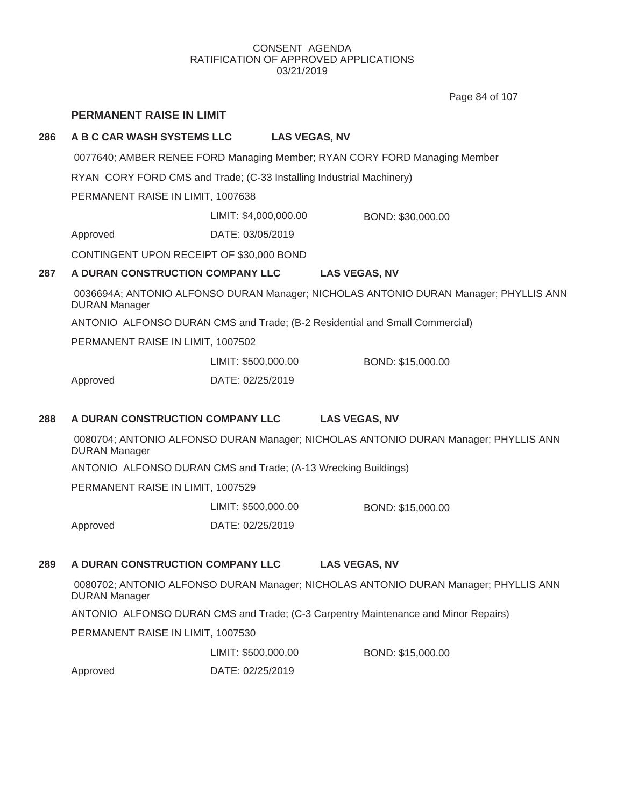Page 84 of 107

## **PERMANENT RAISE IN LIMIT**

### **286 A B C CAR WASH SYSTEMS LLC LAS VEGAS, NV**

0077640; AMBER RENEE FORD Managing Member; RYAN CORY FORD Managing Member

RYAN CORY FORD CMS and Trade; (C-33 Installing Industrial Machinery)

PERMANENT RAISE IN LIMIT, 1007638

LIMIT: \$4,000,000.00 BOND: \$30,000.00

Approved DATE: 03/05/2019

CONTINGENT UPON RECEIPT OF \$30,000 BOND

## **287 A DURAN CONSTRUCTION COMPANY LLC LAS VEGAS, NV**

0036694A; ANTONIO ALFONSO DURAN Manager; NICHOLAS ANTONIO DURAN Manager; PHYLLIS ANN DURAN Manager

ANTONIO ALFONSO DURAN CMS and Trade; (B-2 Residential and Small Commercial)

PERMANENT RAISE IN LIMIT, 1007502

LIMIT: \$500,000.00 BOND: \$15,000.00

Approved DATE: 02/25/2019

# **288 A DURAN CONSTRUCTION COMPANY LLC LAS VEGAS, NV**

0080704; ANTONIO ALFONSO DURAN Manager; NICHOLAS ANTONIO DURAN Manager; PHYLLIS ANN DURAN Manager

ANTONIO ALFONSO DURAN CMS and Trade; (A-13 Wrecking Buildings)

PERMANENT RAISE IN LIMIT, 1007529

LIMIT: \$500,000.00 BOND: \$15,000.00

# Approved DATE: 02/25/2019

# **289 A DURAN CONSTRUCTION COMPANY LLC LAS VEGAS, NV**

0080702; ANTONIO ALFONSO DURAN Manager; NICHOLAS ANTONIO DURAN Manager; PHYLLIS ANN DURAN Manager

ANTONIO ALFONSO DURAN CMS and Trade; (C-3 Carpentry Maintenance and Minor Repairs)

PERMANENT RAISE IN LIMIT, 1007530

LIMIT: \$500,000.00 BOND: \$15,000.00

Approved DATE: 02/25/2019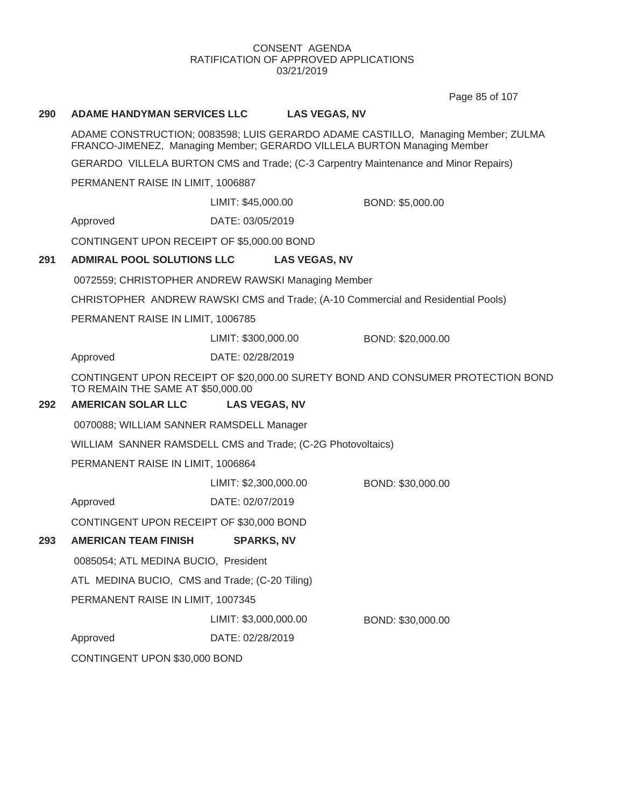Page 85 of 107

#### **290 ADAME HANDYMAN SERVICES LLC LAS VEGAS, NV**

ADAME CONSTRUCTION; 0083598; LUIS GERARDO ADAME CASTILLO, Managing Member; ZULMA FRANCO-JIMENEZ, Managing Member; GERARDO VILLELA BURTON Managing Member

GERARDO VILLELA BURTON CMS and Trade; (C-3 Carpentry Maintenance and Minor Repairs)

PERMANENT RAISE IN LIMIT, 1006887

LIMIT: \$45,000.00 BOND: \$5,000.00

Approved DATE: 03/05/2019

CONTINGENT UPON RECEIPT OF \$5,000.00 BOND

#### **291 ADMIRAL POOL SOLUTIONS LLC LAS VEGAS, NV**

0072559; CHRISTOPHER ANDREW RAWSKI Managing Member

CHRISTOPHER ANDREW RAWSKI CMS and Trade; (A-10 Commercial and Residential Pools)

PERMANENT RAISE IN LIMIT, 1006785

LIMIT: \$300,000.00 BOND: \$20,000.00

Approved DATE: 02/28/2019

CONTINGENT UPON RECEIPT OF \$20,000.00 SURETY BOND AND CONSUMER PROTECTION BOND TO REMAIN THE SAME AT \$50,000.00

## **292 AMERICAN SOLAR LLC LAS VEGAS, NV**

0070088; WILLIAM SANNER RAMSDELL Manager

WILLIAM SANNER RAMSDELL CMS and Trade; (C-2G Photovoltaics)

PERMANENT RAISE IN LIMIT, 1006864

LIMIT: \$2,300,000.00 BOND: \$30,000.00

Approved DATE: 02/07/2019

CONTINGENT UPON RECEIPT OF \$30,000 BOND

# **293 AMERICAN TEAM FINISH SPARKS, NV**

0085054; ATL MEDINA BUCIO, President

ATL MEDINA BUCIO, CMS and Trade; (C-20 Tiling)

PERMANENT RAISE IN LIMIT, 1007345

LIMIT: \$3,000,000.00 BOND: \$30,000.00

Approved DATE: 02/28/2019

CONTINGENT UPON \$30,000 BOND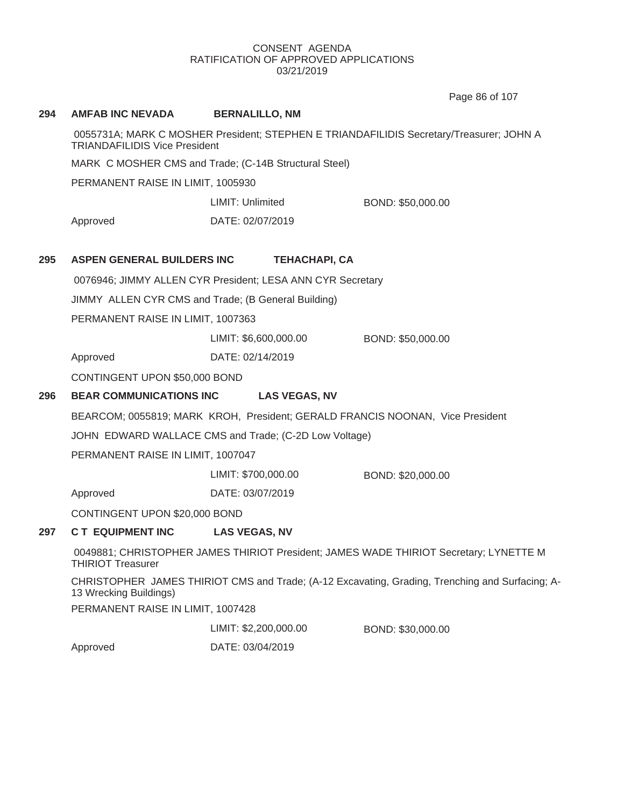Page 86 of 107

| 294 | <b>AMFAB INC NEVADA</b>                                                                                                         | <b>BERNALILLO, NM</b>                                      |                   |  |  |  |
|-----|---------------------------------------------------------------------------------------------------------------------------------|------------------------------------------------------------|-------------------|--|--|--|
|     | 0055731A; MARK C MOSHER President; STEPHEN E TRIANDAFILIDIS Secretary/Treasurer; JOHN A<br><b>TRIANDAFILIDIS Vice President</b> |                                                            |                   |  |  |  |
|     | MARK C MOSHER CMS and Trade; (C-14B Structural Steel)                                                                           |                                                            |                   |  |  |  |
|     | PERMANENT RAISE IN LIMIT, 1005930                                                                                               |                                                            |                   |  |  |  |
|     |                                                                                                                                 | LIMIT: Unlimited                                           | BOND: \$50,000.00 |  |  |  |
|     | Approved                                                                                                                        | DATE: 02/07/2019                                           |                   |  |  |  |
| 295 | <b>ASPEN GENERAL BUILDERS INC</b>                                                                                               | <b>TEHACHAPI, CA</b>                                       |                   |  |  |  |
|     |                                                                                                                                 | 0076946; JIMMY ALLEN CYR President; LESA ANN CYR Secretary |                   |  |  |  |
|     |                                                                                                                                 | JIMMY ALLEN CYR CMS and Trade; (B General Building)        |                   |  |  |  |
|     |                                                                                                                                 | PERMANENT RAISE IN LIMIT, 1007363                          |                   |  |  |  |
|     |                                                                                                                                 | LIMIT: \$6,600,000.00                                      | BOND: \$50,000.00 |  |  |  |
|     | Approved                                                                                                                        | DATE: 02/14/2019                                           |                   |  |  |  |
|     |                                                                                                                                 | CONTINGENT UPON \$50,000 BOND                              |                   |  |  |  |
| 296 | <b>BEAR COMMUNICATIONS INC</b><br><b>LAS VEGAS, NV</b>                                                                          |                                                            |                   |  |  |  |
|     | BEARCOM; 0055819; MARK KROH, President; GERALD FRANCIS NOONAN, Vice President                                                   |                                                            |                   |  |  |  |
|     | JOHN EDWARD WALLACE CMS and Trade; (C-2D Low Voltage)                                                                           |                                                            |                   |  |  |  |
|     | PERMANENT RAISE IN LIMIT, 1007047                                                                                               |                                                            |                   |  |  |  |
|     |                                                                                                                                 | LIMIT: \$700,000.00                                        | BOND: \$20,000.00 |  |  |  |
|     | Approved                                                                                                                        | DATE: 03/07/2019                                           |                   |  |  |  |
|     | CONTINGENT UPON \$20,000 BOND                                                                                                   |                                                            |                   |  |  |  |
| 297 | <b>CT EQUIPMENT INC</b>                                                                                                         | <b>LAS VEGAS, NV</b>                                       |                   |  |  |  |
|     | 0049881; CHRISTOPHER JAMES THIRIOT President; JAMES WADE THIRIOT Secretary; LYNETTE M<br><b>THIRIOT Treasurer</b>               |                                                            |                   |  |  |  |
|     | CHRISTOPHER JAMES THIRIOT CMS and Trade; (A-12 Excavating, Grading, Trenching and Surfacing; A-<br>13 Wrecking Buildings)       |                                                            |                   |  |  |  |
|     | PERMANENT RAISE IN LIMIT, 1007428                                                                                               |                                                            |                   |  |  |  |
|     |                                                                                                                                 | LIMIT: \$2,200,000.00                                      | BOND: \$30,000.00 |  |  |  |
|     | Approved                                                                                                                        | DATE: 03/04/2019                                           |                   |  |  |  |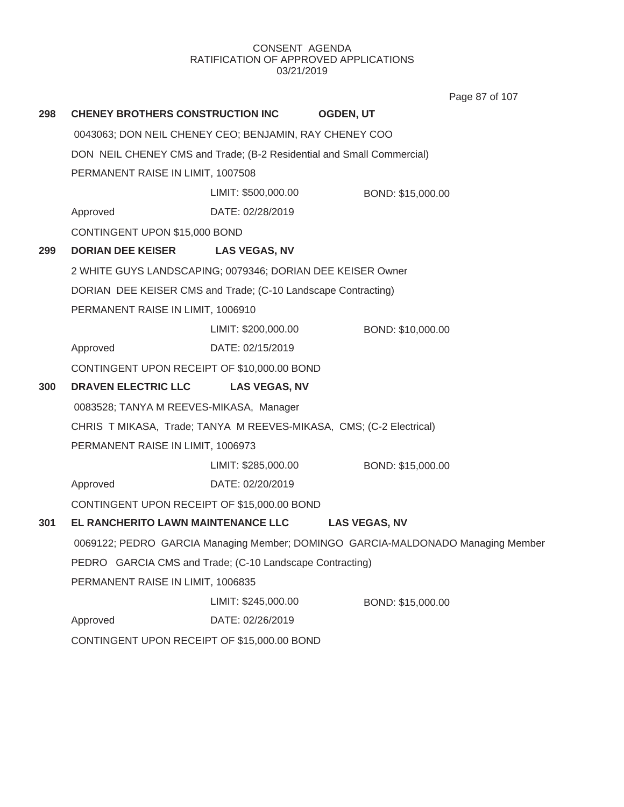Page 87 of 107

| 298 | CHENEY BROTHERS CONSTRUCTION INC                                                |                                                                     | <b>OGDEN, UT</b>     |  |  |
|-----|---------------------------------------------------------------------------------|---------------------------------------------------------------------|----------------------|--|--|
|     | 0043063; DON NEIL CHENEY CEO; BENJAMIN, RAY CHENEY COO                          |                                                                     |                      |  |  |
|     | DON NEIL CHENEY CMS and Trade; (B-2 Residential and Small Commercial)           |                                                                     |                      |  |  |
|     | PERMANENT RAISE IN LIMIT, 1007508                                               |                                                                     |                      |  |  |
|     |                                                                                 | LIMIT: \$500,000.00                                                 | BOND: \$15,000.00    |  |  |
|     | Approved                                                                        | DATE: 02/28/2019                                                    |                      |  |  |
|     | CONTINGENT UPON \$15,000 BOND                                                   |                                                                     |                      |  |  |
| 299 | <b>DORIAN DEE KEISER</b>                                                        | <b>LAS VEGAS, NV</b>                                                |                      |  |  |
|     |                                                                                 | 2 WHITE GUYS LANDSCAPING; 0079346; DORIAN DEE KEISER Owner          |                      |  |  |
|     | DORIAN DEE KEISER CMS and Trade; (C-10 Landscape Contracting)                   |                                                                     |                      |  |  |
|     | PERMANENT RAISE IN LIMIT, 1006910                                               |                                                                     |                      |  |  |
|     |                                                                                 | LIMIT: \$200,000.00                                                 | BOND: \$10,000.00    |  |  |
|     | Approved                                                                        | DATE: 02/15/2019                                                    |                      |  |  |
|     | CONTINGENT UPON RECEIPT OF \$10,000.00 BOND                                     |                                                                     |                      |  |  |
| 300 | <b>DRAVEN ELECTRIC LLC</b>                                                      | <b>LAS VEGAS, NV</b>                                                |                      |  |  |
|     | 0083528; TANYA M REEVES-MIKASA, Manager                                         |                                                                     |                      |  |  |
|     |                                                                                 | CHRIS T MIKASA, Trade; TANYA M REEVES-MIKASA, CMS; (C-2 Electrical) |                      |  |  |
|     | PERMANENT RAISE IN LIMIT, 1006973                                               |                                                                     |                      |  |  |
|     |                                                                                 | LIMIT: \$285,000.00                                                 | BOND: \$15,000.00    |  |  |
|     | Approved                                                                        | DATE: 02/20/2019                                                    |                      |  |  |
|     | CONTINGENT UPON RECEIPT OF \$15,000.00 BOND                                     |                                                                     |                      |  |  |
| 301 | EL RANCHERITO LAWN MAINTENANCE LLC                                              |                                                                     | <b>LAS VEGAS, NV</b> |  |  |
|     | 0069122; PEDRO GARCIA Managing Member; DOMINGO GARCIA-MALDONADO Managing Member |                                                                     |                      |  |  |
|     | PEDRO GARCIA CMS and Trade; (C-10 Landscape Contracting)                        |                                                                     |                      |  |  |
|     | PERMANENT RAISE IN LIMIT, 1006835                                               |                                                                     |                      |  |  |
|     |                                                                                 | LIMIT: \$245,000.00                                                 | BOND: \$15,000.00    |  |  |
|     | Approved                                                                        | DATE: 02/26/2019                                                    |                      |  |  |
|     | CONTINGENT UPON RECEIPT OF \$15,000.00 BOND                                     |                                                                     |                      |  |  |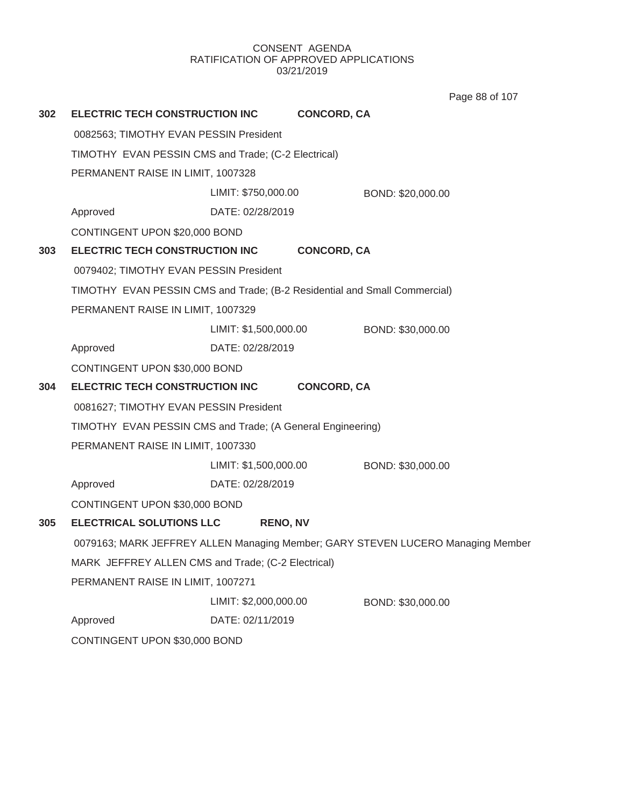**302 ELECTRIC TECH CONSTRUCTION INC CONCORD, CA** 0082563; TIMOTHY EVAN PESSIN President TIMOTHY EVAN PESSIN CMS and Trade; (C-2 Electrical) PERMANENT RAISE IN LIMIT, 1007328 Approved DATE: 02/28/2019 LIMIT: \$750,000.00 BOND: \$20,000.00 CONTINGENT UPON \$20,000 BOND **303 ELECTRIC TECH CONSTRUCTION INC CONCORD, CA** 0079402; TIMOTHY EVAN PESSIN President TIMOTHY EVAN PESSIN CMS and Trade; (B-2 Residential and Small Commercial) PERMANENT RAISE IN LIMIT, 1007329 Approved DATE: 02/28/2019 LIMIT: \$1,500,000.00 BOND: \$30,000.00 CONTINGENT UPON \$30,000 BOND **304 ELECTRIC TECH CONSTRUCTION INC CONCORD, CA** 0081627; TIMOTHY EVAN PESSIN President TIMOTHY EVAN PESSIN CMS and Trade; (A General Engineering) PERMANENT RAISE IN LIMIT, 1007330 Approved DATE: 02/28/2019 LIMIT: \$1,500,000.00 BOND: \$30,000.00 CONTINGENT UPON \$30,000 BOND **305 ELECTRICAL SOLUTIONS LLC RENO, NV** 0079163; MARK JEFFREY ALLEN Managing Member; GARY STEVEN LUCERO Managing Member MARK JEFFREY ALLEN CMS and Trade; (C-2 Electrical) PERMANENT RAISE IN LIMIT, 1007271 Approved DATE: 02/11/2019 LIMIT: \$2,000,000.00 BOND: \$30,000.00 CONTINGENT UPON \$30,000 BOND Page 88 of 107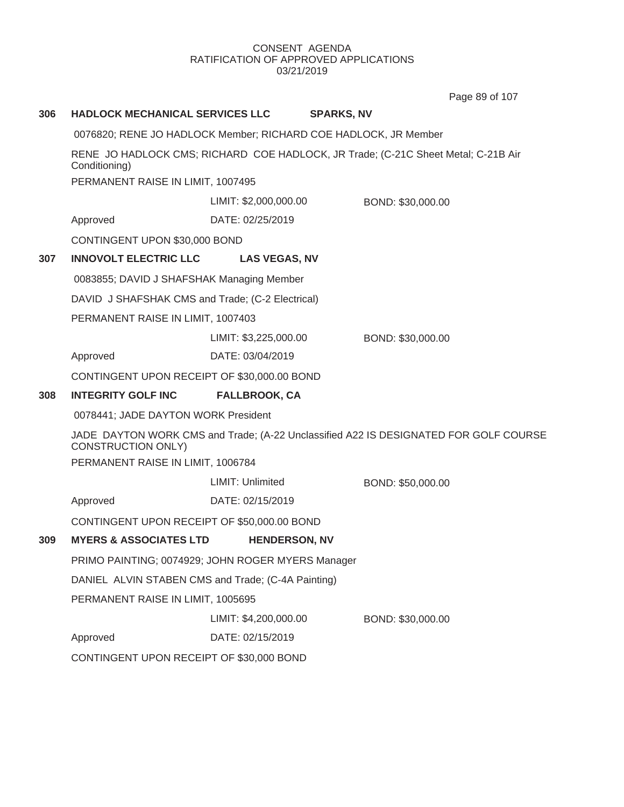Page 89 of 107

| 306                                                                                                                                                                                           | <b>HADLOCK MECHANICAL SERVICES LLC</b>                                                                                                  |                         | <b>SPARKS, NV</b> |  |
|-----------------------------------------------------------------------------------------------------------------------------------------------------------------------------------------------|-----------------------------------------------------------------------------------------------------------------------------------------|-------------------------|-------------------|--|
|                                                                                                                                                                                               | 0076820; RENE JO HADLOCK Member; RICHARD COE HADLOCK, JR Member                                                                         |                         |                   |  |
|                                                                                                                                                                                               | RENE JO HADLOCK CMS; RICHARD COE HADLOCK, JR Trade; (C-21C Sheet Metal; C-21B Air<br>Conditioning)<br>PERMANENT RAISE IN LIMIT, 1007495 |                         |                   |  |
|                                                                                                                                                                                               |                                                                                                                                         |                         |                   |  |
|                                                                                                                                                                                               |                                                                                                                                         | LIMIT: \$2,000,000.00   | BOND: \$30,000.00 |  |
|                                                                                                                                                                                               | Approved                                                                                                                                | DATE: 02/25/2019        |                   |  |
| CONTINGENT UPON \$30,000 BOND                                                                                                                                                                 |                                                                                                                                         |                         |                   |  |
| 307                                                                                                                                                                                           | <b>INNOVOLT ELECTRIC LLC</b>                                                                                                            | <b>LAS VEGAS, NV</b>    |                   |  |
|                                                                                                                                                                                               | 0083855; DAVID J SHAFSHAK Managing Member                                                                                               |                         |                   |  |
|                                                                                                                                                                                               | DAVID J SHAFSHAK CMS and Trade; (C-2 Electrical)                                                                                        |                         |                   |  |
|                                                                                                                                                                                               | PERMANENT RAISE IN LIMIT, 1007403                                                                                                       |                         |                   |  |
|                                                                                                                                                                                               |                                                                                                                                         | LIMIT: \$3,225,000.00   | BOND: \$30,000.00 |  |
|                                                                                                                                                                                               | Approved                                                                                                                                | DATE: 03/04/2019        |                   |  |
|                                                                                                                                                                                               | CONTINGENT UPON RECEIPT OF \$30,000.00 BOND                                                                                             |                         |                   |  |
| 308                                                                                                                                                                                           | <b>INTEGRITY GOLF INC</b>                                                                                                               | <b>FALLBROOK, CA</b>    |                   |  |
| 0078441; JADE DAYTON WORK President<br>JADE DAYTON WORK CMS and Trade; (A-22 Unclassified A22 IS DESIGNATED FOR GOLF COURSE<br><b>CONSTRUCTION ONLY)</b><br>PERMANENT RAISE IN LIMIT, 1006784 |                                                                                                                                         |                         |                   |  |
|                                                                                                                                                                                               |                                                                                                                                         |                         |                   |  |
|                                                                                                                                                                                               |                                                                                                                                         |                         |                   |  |
|                                                                                                                                                                                               |                                                                                                                                         | <b>LIMIT: Unlimited</b> | BOND: \$50,000.00 |  |
|                                                                                                                                                                                               | Approved                                                                                                                                | DATE: 02/15/2019        |                   |  |
|                                                                                                                                                                                               | CONTINGENT UPON RECEIPT OF \$50,000.00 BOND                                                                                             |                         |                   |  |
| 309                                                                                                                                                                                           | <b>MYERS &amp; ASSOCIATES LTD</b>                                                                                                       | <b>HENDERSON, NV</b>    |                   |  |
|                                                                                                                                                                                               | PRIMO PAINTING; 0074929; JOHN ROGER MYERS Manager                                                                                       |                         |                   |  |
|                                                                                                                                                                                               | DANIEL ALVIN STABEN CMS and Trade; (C-4A Painting)                                                                                      |                         |                   |  |
|                                                                                                                                                                                               | PERMANENT RAISE IN LIMIT, 1005695                                                                                                       |                         |                   |  |
|                                                                                                                                                                                               |                                                                                                                                         | LIMIT: \$4,200,000.00   | BOND: \$30,000.00 |  |
|                                                                                                                                                                                               | Approved                                                                                                                                | DATE: 02/15/2019        |                   |  |
|                                                                                                                                                                                               | CONTINGENT UPON RECEIPT OF \$30,000 BOND                                                                                                |                         |                   |  |
|                                                                                                                                                                                               |                                                                                                                                         |                         |                   |  |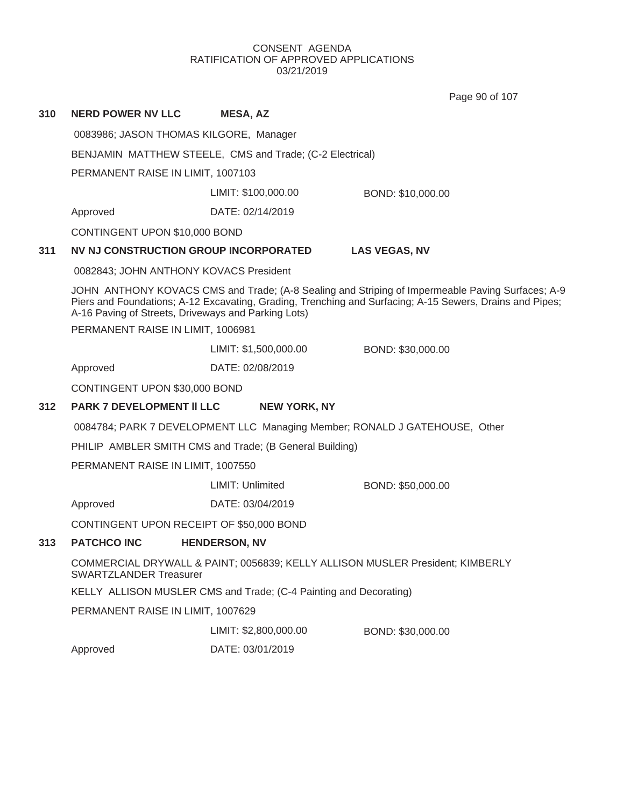Page 90 of 107

| 310 | <b>NERD POWER NV LLC</b>                                                                                                                                                                                                                                            | <b>MESA, AZ</b>                       |                                                                            |  |
|-----|---------------------------------------------------------------------------------------------------------------------------------------------------------------------------------------------------------------------------------------------------------------------|---------------------------------------|----------------------------------------------------------------------------|--|
|     | 0083986; JASON THOMAS KILGORE, Manager                                                                                                                                                                                                                              |                                       |                                                                            |  |
|     | BENJAMIN MATTHEW STEELE, CMS and Trade; (C-2 Electrical)                                                                                                                                                                                                            |                                       |                                                                            |  |
|     | PERMANENT RAISE IN LIMIT, 1007103                                                                                                                                                                                                                                   |                                       |                                                                            |  |
|     |                                                                                                                                                                                                                                                                     | LIMIT: \$100,000.00                   | BOND: \$10,000.00                                                          |  |
|     | Approved                                                                                                                                                                                                                                                            | DATE: 02/14/2019                      |                                                                            |  |
|     | CONTINGENT UPON \$10,000 BOND                                                                                                                                                                                                                                       |                                       |                                                                            |  |
| 311 |                                                                                                                                                                                                                                                                     | NV NJ CONSTRUCTION GROUP INCORPORATED | <b>LAS VEGAS, NV</b>                                                       |  |
|     | 0082843; JOHN ANTHONY KOVACS President                                                                                                                                                                                                                              |                                       |                                                                            |  |
|     | JOHN ANTHONY KOVACS CMS and Trade; (A-8 Sealing and Striping of Impermeable Paving Surfaces; A-9<br>Piers and Foundations; A-12 Excavating, Grading, Trenching and Surfacing; A-15 Sewers, Drains and Pipes;<br>A-16 Paving of Streets, Driveways and Parking Lots) |                                       |                                                                            |  |
|     | PERMANENT RAISE IN LIMIT, 1006981                                                                                                                                                                                                                                   |                                       |                                                                            |  |
|     |                                                                                                                                                                                                                                                                     | LIMIT: \$1,500,000.00                 | BOND: \$30,000.00                                                          |  |
|     | Approved                                                                                                                                                                                                                                                            | DATE: 02/08/2019                      |                                                                            |  |
|     | CONTINGENT UPON \$30,000 BOND                                                                                                                                                                                                                                       |                                       |                                                                            |  |
| 312 | <b>PARK 7 DEVELOPMENT II LLC</b>                                                                                                                                                                                                                                    | <b>NEW YORK, NY</b>                   |                                                                            |  |
|     |                                                                                                                                                                                                                                                                     |                                       | 0084784; PARK 7 DEVELOPMENT LLC Managing Member; RONALD J GATEHOUSE, Other |  |
|     | PHILIP AMBLER SMITH CMS and Trade; (B General Building)                                                                                                                                                                                                             |                                       |                                                                            |  |
|     | PERMANENT RAISE IN LIMIT, 1007550                                                                                                                                                                                                                                   |                                       |                                                                            |  |
|     |                                                                                                                                                                                                                                                                     | <b>LIMIT: Unlimited</b>               | BOND: \$50,000.00                                                          |  |
|     | Approved                                                                                                                                                                                                                                                            | DATE: 03/04/2019                      |                                                                            |  |
|     | CONTINGENT UPON RECEIPT OF \$50,000 BOND                                                                                                                                                                                                                            |                                       |                                                                            |  |
| 313 | <b>PATCHCO INC</b>                                                                                                                                                                                                                                                  | <b>HENDERSON, NV</b>                  |                                                                            |  |
|     | COMMERCIAL DRYWALL & PAINT; 0056839; KELLY ALLISON MUSLER President; KIMBERLY<br><b>SWARTZLANDER Treasurer</b>                                                                                                                                                      |                                       |                                                                            |  |
|     | KELLY ALLISON MUSLER CMS and Trade; (C-4 Painting and Decorating)                                                                                                                                                                                                   |                                       |                                                                            |  |
|     | PERMANENT RAISE IN LIMIT, 1007629                                                                                                                                                                                                                                   |                                       |                                                                            |  |
|     |                                                                                                                                                                                                                                                                     | LIMIT: \$2,800,000.00                 | BOND: \$30,000.00                                                          |  |
|     | Approved                                                                                                                                                                                                                                                            | DATE: 03/01/2019                      |                                                                            |  |
|     |                                                                                                                                                                                                                                                                     |                                       |                                                                            |  |
|     |                                                                                                                                                                                                                                                                     |                                       |                                                                            |  |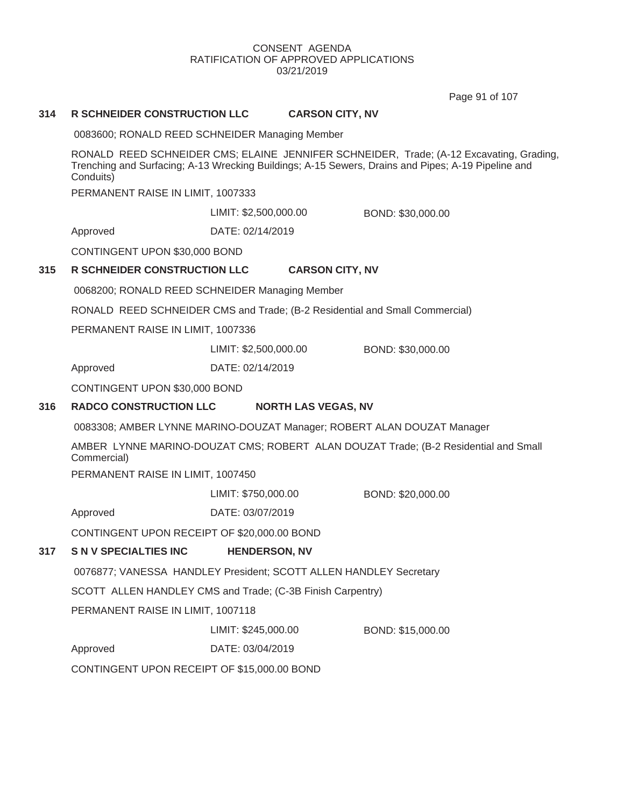Page 91 of 107

### **314 R SCHNEIDER CONSTRUCTION LLC CARSON CITY, NV**

0083600; RONALD REED SCHNEIDER Managing Member

RONALD REED SCHNEIDER CMS; ELAINE JENNIFER SCHNEIDER, Trade; (A-12 Excavating, Grading, Trenching and Surfacing; A-13 Wrecking Buildings; A-15 Sewers, Drains and Pipes; A-19 Pipeline and Conduits)

PERMANENT RAISE IN LIMIT, 1007333

LIMIT: \$2,500,000.00 BOND: \$30,000.00

Approved DATE: 02/14/2019

CONTINGENT UPON \$30,000 BOND

#### **315 R SCHNEIDER CONSTRUCTION LLC CARSON CITY, NV**

0068200; RONALD REED SCHNEIDER Managing Member

RONALD REED SCHNEIDER CMS and Trade; (B-2 Residential and Small Commercial)

PERMANENT RAISE IN LIMIT, 1007336

LIMIT: \$2,500,000.00 BOND: \$30,000.00

Approved DATE: 02/14/2019

CONTINGENT UPON \$30,000 BOND

# **316 RADCO CONSTRUCTION LLC NORTH LAS VEGAS, NV**

0083308; AMBER LYNNE MARINO-DOUZAT Manager; ROBERT ALAN DOUZAT Manager

AMBER LYNNE MARINO-DOUZAT CMS; ROBERT ALAN DOUZAT Trade; (B-2 Residential and Small Commercial)

PERMANENT RAISE IN LIMIT, 1007450

LIMIT: \$750,000.00 BOND: \$20,000.00

Approved DATE: 03/07/2019

CONTINGENT UPON RECEIPT OF \$20,000.00 BOND

# **317 S N V SPECIALTIES INC HENDERSON, NV**

0076877; VANESSA HANDLEY President; SCOTT ALLEN HANDLEY Secretary

SCOTT ALLEN HANDLEY CMS and Trade; (C-3B Finish Carpentry)

PERMANENT RAISE IN LIMIT, 1007118

LIMIT: \$245,000.00 BOND: \$15,000.00

Approved DATE: 03/04/2019

CONTINGENT UPON RECEIPT OF \$15,000.00 BOND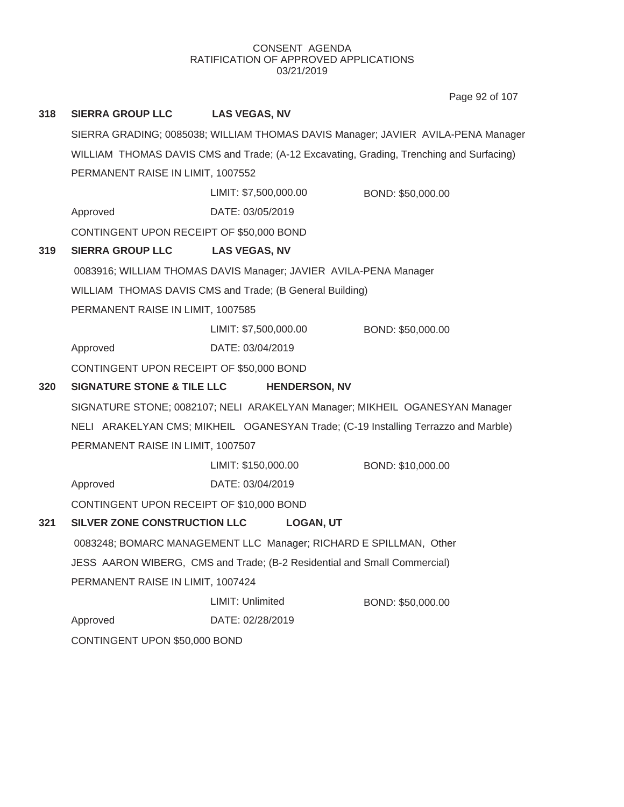Page 92 of 107

| 318 | <b>SIERRA GROUP LLC</b>                                                                 | <b>LAS VEGAS, NV</b>  |                                                                                    |  |  |
|-----|-----------------------------------------------------------------------------------------|-----------------------|------------------------------------------------------------------------------------|--|--|
|     | SIERRA GRADING; 0085038; WILLIAM THOMAS DAVIS Manager; JAVIER AVILA-PENA Manager        |                       |                                                                                    |  |  |
|     | WILLIAM THOMAS DAVIS CMS and Trade; (A-12 Excavating, Grading, Trenching and Surfacing) |                       |                                                                                    |  |  |
|     | PERMANENT RAISE IN LIMIT, 1007552                                                       |                       |                                                                                    |  |  |
|     |                                                                                         | LIMIT: \$7,500,000.00 | BOND: \$50,000.00                                                                  |  |  |
|     | Approved                                                                                | DATE: 03/05/2019      |                                                                                    |  |  |
|     | CONTINGENT UPON RECEIPT OF \$50,000 BOND                                                |                       |                                                                                    |  |  |
| 319 | <b>SIERRA GROUP LLC</b>                                                                 | <b>LAS VEGAS, NV</b>  |                                                                                    |  |  |
|     | 0083916; WILLIAM THOMAS DAVIS Manager; JAVIER AVILA-PENA Manager                        |                       |                                                                                    |  |  |
|     | WILLIAM THOMAS DAVIS CMS and Trade; (B General Building)                                |                       |                                                                                    |  |  |
|     | PERMANENT RAISE IN LIMIT, 1007585                                                       |                       |                                                                                    |  |  |
|     |                                                                                         | LIMIT: \$7,500,000.00 | BOND: \$50,000.00                                                                  |  |  |
|     | Approved                                                                                | DATE: 03/04/2019      |                                                                                    |  |  |
|     | CONTINGENT UPON RECEIPT OF \$50,000 BOND                                                |                       |                                                                                    |  |  |
| 320 | <b>SIGNATURE STONE &amp; TILE LLC</b>                                                   | <b>HENDERSON, NV</b>  |                                                                                    |  |  |
|     | SIGNATURE STONE; 0082107; NELI ARAKELYAN Manager; MIKHEIL OGANESYAN Manager             |                       |                                                                                    |  |  |
|     |                                                                                         |                       | NELI ARAKELYAN CMS; MIKHEIL OGANESYAN Trade; (C-19 Installing Terrazzo and Marble) |  |  |
|     | PERMANENT RAISE IN LIMIT, 1007507                                                       |                       |                                                                                    |  |  |
|     |                                                                                         | LIMIT: \$150,000.00   | BOND: \$10,000.00                                                                  |  |  |
|     | Approved                                                                                | DATE: 03/04/2019      |                                                                                    |  |  |
|     | CONTINGENT UPON RECEIPT OF \$10,000 BOND                                                |                       |                                                                                    |  |  |
| 321 | SILVER ZONE CONSTRUCTION LLC<br><b>LOGAN, UT</b>                                        |                       |                                                                                    |  |  |
|     | 0083248; BOMARC MANAGEMENT LLC Manager; RICHARD E SPILLMAN, Other                       |                       |                                                                                    |  |  |
|     | JESS AARON WIBERG, CMS and Trade; (B-2 Residential and Small Commercial)                |                       |                                                                                    |  |  |
|     | PERMANENT RAISE IN LIMIT, 1007424                                                       |                       |                                                                                    |  |  |
|     |                                                                                         | LIMIT: Unlimited      | BOND: \$50,000.00                                                                  |  |  |
|     | Approved                                                                                | DATE: 02/28/2019      |                                                                                    |  |  |
|     | CONTINGENT UPON \$50,000 BOND                                                           |                       |                                                                                    |  |  |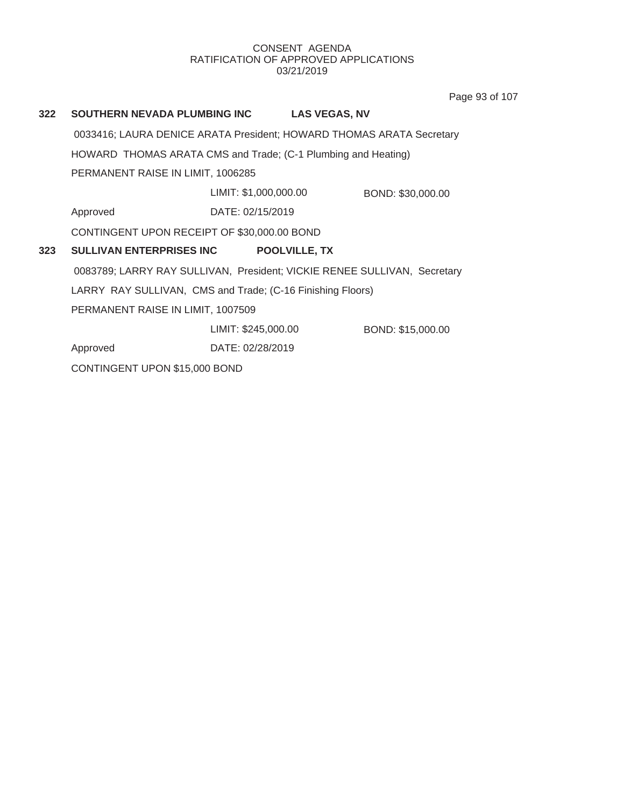Page 93 of 107

| 322                                        | SOUTHERN NEVADA PLUMBING INC                                                                    |                     | <b>LAS VEGAS, NV</b> |                   |
|--------------------------------------------|-------------------------------------------------------------------------------------------------|---------------------|----------------------|-------------------|
|                                            | 0033416; LAURA DENICE ARATA President; HOWARD THOMAS ARATA Secretary                            |                     |                      |                   |
|                                            | HOWARD THOMAS ARATA CMS and Trade; (C-1 Plumbing and Heating)                                   |                     |                      |                   |
|                                            | PERMANENT RAISE IN LIMIT, 1006285                                                               |                     |                      |                   |
| LIMIT: \$1,000,000.00<br>BOND: \$30,000.00 |                                                                                                 |                     |                      |                   |
|                                            | Approved                                                                                        | DATE: 02/15/2019    |                      |                   |
|                                            | CONTINGENT UPON RECEIPT OF \$30,000.00 BOND                                                     |                     |                      |                   |
| 323                                        | <b>SULLIVAN ENTERPRISES INC</b><br><b>POOLVILLE, TX</b>                                         |                     |                      |                   |
|                                            | 0083789; LARRY RAY SULLIVAN, President; VICKIE RENEE SULLIVAN, Secretary                        |                     |                      |                   |
|                                            | LARRY RAY SULLIVAN, CMS and Trade; (C-16 Finishing Floors)<br>PERMANENT RAISE IN LIMIT, 1007509 |                     |                      |                   |
|                                            |                                                                                                 |                     |                      |                   |
|                                            |                                                                                                 | LIMIT: \$245,000.00 |                      | BOND: \$15,000.00 |
|                                            | Approved                                                                                        | DATE: 02/28/2019    |                      |                   |
|                                            | CONTINGENT UPON \$15,000 BOND                                                                   |                     |                      |                   |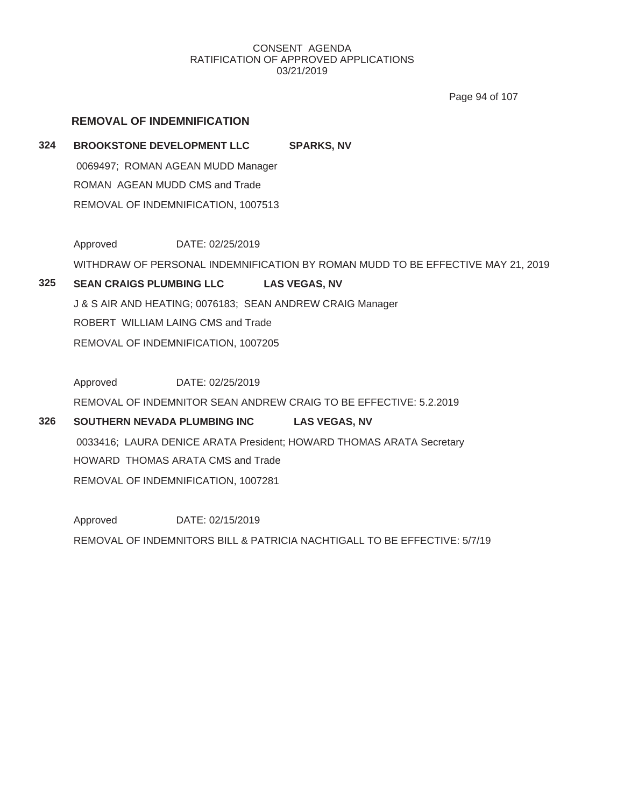Page 94 of 107

# **REMOVAL OF INDEMNIFICATION**

**324 BROOKSTONE DEVELOPMENT LLC SPARKS, NV** 0069497; ROMAN AGEAN MUDD Manager ROMAN AGEAN MUDD CMS and Trade REMOVAL OF INDEMNIFICATION, 1007513

Approved DATE: 02/25/2019 WITHDRAW OF PERSONAL INDEMNIFICATION BY ROMAN MUDD TO BE EFFECTIVE MAY 21, 2019

# **325 SEAN CRAIGS PLUMBING LLC LAS VEGAS, NV**

J & S AIR AND HEATING; 0076183; SEAN ANDREW CRAIG Manager ROBERT WILLIAM LAING CMS and Trade REMOVAL OF INDEMNIFICATION, 1007205

Approved DATE: 02/25/2019

REMOVAL OF INDEMNITOR SEAN ANDREW CRAIG TO BE EFFECTIVE: 5.2.2019

# **326 SOUTHERN NEVADA PLUMBING INC LAS VEGAS, NV**

0033416; LAURA DENICE ARATA President; HOWARD THOMAS ARATA Secretary HOWARD THOMAS ARATA CMS and Trade REMOVAL OF INDEMNIFICATION, 1007281

Approved DATE: 02/15/2019

REMOVAL OF INDEMNITORS BILL & PATRICIA NACHTIGALL TO BE EFFECTIVE: 5/7/19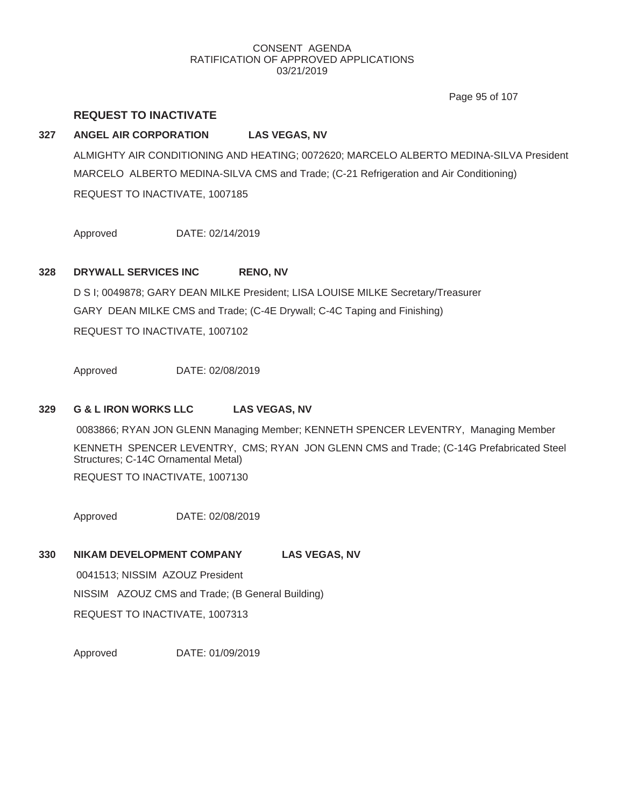Page 95 of 107

# **REQUEST TO INACTIVATE**

# **327 ANGEL AIR CORPORATION LAS VEGAS, NV**

ALMIGHTY AIR CONDITIONING AND HEATING; 0072620; MARCELO ALBERTO MEDINA-SILVA President MARCELO ALBERTO MEDINA-SILVA CMS and Trade; (C-21 Refrigeration and Air Conditioning) REQUEST TO INACTIVATE, 1007185

Approved DATE: 02/14/2019

## **328 DRYWALL SERVICES INC RENO, NV**

D S I; 0049878; GARY DEAN MILKE President; LISA LOUISE MILKE Secretary/Treasurer GARY DEAN MILKE CMS and Trade; (C-4E Drywall; C-4C Taping and Finishing) REQUEST TO INACTIVATE, 1007102

Approved DATE: 02/08/2019

### **329 G & L IRON WORKS LLC LAS VEGAS, NV**

0083866; RYAN JON GLENN Managing Member; KENNETH SPENCER LEVENTRY, Managing Member KENNETH SPENCER LEVENTRY, CMS; RYAN JON GLENN CMS and Trade; (C-14G Prefabricated Steel Structures; C-14C Ornamental Metal) REQUEST TO INACTIVATE, 1007130

Approved DATE: 02/08/2019

# **330 NIKAM DEVELOPMENT COMPANY LAS VEGAS, NV**

0041513; NISSIM AZOUZ President NISSIM AZOUZ CMS and Trade; (B General Building) REQUEST TO INACTIVATE, 1007313

Approved DATE: 01/09/2019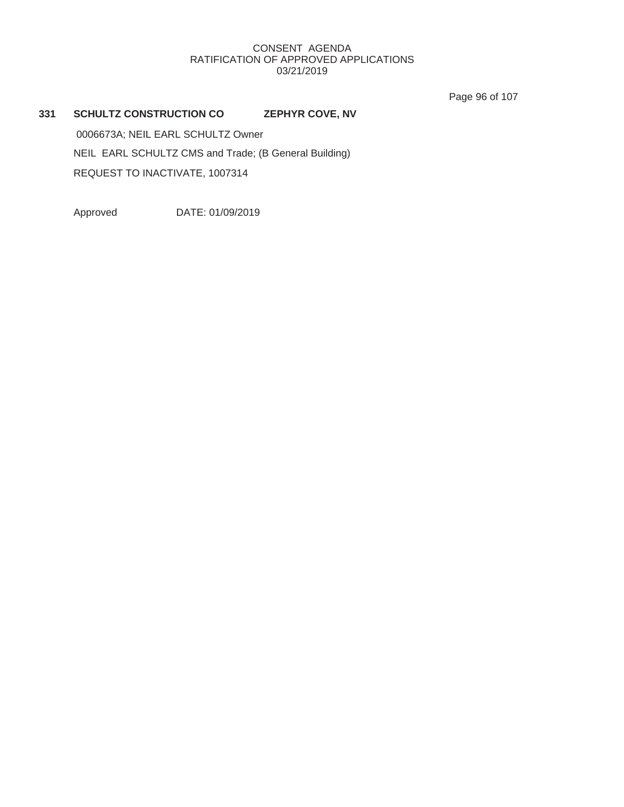Page 96 of 107

# **331 SCHULTZ CONSTRUCTION CO ZEPHYR COVE, NV**

0006673A; NEIL EARL SCHULTZ Owner NEIL EARL SCHULTZ CMS and Trade; (B General Building) REQUEST TO INACTIVATE, 1007314

Approved DATE: 01/09/2019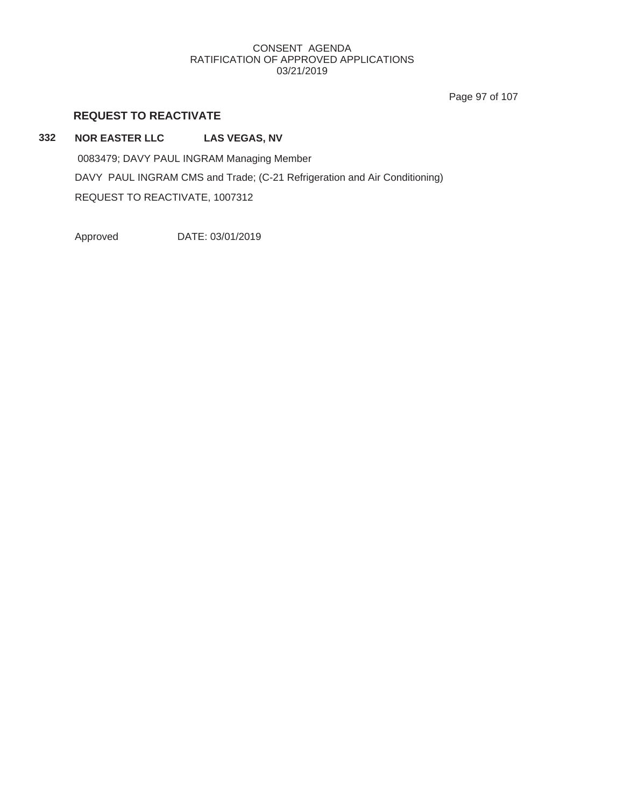Page 97 of 107

# **REQUEST TO REACTIVATE**

# **332 NOR EASTER LLC LAS VEGAS, NV**

0083479; DAVY PAUL INGRAM Managing Member DAVY PAUL INGRAM CMS and Trade; (C-21 Refrigeration and Air Conditioning) REQUEST TO REACTIVATE, 1007312

Approved DATE: 03/01/2019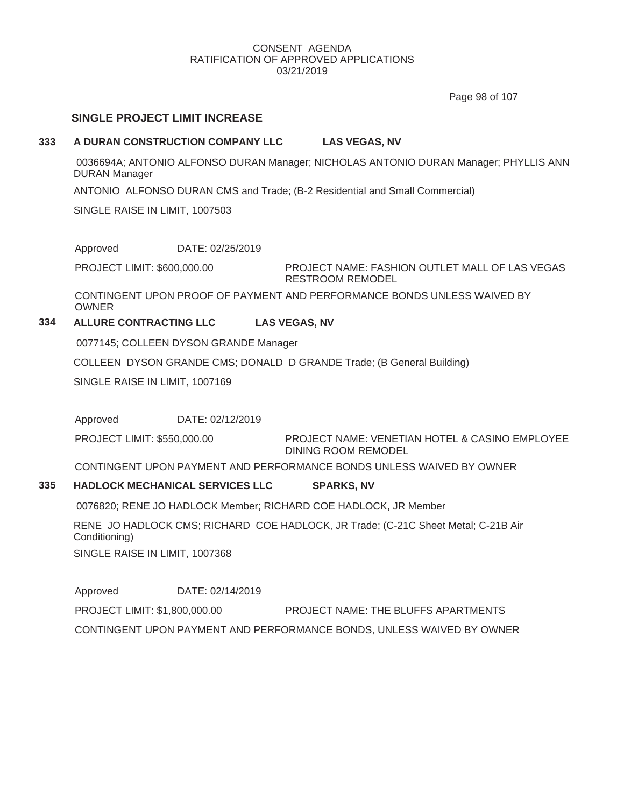Page 98 of 107

# **SINGLE PROJECT LIMIT INCREASE**

# **333 A DURAN CONSTRUCTION COMPANY LLC LAS VEGAS, NV**

0036694A; ANTONIO ALFONSO DURAN Manager; NICHOLAS ANTONIO DURAN Manager; PHYLLIS ANN DURAN Manager

ANTONIO ALFONSO DURAN CMS and Trade; (B-2 Residential and Small Commercial)

SINGLE RAISE IN LIMIT, 1007503

Approved DATE: 02/25/2019

PROJECT LIMIT: \$600,000.00

PROJECT NAME: FASHION OUTLET MALL OF LAS VEGAS RESTROOM REMODEL

CONTINGENT UPON PROOF OF PAYMENT AND PERFORMANCE BONDS UNLESS WAIVED BY OWNER

# **334 ALLURE CONTRACTING LLC LAS VEGAS, NV**

0077145; COLLEEN DYSON GRANDE Manager

COLLEEN DYSON GRANDE CMS; DONALD D GRANDE Trade; (B General Building)

SINGLE RAISE IN LIMIT, 1007169

Approved DATE: 02/12/2019

PROJECT LIMIT: \$550,000.00

PROJECT NAME: VENETIAN HOTEL & CASINO EMPLOYEE DINING ROOM REMODEL

CONTINGENT UPON PAYMENT AND PERFORMANCE BONDS UNLESS WAIVED BY OWNER

# **335 HADLOCK MECHANICAL SERVICES LLC SPARKS, NV**

0076820; RENE JO HADLOCK Member; RICHARD COE HADLOCK, JR Member

RENE JO HADLOCK CMS; RICHARD COE HADLOCK, JR Trade; (C-21C Sheet Metal; C-21B Air Conditioning)

SINGLE RAISE IN LIMIT, 1007368

Approved DATE: 02/14/2019

PROJECT LIMIT: \$1,800,000.00 PROJECT NAME: THE BLUFFS APARTMENTS

CONTINGENT UPON PAYMENT AND PERFORMANCE BONDS, UNLESS WAIVED BY OWNER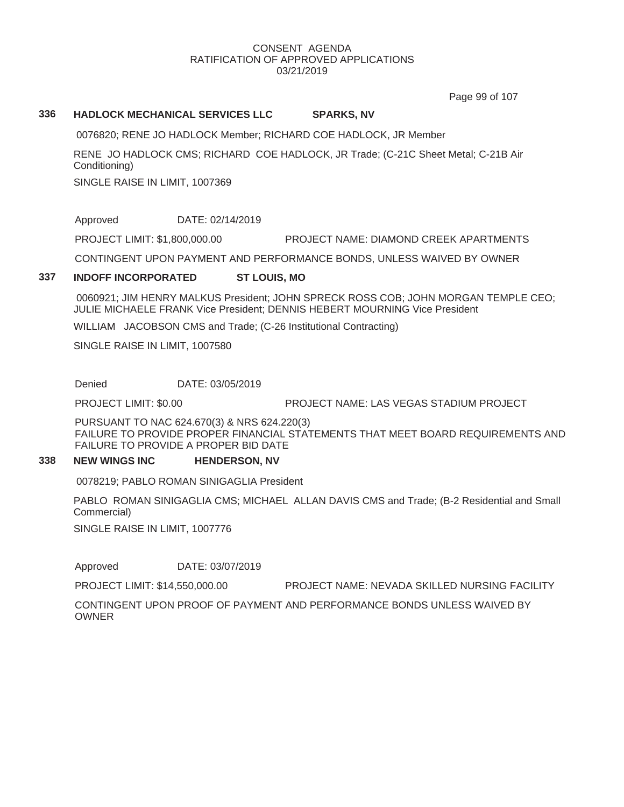Page 99 of 107

#### **336 HADLOCK MECHANICAL SERVICES LLC SPARKS, NV**

0076820; RENE JO HADLOCK Member; RICHARD COE HADLOCK, JR Member

RENE JO HADLOCK CMS; RICHARD COE HADLOCK, JR Trade; (C-21C Sheet Metal; C-21B Air Conditioning)

SINGLE RAISE IN LIMIT, 1007369

Approved DATE: 02/14/2019

PROJECT LIMIT: \$1,800,000.00 PROJECT NAME: DIAMOND CREEK APARTMENTS

CONTINGENT UPON PAYMENT AND PERFORMANCE BONDS, UNLESS WAIVED BY OWNER

# **337 INDOFF INCORPORATED ST LOUIS, MO**

0060921; JIM HENRY MALKUS President; JOHN SPRECK ROSS COB; JOHN MORGAN TEMPLE CEO; JULIE MICHAELE FRANK Vice President; DENNIS HEBERT MOURNING Vice President

WILLIAM JACOBSON CMS and Trade; (C-26 Institutional Contracting)

SINGLE RAISE IN LIMIT, 1007580

Denied DATE: 03/05/2019

PROJECT LIMIT: \$0.00 PROJECT NAME: LAS VEGAS STADIUM PROJECT

PURSUANT TO NAC 624.670(3) & NRS 624.220(3) FAILURE TO PROVIDE PROPER FINANCIAL STATEMENTS THAT MEET BOARD REQUIREMENTS AND FAILURE TO PROVIDE A PROPER BID DATE

### **338 NEW WINGS INC HENDERSON, NV**

0078219; PABLO ROMAN SINIGAGLIA President

PABLO ROMAN SINIGAGLIA CMS; MICHAEL ALLAN DAVIS CMS and Trade; (B-2 Residential and Small Commercial)

SINGLE RAISE IN LIMIT, 1007776

Approved DATE: 03/07/2019

PROJECT LIMIT: \$14,550,000.00 PROJECT NAME: NEVADA SKILLED NURSING FACILITY

CONTINGENT UPON PROOF OF PAYMENT AND PERFORMANCE BONDS UNLESS WAIVED BY OWNER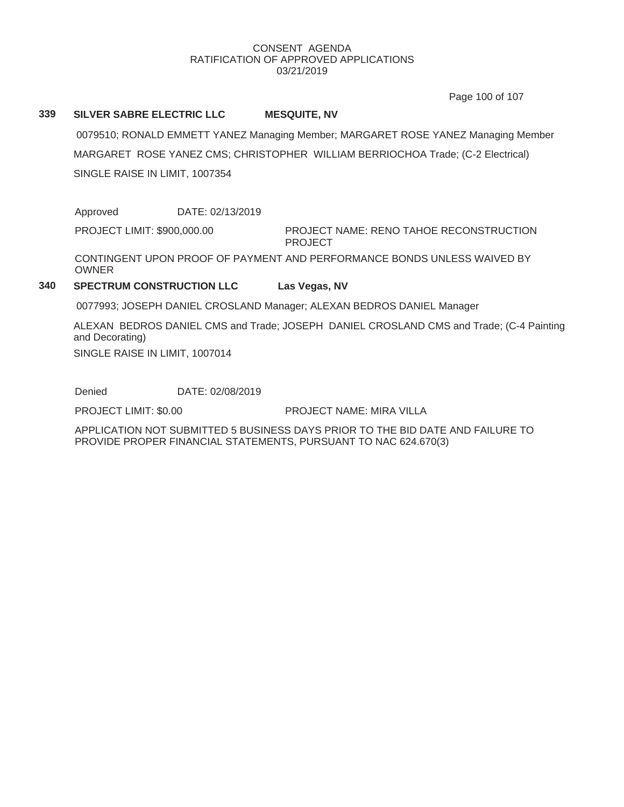Page 100 of 107

## **339 SILVER SABRE ELECTRIC LLC MESQUITE, NV**

0079510; RONALD EMMETT YANEZ Managing Member; MARGARET ROSE YANEZ Managing Member MARGARET ROSE YANEZ CMS; CHRISTOPHER WILLIAM BERRIOCHOA Trade; (C-2 Electrical) SINGLE RAISE IN LIMIT, 1007354

Approved DATE: 02/13/2019

PROJECT LIMIT: \$900,000.00

PROJECT NAME: RENO TAHOE RECONSTRUCTION PROJECT

CONTINGENT UPON PROOF OF PAYMENT AND PERFORMANCE BONDS UNLESS WAIVED BY OWNER

# **340 SPECTRUM CONSTRUCTION LLC Las Vegas, NV**

0077993; JOSEPH DANIEL CROSLAND Manager; ALEXAN BEDROS DANIEL Manager

ALEXAN BEDROS DANIEL CMS and Trade; JOSEPH DANIEL CROSLAND CMS and Trade; (C-4 Painting and Decorating) SINGLE RAISE IN LIMIT, 1007014

Denied DATE: 02/08/2019

PROJECT LIMIT: \$0.00 PROJECT NAME: MIRA VILLA

APPLICATION NOT SUBMITTED 5 BUSINESS DAYS PRIOR TO THE BID DATE AND FAILURE TO PROVIDE PROPER FINANCIAL STATEMENTS, PURSUANT TO NAC 624.670(3)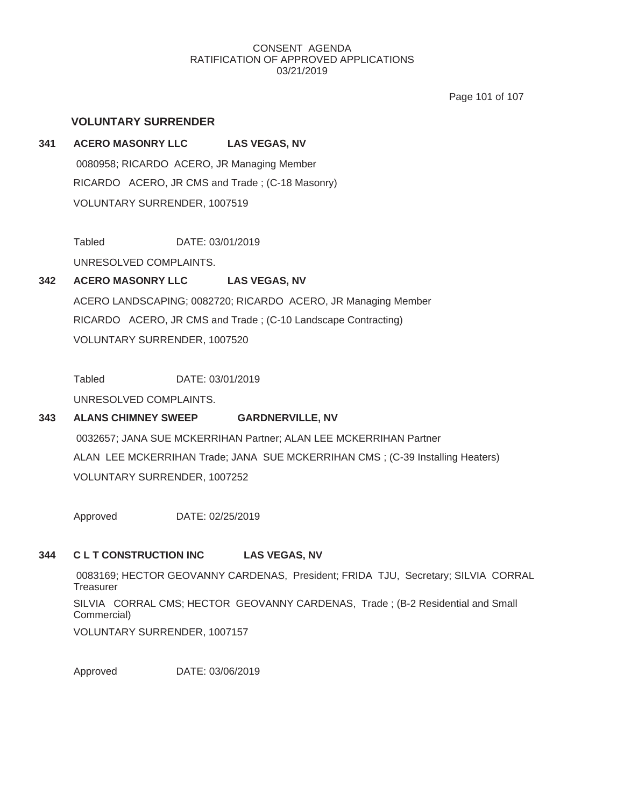Page 101 of 107

# **VOLUNTARY SURRENDER**

# **341 ACERO MASONRY LLC LAS VEGAS, NV** 0080958; RICARDO ACERO, JR Managing Member RICARDO ACERO, JR CMS and Trade ; (C-18 Masonry) VOLUNTARY SURRENDER, 1007519

Tabled DATE: 03/01/2019

UNRESOLVED COMPLAINTS.

# **342 ACERO MASONRY LLC LAS VEGAS, NV**

ACERO LANDSCAPING; 0082720; RICARDO ACERO, JR Managing Member RICARDO ACERO, JR CMS and Trade ; (C-10 Landscape Contracting) VOLUNTARY SURRENDER, 1007520

Tabled DATE: 03/01/2019

UNRESOLVED COMPLAINTS.

# **343 ALANS CHIMNEY SWEEP GARDNERVILLE, NV**

0032657; JANA SUE MCKERRIHAN Partner; ALAN LEE MCKERRIHAN Partner ALAN LEE MCKERRIHAN Trade; JANA SUE MCKERRIHAN CMS ; (C-39 Installing Heaters) VOLUNTARY SURRENDER, 1007252

Approved DATE: 02/25/2019

# **344 C L T CONSTRUCTION INC LAS VEGAS, NV**

0083169; HECTOR GEOVANNY CARDENAS, President; FRIDA TJU, Secretary; SILVIA CORRAL **Treasurer** SILVIA CORRAL CMS; HECTOR GEOVANNY CARDENAS, Trade ; (B-2 Residential and Small

VOLUNTARY SURRENDER, 1007157

Commercial)

Approved DATE: 03/06/2019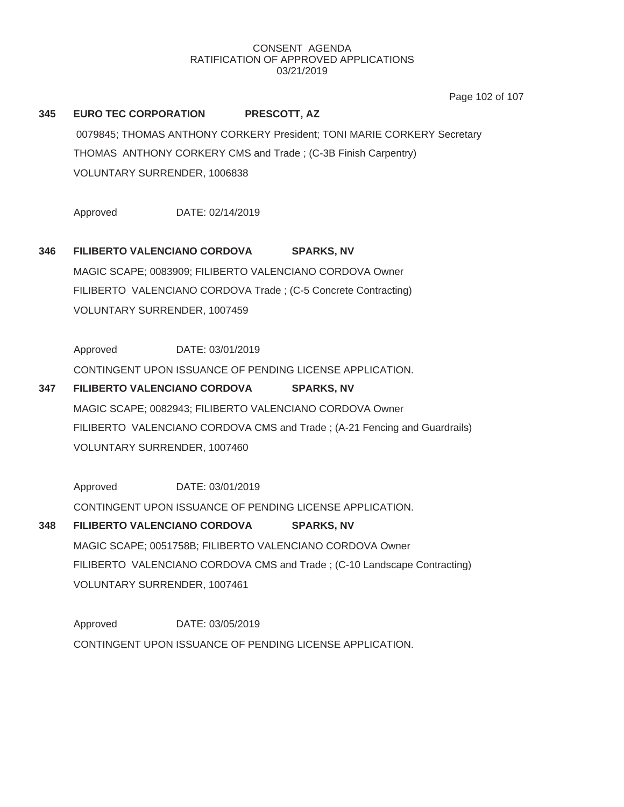Page 102 of 107

# **345 EURO TEC CORPORATION PRESCOTT, AZ**

0079845; THOMAS ANTHONY CORKERY President; TONI MARIE CORKERY Secretary THOMAS ANTHONY CORKERY CMS and Trade ; (C-3B Finish Carpentry) VOLUNTARY SURRENDER, 1006838

Approved DATE: 02/14/2019

# **346 FILIBERTO VALENCIANO CORDOVA SPARKS, NV** MAGIC SCAPE; 0083909; FILIBERTO VALENCIANO CORDOVA Owner FILIBERTO VALENCIANO CORDOVA Trade ; (C-5 Concrete Contracting) VOLUNTARY SURRENDER, 1007459

Approved DATE: 03/01/2019

CONTINGENT UPON ISSUANCE OF PENDING LICENSE APPLICATION.

# **347 FILIBERTO VALENCIANO CORDOVA SPARKS, NV**

MAGIC SCAPE; 0082943; FILIBERTO VALENCIANO CORDOVA Owner FILIBERTO VALENCIANO CORDOVA CMS and Trade ; (A-21 Fencing and Guardrails) VOLUNTARY SURRENDER, 1007460

Approved DATE: 03/01/2019 CONTINGENT UPON ISSUANCE OF PENDING LICENSE APPLICATION.

# **348 FILIBERTO VALENCIANO CORDOVA SPARKS, NV** MAGIC SCAPE; 0051758B; FILIBERTO VALENCIANO CORDOVA Owner FILIBERTO VALENCIANO CORDOVA CMS and Trade ; (C-10 Landscape Contracting) VOLUNTARY SURRENDER, 1007461

Approved DATE: 03/05/2019 CONTINGENT UPON ISSUANCE OF PENDING LICENSE APPLICATION.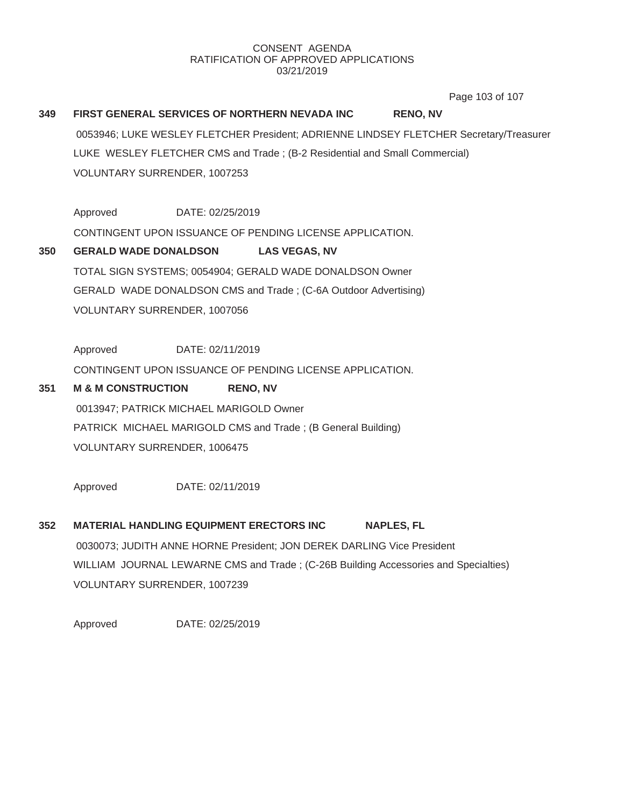Page 103 of 107

# **349 FIRST GENERAL SERVICES OF NORTHERN NEVADA INC RENO, NV** 0053946; LUKE WESLEY FLETCHER President; ADRIENNE LINDSEY FLETCHER Secretary/Treasurer LUKE WESLEY FLETCHER CMS and Trade ; (B-2 Residential and Small Commercial)

VOLUNTARY SURRENDER, 1007253

Approved DATE: 02/25/2019

CONTINGENT UPON ISSUANCE OF PENDING LICENSE APPLICATION.

# **350 GERALD WADE DONALDSON LAS VEGAS, NV** TOTAL SIGN SYSTEMS; 0054904; GERALD WADE DONALDSON Owner GERALD WADE DONALDSON CMS and Trade ; (C-6A Outdoor Advertising) VOLUNTARY SURRENDER, 1007056

Approved DATE: 02/11/2019

CONTINGENT UPON ISSUANCE OF PENDING LICENSE APPLICATION.

# **351 M & M CONSTRUCTION RENO, NV** 0013947; PATRICK MICHAEL MARIGOLD Owner PATRICK MICHAEL MARIGOLD CMS and Trade ; (B General Building) VOLUNTARY SURRENDER, 1006475

Approved DATE: 02/11/2019

**352 MATERIAL HANDLING EQUIPMENT ERECTORS INC NAPLES, FL** 0030073; JUDITH ANNE HORNE President; JON DEREK DARLING Vice President WILLIAM JOURNAL LEWARNE CMS and Trade ; (C-26B Building Accessories and Specialties) VOLUNTARY SURRENDER, 1007239

Approved DATE: 02/25/2019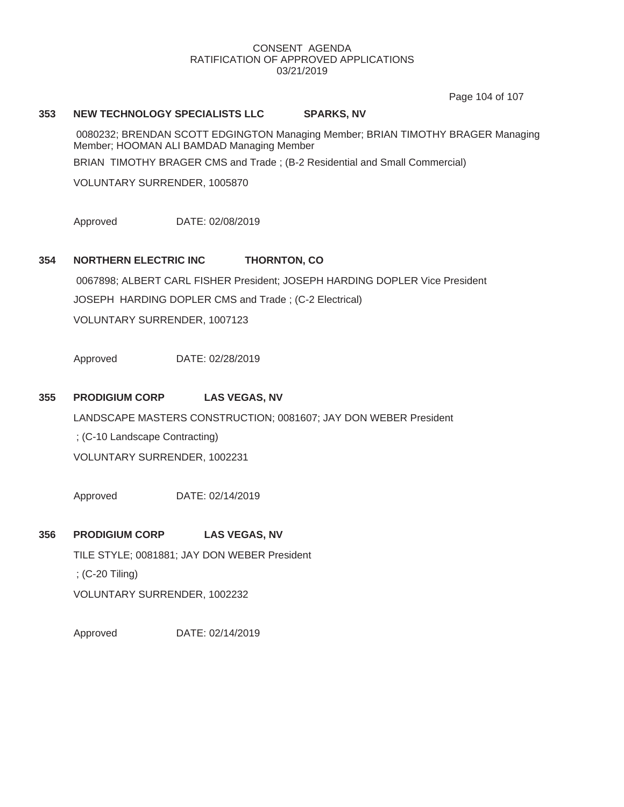Page 104 of 107

#### **353 NEW TECHNOLOGY SPECIALISTS LLC SPARKS, NV**

0080232; BRENDAN SCOTT EDGINGTON Managing Member; BRIAN TIMOTHY BRAGER Managing Member; HOOMAN ALI BAMDAD Managing Member

BRIAN TIMOTHY BRAGER CMS and Trade ; (B-2 Residential and Small Commercial)

VOLUNTARY SURRENDER, 1005870

Approved DATE: 02/08/2019

# **354 NORTHERN ELECTRIC INC THORNTON, CO**

0067898; ALBERT CARL FISHER President; JOSEPH HARDING DOPLER Vice President JOSEPH HARDING DOPLER CMS and Trade ; (C-2 Electrical) VOLUNTARY SURRENDER, 1007123

Approved DATE: 02/28/2019

# **355 PRODIGIUM CORP LAS VEGAS, NV**

LANDSCAPE MASTERS CONSTRUCTION; 0081607; JAY DON WEBER President

; (C-10 Landscape Contracting)

VOLUNTARY SURRENDER, 1002231

Approved DATE: 02/14/2019

# **356 PRODIGIUM CORP LAS VEGAS, NV**

TILE STYLE; 0081881; JAY DON WEBER President

; (C-20 Tiling)

VOLUNTARY SURRENDER, 1002232

Approved DATE: 02/14/2019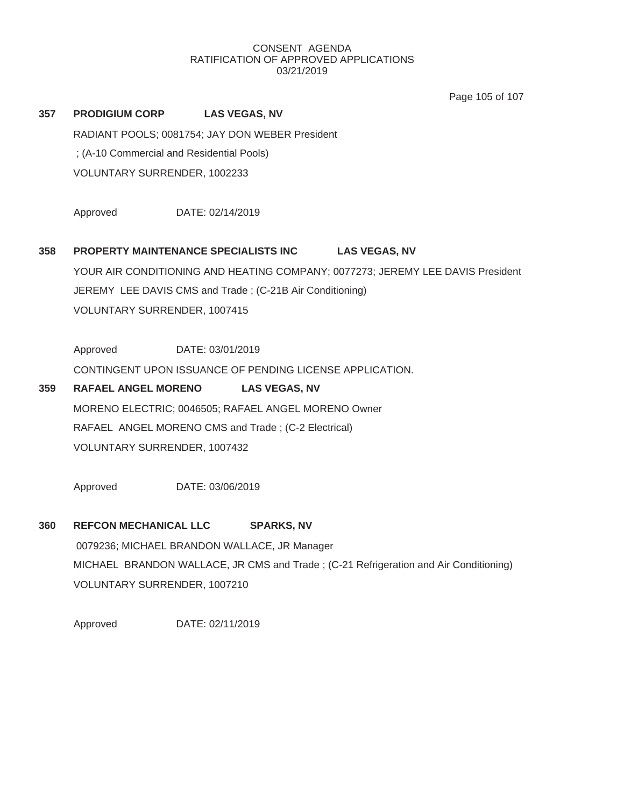Page 105 of 107

# **357 PRODIGIUM CORP LAS VEGAS, NV** RADIANT POOLS; 0081754; JAY DON WEBER President ; (A-10 Commercial and Residential Pools) VOLUNTARY SURRENDER, 1002233

Approved DATE: 02/14/2019

# **358 PROPERTY MAINTENANCE SPECIALISTS INC LAS VEGAS, NV** YOUR AIR CONDITIONING AND HEATING COMPANY; 0077273; JEREMY LEE DAVIS President JEREMY LEE DAVIS CMS and Trade ; (C-21B Air Conditioning) VOLUNTARY SURRENDER, 1007415

Approved DATE: 03/01/2019

CONTINGENT UPON ISSUANCE OF PENDING LICENSE APPLICATION.

# **359 RAFAEL ANGEL MORENO LAS VEGAS, NV** MORENO ELECTRIC; 0046505; RAFAEL ANGEL MORENO Owner RAFAEL ANGEL MORENO CMS and Trade ; (C-2 Electrical) VOLUNTARY SURRENDER, 1007432

Approved DATE: 03/06/2019

# **360 REFCON MECHANICAL LLC SPARKS, NV**

0079236; MICHAEL BRANDON WALLACE, JR Manager MICHAEL BRANDON WALLACE, JR CMS and Trade ; (C-21 Refrigeration and Air Conditioning) VOLUNTARY SURRENDER, 1007210

Approved DATE: 02/11/2019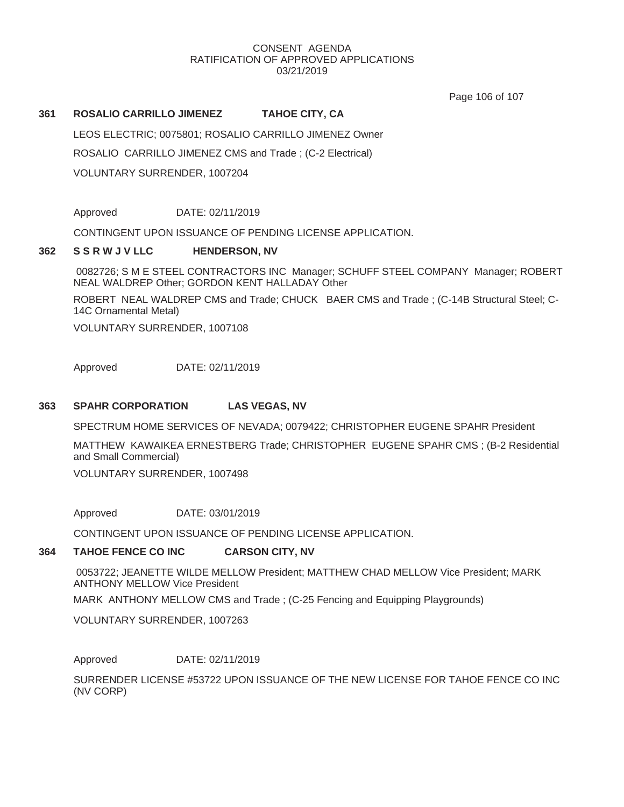### CONSENT AGENDA RATIFICATION OF APPROVED APPLICATIONS 03/21/2019

Page 106 of 107

# **361 ROSALIO CARRILLO JIMENEZ TAHOE CITY, CA**

LEOS ELECTRIC; 0075801; ROSALIO CARRILLO JIMENEZ Owner

ROSALIO CARRILLO JIMENEZ CMS and Trade ; (C-2 Electrical)

VOLUNTARY SURRENDER, 1007204

Approved DATE: 02/11/2019

CONTINGENT UPON ISSUANCE OF PENDING LICENSE APPLICATION.

# **362 S S R W J V LLC HENDERSON, NV**

0082726; S M E STEEL CONTRACTORS INC Manager; SCHUFF STEEL COMPANY Manager; ROBERT NEAL WALDREP Other; GORDON KENT HALLADAY Other

ROBERT NEAL WALDREP CMS and Trade; CHUCK BAER CMS and Trade ; (C-14B Structural Steel; C-14C Ornamental Metal)

VOLUNTARY SURRENDER, 1007108

Approved DATE: 02/11/2019

## **363 SPAHR CORPORATION LAS VEGAS, NV**

SPECTRUM HOME SERVICES OF NEVADA; 0079422; CHRISTOPHER EUGENE SPAHR President

MATTHEW KAWAIKEA ERNESTBERG Trade; CHRISTOPHER EUGENE SPAHR CMS ; (B-2 Residential and Small Commercial)

VOLUNTARY SURRENDER, 1007498

Approved DATE: 03/01/2019

CONTINGENT UPON ISSUANCE OF PENDING LICENSE APPLICATION.

# **364 TAHOE FENCE CO INC CARSON CITY, NV**

0053722; JEANETTE WILDE MELLOW President; MATTHEW CHAD MELLOW Vice President; MARK ANTHONY MELLOW Vice President

MARK ANTHONY MELLOW CMS and Trade ; (C-25 Fencing and Equipping Playgrounds)

VOLUNTARY SURRENDER, 1007263

Approved DATE: 02/11/2019

SURRENDER LICENSE #53722 UPON ISSUANCE OF THE NEW LICENSE FOR TAHOE FENCE CO INC (NV CORP)